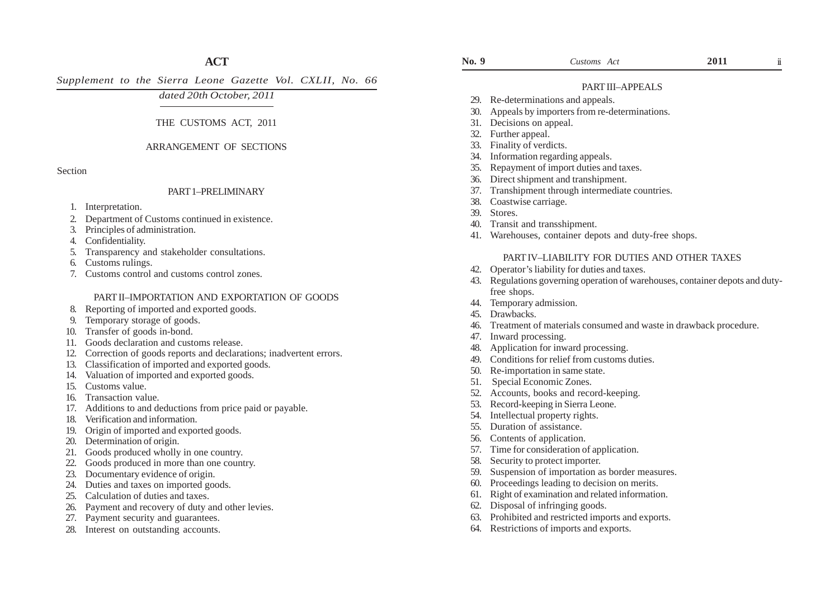# **ACT**

*Supplement to the Sierra Leone Gazette Vol. CXLII, No. 66*

# *dated 20th October, 2011*

## THE CUSTOMS ACT, 2011

## ARRANGEMENT OF SECTIONS

Section

## PART 1–PRELIMINARY

- 1. Interpretation.
- 2. Department of Customs continued in existence.
- 3. Principles of administration.
- 4. Confidentiality.
- 5. Transparency and stakeholder consultations.
- 6. Customs rulings.
- 7. Customs control and customs control zones.

## PART II–IMPORTATION AND EXPORTATION OF GOODS

- 8. Reporting of imported and exported goods.
- 9. Temporary storage of goods.
- 10. Transfer of goods in-bond.
- 11. Goods declaration and customs release.
- 12. Correction of goods reports and declarations; inadvertent errors.
- 13. Classification of imported and exported goods.
- 14. Valuation of imported and exported goods.
- 15. Customs value.
- 16. Transaction value.
- 17. Additions to and deductions from price paid or payable.
- 18. Verification and information.
- 19. Origin of imported and exported goods.
- 20. Determination of origin.
- 21. Goods produced wholly in one country.
- 22. Goods produced in more than one country.
- 23. Documentary evidence of origin.
- 24. Duties and taxes on imported goods.
- 25. Calculation of duties and taxes.
- 26. Payment and recovery of duty and other levies.
- 27. Payment security and guarantees.
- 28. Interest on outstanding accounts.

ii

## PART III–APPEALS

- 29. Re-determinations and appeals.
- 30. Appeals by importers from re-determinations.
- 31. Decisions on appeal.
- 32. Further appeal.
- 33. Finality of verdicts.
- 34. Information regarding appeals.
- Repayment of import duties and taxes.
- 36. Direct shipment and transhipment.
- 37. Transhipment through intermediate countries.
- 38. Coastwise carriage.
- 39. Stores.
- 40. Transit and transshipment.
- 41. Warehouses, container depots and duty-free shops.

### PART IV–LIABILITY FOR DUTIES AND OTHER TAXES

- 42. Operator's liability for duties and taxes.
- 43. Regulations governing operation of warehouses, container depots and dutyfree shops.
- 44. Temporary admission.
- 45. Drawbacks.
- 46. Treatment of materials consumed and waste in drawback procedure.
- 47. Inward processing.
- 48. Application for inward processing.
- 49. Conditions for relief from customs duties.
- 50. Re-importation in same state.
- 51. Special Economic Zones.
- 52. Accounts, books and record-keeping.
- 53. Record-keeping in Sierra Leone.
- 54. Intellectual property rights.
- 55. Duration of assistance.
- 56. Contents of application.
- 57. Time for consideration of application.
- 58. Security to protect importer.
- 59. Suspension of importation as border measures.
- 60. Proceedings leading to decision on merits.
- 61. Right of examination and related information.
- 62. Disposal of infringing goods.
- 63. Prohibited and restricted imports and exports.
- 64. Restrictions of imports and exports.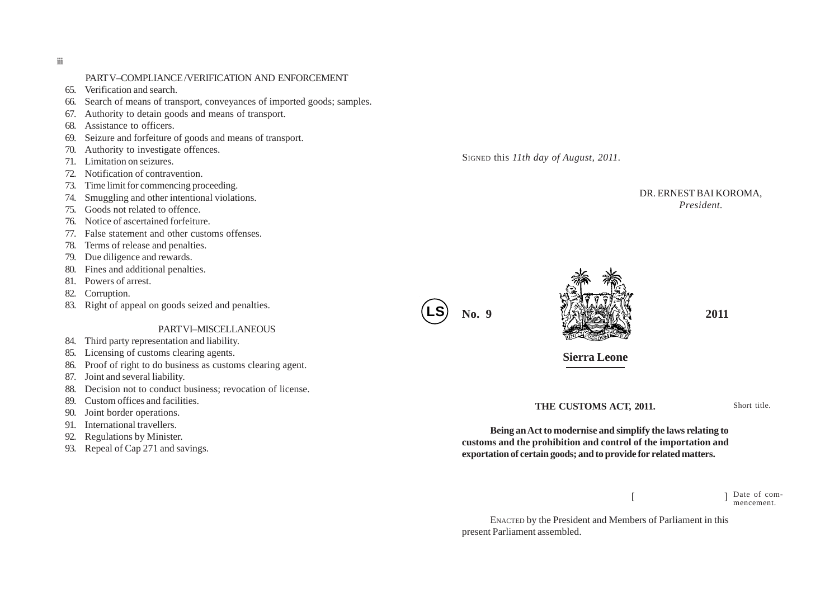iii

## PART V–COMPLIANCE /VERIFICATION AND ENFORCEMENT

- 65. Verification and search.
- 66. Search of means of transport, conveyances of imported goods; samples.
- 67. Authority to detain goods and means of transport.
- 68. Assistance to officers.
- 69. Seizure and forfeiture of goods and means of transport.
- 70. Authority to investigate offences.
- 71. Limitation on seizures.
- 72. Notification of contravention.
- 73. Time limit for commencing proceeding.
- 74. Smuggling and other intentional violations.
- 75. Goods not related to offence.
- 76. Notice of ascertained forfeiture.
- 77. False statement and other customs offenses.
- 78. Terms of release and penalties.
- 79. Due diligence and rewards.
- 80. Fines and additional penalties.
- 81. Powers of arrest.
- 82. Corruption.
- 83. Right of appeal on goods seized and penalties.

#### PART VI–MISCELLANEOUS

- 84. Third party representation and liability.
- 85. Licensing of customs clearing agents.
- 86. Proof of right to do business as customs clearing agent.
- 87. Joint and several liability.
- 88. Decision not to conduct business; revocation of license.
- 89. Custom offices and facilities.
- 90. Joint border operations.
- 91. International travellers.
- 92. Regulations by Minister.
- 93. Repeal of Cap 271 and savings.

SIGNED this *11th day of August, 2011.*

## DR. ERNEST BAI KOROMA, *President.*





**Sierra Leone**

**THE CUSTOMS ACT, 2011.**

Short title.

**Being an Act to modernise and simplify the laws relating to customs and the prohibition and control of the importation and exportation of certain goods; and to provide for related matters.**

> $[$   $]$ Date of commencement.

ENACTED by the President and Members of Parliament in this present Parliament assembled.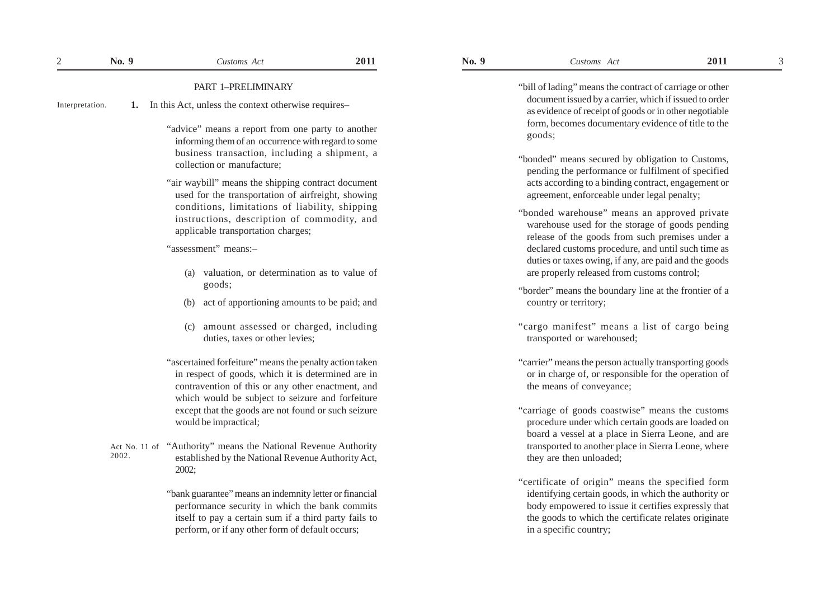## PART 1–PRELIMINARY

- **1.** In this Act, unless the context otherwise requires– Interpretation.
	- "advice" means a report from one party to another informing them of an occurrence with regard to some business transaction, including a shipment, a collection or manufacture;
	- "air waybill" means the shipping contract document used for the transportation of airfreight, showing conditions, limitations of liability, shipping instructions, description of commodity, and applicable transportation charges;

"assessment" means:–

- (a) valuation, or determination as to value of goods;
- (b) act of apportioning amounts to be paid; and
- (c) amount assessed or charged, including duties, taxes or other levies;
- "ascertained forfeiture" means the penalty action taken in respect of goods, which it is determined are in contravention of this or any other enactment, and which would be subject to seizure and forfeiture except that the goods are not found or such seizure would be impractical;
- Act No. 11 of "Authority" means the National Revenue Authority established by the National Revenue Authority Act, 2002; 2002.

"bank guarantee" means an indemnity letter or financial performance security in which the bank commits itself to pay a certain sum if a third party fails to perform, or if any other form of default occurs;

"bill of lading" means the contract of carriage or other document issued by a carrier, which if issued to order as evidence of receipt of goods or in other negotiable form, becomes documentary evidence of title to the goods;

- "bonded" means secured by obligation to Customs, pending the performance or fulfilment of specified acts according to a binding contract, engagement or agreement, enforceable under legal penalty;
- "bonded warehouse" means an approved private warehouse used for the storage of goods pending release of the goods from such premises under a declared customs procedure, and until such time as duties or taxes owing, if any, are paid and the goods are properly released from customs control;
- "border" means the boundary line at the frontier of a country or territory;
- "cargo manifest" means a list of cargo being transported or warehoused;
- "carrier" means the person actually transporting goods or in charge of, or responsible for the operation of the means of conveyance;
- "carriage of goods coastwise" means the customs procedure under which certain goods are loaded on board a vessel at a place in Sierra Leone, and are transported to another place in Sierra Leone, where they are then unloaded;
- "certificate of origin" means the specified form identifying certain goods, in which the authority or body empowered to issue it certifies expressly that the goods to which the certificate relates originate in a specific country;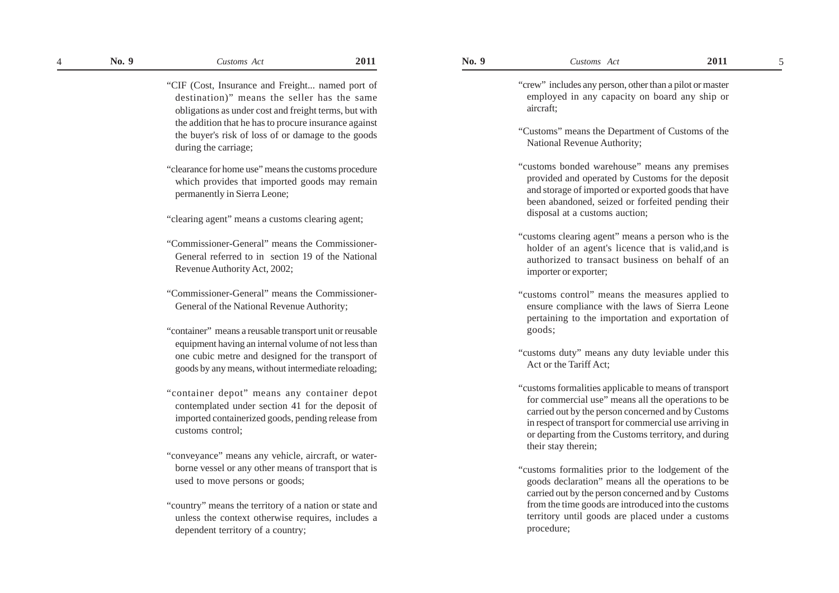- "clearance for home use" means the customs procedure which provides that imported goods may remain permanently in Sierra Leone;
- "clearing agent" means a customs clearing agent;
- "Commissioner-General" means the Commissioner-General referred to in section 19 of the National Revenue Authority Act, 2002;
- "Commissioner-General" means the Commissioner-General of the National Revenue Authority;
- "container" means a reusable transport unit or reusable equipment having an internal volume of not less than one cubic metre and designed for the transport of goods by any means, without intermediate reloading;
- "container depot" means any container depot contemplated under section 41 for the deposit of imported containerized goods, pending release from customs control;
- "conveyance" means any vehicle, aircraft, or waterborne vessel or any other means of transport that is used to move persons or goods;
- "country" means the territory of a nation or state and unless the context otherwise requires, includes a dependent territory of a country;

"crew" includes any person, other than a pilot or master employed in any capacity on board any ship or aircraft;

- "Customs" means the Department of Customs of the National Revenue Authority;
- "customs bonded warehouse" means any premises provided and operated by Customs for the deposit and storage of imported or exported goods that have been abandoned, seized or forfeited pending their disposal at a customs auction;
- "customs clearing agent" means a person who is the holder of an agent's licence that is valid,and is authorized to transact business on behalf of an importer or exporter;
- "customs control" means the measures applied to ensure compliance with the laws of Sierra Leone pertaining to the importation and exportation of goods;
- "customs duty" means any duty leviable under this Act or the Tariff Act;
- "customs formalities applicable to means of transport for commercial use" means all the operations to be carried out by the person concerned and by Customs in respect of transport for commercial use arriving in or departing from the Customs territory, and during their stay therein;
- "customs formalities prior to the lodgement of the goods declaration" means all the operations to be carried out by the person concerned and by Customs from the time goods are introduced into the customs territory until goods are placed under a customs procedure;

<sup>&</sup>quot;CIF (Cost, Insurance and Freight... named port of destination)" means the seller has the same obligations as under cost and freight terms, but with the addition that he has to procure insurance against the buyer's risk of loss of or damage to the goods during the carriage;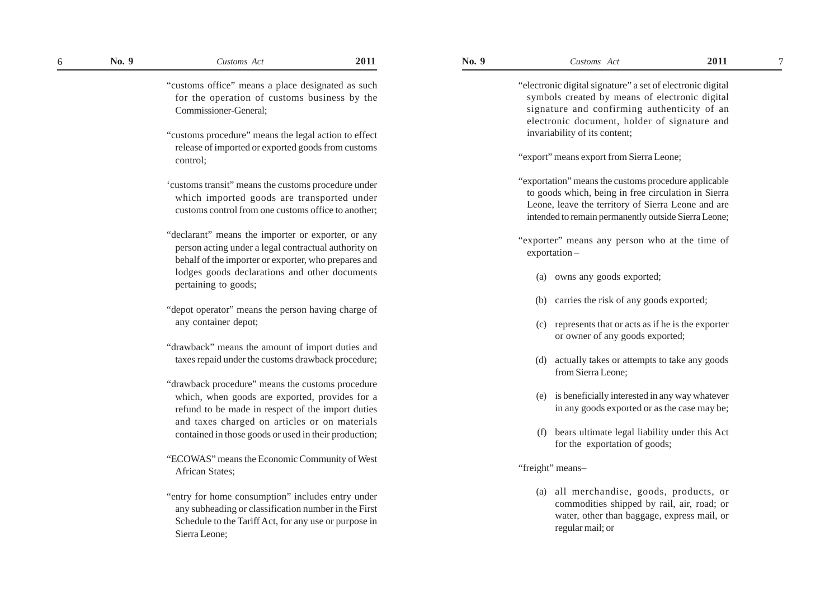"customs office" means a place designated as such for the operation of customs business by the Commissioner-General;

- "customs procedure" means the legal action to effect release of imported or exported goods from customs control;
- 'customs transit" means the customs procedure under which imported goods are transported under customs control from one customs office to another;
- "declarant" means the importer or exporter, or any person acting under a legal contractual authority on behalf of the importer or exporter, who prepares and lodges goods declarations and other documents pertaining to goods;
- "depot operator" means the person having charge of any container depot;
- "drawback" means the amount of import duties and taxes repaid under the customs drawback procedure;
- "drawback procedure" means the customs procedure which, when goods are exported, provides for a refund to be made in respect of the import duties and taxes charged on articles or on materials contained in those goods or used in their production;
- "ECOWAS" means the Economic Community of West African States;
- "entry for home consumption" includes entry under any subheading or classification number in the First Schedule to the Tariff Act, for any use or purpose in Sierra Leone;

"electronic digital signature" a set of electronic digital symbols created by means of electronic digital signature and confirming authenticity of an electronic document, holder of signature and invariability of its content;

- "export" means export from Sierra Leone;
- "exportation" means the customs procedure applicable to goods which, being in free circulation in Sierra Leone, leave the territory of Sierra Leone and are intended to remain permanently outside Sierra Leone;
- "exporter" means any person who at the time of exportation –
	- (a) owns any goods exported;
	- (b) carries the risk of any goods exported;
	- (c) represents that or acts as if he is the exporter or owner of any goods exported;
	- (d) actually takes or attempts to take any goods from Sierra Leone;
	- (e) is beneficially interested in any way whatever in any goods exported or as the case may be;
	- (f) bears ultimate legal liability under this Act for the exportation of goods;

"freight" means–

(a) all merchandise, goods, products, or commodities shipped by rail, air, road; or water, other than baggage, express mail, or regular mail; or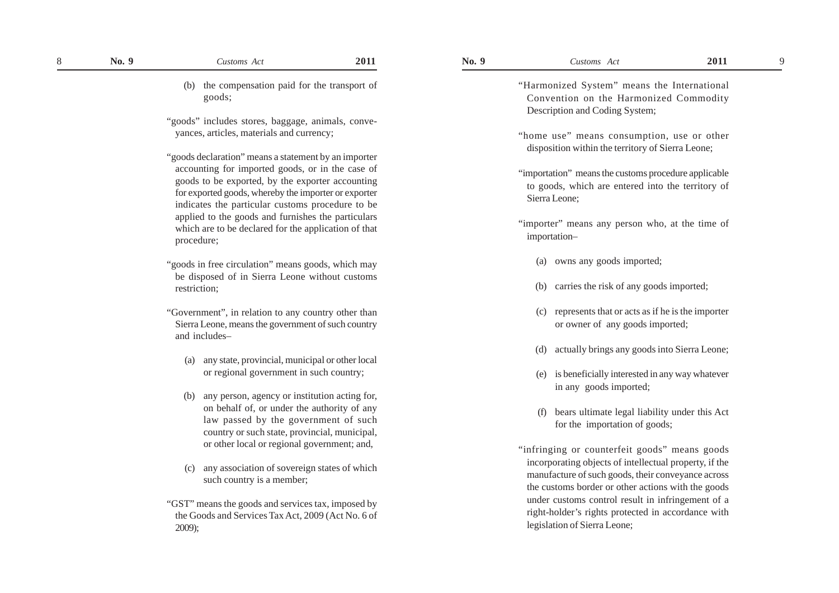(b) the compensation paid for the transport of goods;

"goods" includes stores, baggage, animals, conveyances, articles, materials and currency;

"goods declaration" means a statement by an importer accounting for imported goods, or in the case of goods to be exported, by the exporter accounting for exported goods, whereby the importer or exporter indicates the particular customs procedure to be applied to the goods and furnishes the particulars which are to be declared for the application of that procedure;

- "goods in free circulation" means goods, which may be disposed of in Sierra Leone without customs restriction;
- "Government", in relation to any country other than Sierra Leone, means the government of such country and includes–
	- (a) any state, provincial, municipal or other local or regional government in such country;
	- (b) any person, agency or institution acting for, on behalf of, or under the authority of any law passed by the government of such country or such state, provincial, municipal, or other local or regional government; and,
	- (c) any association of sovereign states of which such country is a member;
- "GST" means the goods and services tax, imposed by the Goods and Services Tax Act, 2009 (Act No. 6 of 2009);

"Harmonized System" means the International Convention on the Harmonized Commodity Description and Coding System;

- "home use" means consumption, use or other disposition within the territory of Sierra Leone;
- "importation" means the customs procedure applicable to goods, which are entered into the territory of Sierra Leone;
- "importer" means any person who, at the time of importation–
	- (a) owns any goods imported;
	- (b) carries the risk of any goods imported;
	- (c) represents that or acts as if he is the importer or owner of any goods imported;
	- (d) actually brings any goods into Sierra Leone;
	- (e) is beneficially interested in any way whatever in any goods imported;
	- (f) bears ultimate legal liability under this Act for the importation of goods;
- "infringing or counterfeit goods" means goods incorporating objects of intellectual property, if the manufacture of such goods, their conveyance across the customs border or other actions with the goods under customs control result in infringement of a right-holder's rights protected in accordance with legislation of Sierra Leone;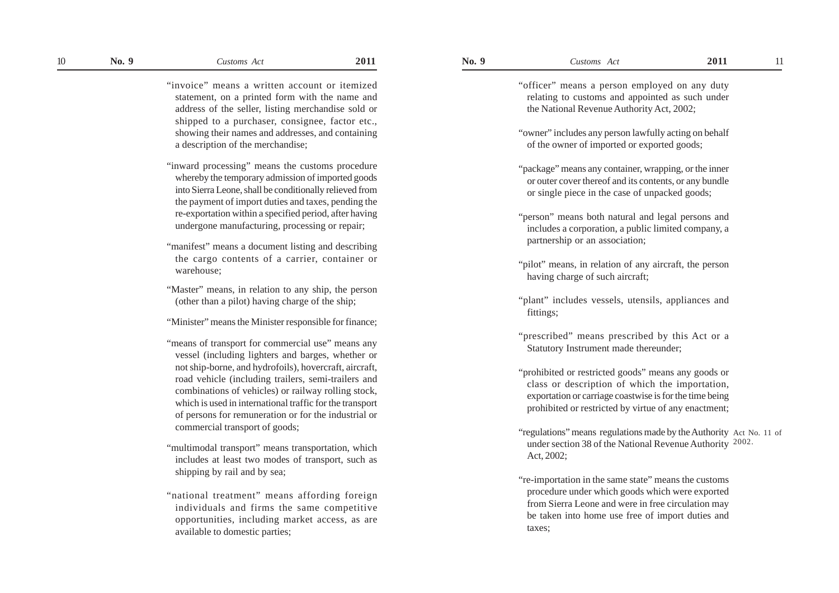- "inward processing" means the customs procedure whereby the temporary admission of imported goods into Sierra Leone, shall be conditionally relieved from the payment of import duties and taxes, pending the re-exportation within a specified period, after having undergone manufacturing, processing or repair;
- "manifest" means a document listing and describing the cargo contents of a carrier, container or warehouse;
- "Master" means, in relation to any ship, the person (other than a pilot) having charge of the ship;
- "Minister" means the Minister responsible for finance;
- "means of transport for commercial use" means any vessel (including lighters and barges, whether or not ship-borne, and hydrofoils), hovercraft, aircraft, road vehicle (including trailers, semi-trailers and combinations of vehicles) or railway rolling stock, which is used in international traffic for the transport of persons for remuneration or for the industrial or commercial transport of goods;
- "multimodal transport" means transportation, which includes at least two modes of transport, such as shipping by rail and by sea;
- "national treatment" means affording foreign individuals and firms the same competitive opportunities, including market access, as are available to domestic parties;

| "officer" means a person employed on any duty<br>relating to customs and appointed as such under<br>the National Revenue Authority Act, 2002;                                                                            |  |
|--------------------------------------------------------------------------------------------------------------------------------------------------------------------------------------------------------------------------|--|
| "owner" includes any person lawfully acting on behalf<br>of the owner of imported or exported goods;                                                                                                                     |  |
| "package" means any container, wrapping, or the inner<br>or outer cover thereof and its contents, or any bundle<br>or single piece in the case of unpacked goods;                                                        |  |
| "person" means both natural and legal persons and<br>includes a corporation, a public limited company, a<br>partnership or an association;                                                                               |  |
| "pilot" means, in relation of any aircraft, the person<br>having charge of such aircraft;                                                                                                                                |  |
| "plant" includes vessels, utensils, appliances and<br>fittings;                                                                                                                                                          |  |
| "prescribed" means prescribed by this Act or a<br>Statutory Instrument made thereunder;                                                                                                                                  |  |
| "prohibited or restricted goods" means any goods or<br>class or description of which the importation,<br>exportation or carriage coastwise is for the time being<br>prohibited or restricted by virtue of any enactment; |  |
| "regulations" means regulations made by the Authority Act No. 11 of<br>under section 38 of the National Revenue Authority 2002.<br>Act, 2002;                                                                            |  |
| "re-importation in the same state" means the customs<br>procedure under which goods which were exported<br>from Sierra Leone and were in free circulation may<br>be taken into home use free of import duties and        |  |

taxes;

<sup>&</sup>quot;invoice" means a written account or itemized statement, on a printed form with the name and address of the seller, listing merchandise sold or shipped to a purchaser, consignee, factor etc., showing their names and addresses, and containing a description of the merchandise;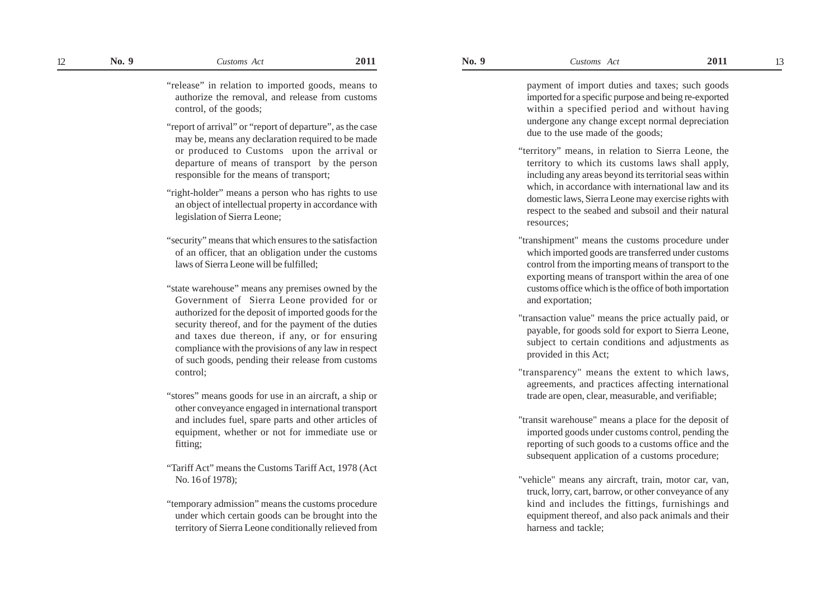"release" in relation to imported goods, means to authorize the removal, and release from customs control, of the goods;

- "report of arrival" or "report of departure", as the case may be, means any declaration required to be made or produced to Customs upon the arrival or departure of means of transport by the person responsible for the means of transport;
- "right-holder" means a person who has rights to use an object of intellectual property in accordance with legislation of Sierra Leone;
- "security" means that which ensures to the satisfaction of an officer, that an obligation under the customs laws of Sierra Leone will be fulfilled;
- "state warehouse" means any premises owned by the Government of Sierra Leone provided for or authorized for the deposit of imported goods for the security thereof, and for the payment of the duties and taxes due thereon, if any, or for ensuring compliance with the provisions of any law in respect of such goods, pending their release from customs control;
- "stores" means goods for use in an aircraft, a ship or other conveyance engaged in international transport and includes fuel, spare parts and other articles of equipment, whether or not for immediate use or fitting;
- "Tariff Act" means the Customs Tariff Act, 1978 (Act No. 16 of 1978);
- "temporary admission" means the customs procedure under which certain goods can be brought into the territory of Sierra Leone conditionally relieved from

payment of import duties and taxes; such goods imported for a specific purpose and being re-exported within a specified period and without having undergone any change except normal depreciation due to the use made of the goods;

- "territory" means, in relation to Sierra Leone, the territory to which its customs laws shall apply, including any areas beyond its territorial seas within which, in accordance with international law and its domestic laws, Sierra Leone may exercise rights with respect to the seabed and subsoil and their natural resources;
- "transhipment" means the customs procedure under which imported goods are transferred under customs control from the importing means of transport to the exporting means of transport within the area of one customs office which is the office of both importation and exportation;
- "transaction value" means the price actually paid, or payable, for goods sold for export to Sierra Leone, subject to certain conditions and adjustments as provided in this Act;
- "transparency" means the extent to which laws, agreements, and practices affecting international trade are open, clear, measurable, and verifiable;
- "transit warehouse" means a place for the deposit of imported goods under customs control, pending the reporting of such goods to a customs office and the subsequent application of a customs procedure;
- "vehicle" means any aircraft, train, motor car, van, truck, lorry, cart, barrow, or other conveyance of any kind and includes the fittings, furnishings and equipment thereof, and also pack animals and their harness and tackle;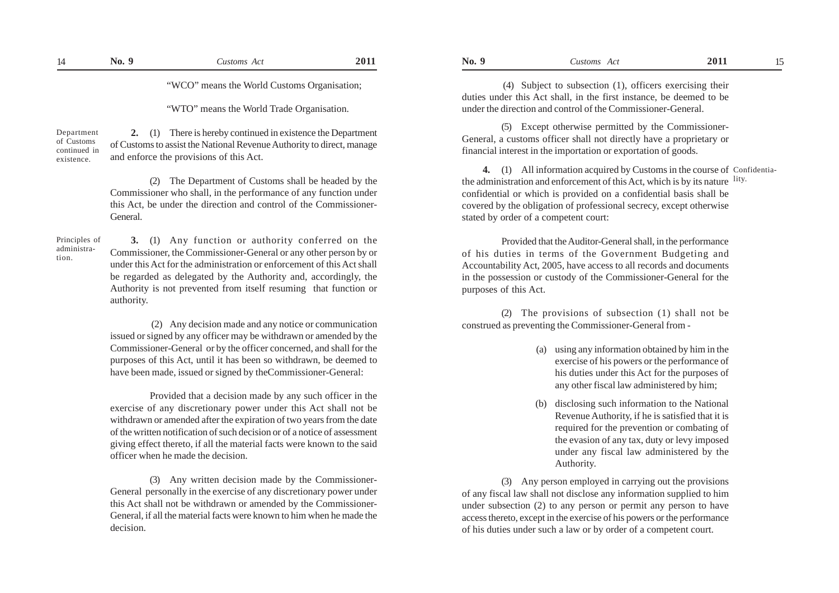"WCO" means the World Customs Organisation;

"WTO" means the World Trade Organisation.

 **2.** (1) There is hereby continued in existence the Department of Customs to assist the National Revenue Authority to direct, manage and enforce the provisions of this Act. Department of Customs continued in existence.

> (2) The Department of Customs shall be headed by the Commissioner who shall, in the performance of any function under this Act, be under the direction and control of the Commissioner- General.

Principles of administration.

**3.** (1) Any function or authority conferred on the Commissioner, the Commissioner-General or any other person by or under this Act for the administration or enforcement of this Act shall be regarded as delegated by the Authority and, accordingly, the Authority is not prevented from itself resuming that function or authority.

 (2) Any decision made and any notice or communication issued or signed by any officer may be withdrawn or amended by the Commissioner-General or by the officer concerned, and shall for the purposes of this Act, until it has been so withdrawn, be deemed to have been made, issued or signed by theCommissioner-General:

Provided that a decision made by any such officer in the exercise of any discretionary power under this Act shall not be withdrawn or amended after the expiration of two years from the date of the written notification of such decision or of a notice of assessment giving effect thereto, if all the material facts were known to the said officer when he made the decision.

(3) Any written decision made by the Commissioner-General personally in the exercise of any discretionary power under this Act shall not be withdrawn or amended by the Commissioner- General, if all the material facts were known to him when he made the decision.

 (4) Subject to subsection (1), officers exercising their duties under this Act shall, in the first instance, be deemed to be under the direction and control of the Commissioner-General.

(5) Except otherwise permitted by the Commissioner-General, a customs officer shall not directly have a proprietary or financial interest in the importation or exportation of goods.

**4.** (1) All information acquired by Customs in the course of Confidentiathe administration and enforcement of this Act, which is by its nature lity. confidential or which is provided on a confidential basis shall be covered by the obligation of professional secrecy, except otherwise stated by order of a competent court:

Provided that the Auditor-General shall, in the performance of his duties in terms of the Government Budgeting and Accountability Act, 2005, have access to all records and documents in the possession or custody of the Commissioner-General for the purposes of this Act.

(2) The provisions of subsection (1) shall not be construed as preventing the Commissioner-General from -

- (a) using any information obtained by him in the exercise of his powers or the performance of his duties under this Act for the purposes of any other fiscal law administered by him;
- (b) disclosing such information to the National Revenue Authority, if he is satisfied that it is required for the prevention or combating of the evasion of any tax, duty or levy imposed under any fiscal law administered by the Authority.

(3) Any person employed in carrying out the provisions of any fiscal law shall not disclose any information supplied to him under subsection (2) to any person or permit any person to have access thereto, except in the exercise of his powers or the performance of his duties under such a law or by order of a competent court.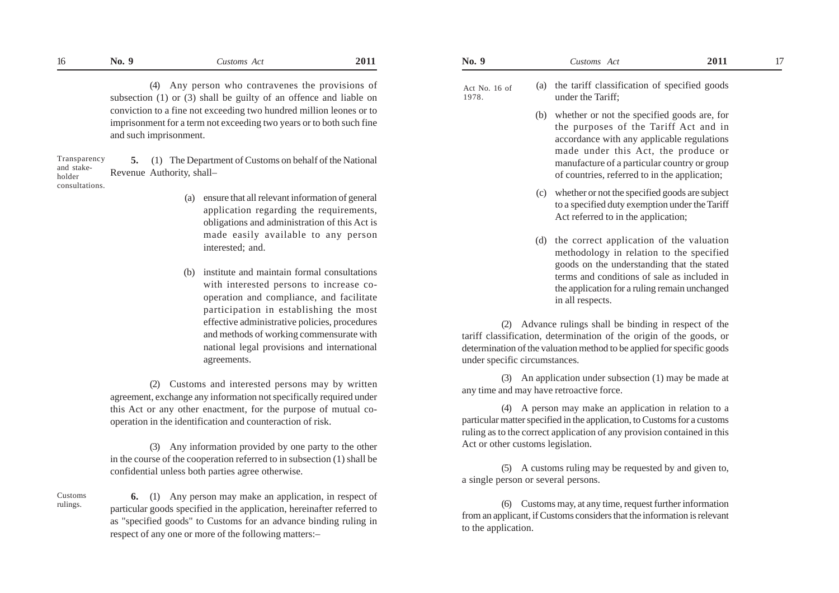(4) Any person who contravenes the provisions of subsection (1) or (3) shall be guilty of an offence and liable on conviction to a fine not exceeding two hundred million leones or to imprisonment for a term not exceeding two years or to both such fine and such imprisonment.

**5.** (1) The Department of Customs on behalf of the National Revenue Authority, shall– Transparency and stakeholder consultations.

- (a) ensure that all relevant information of general application regarding the requirements, obligations and administration of this Act is made easily available to any person interested; and.
- (b) institute and maintain formal consultations with interested persons to increase cooperation and compliance, and facilitate participation in establishing the most effective administrative policies, procedures and methods of working commensurate with national legal provisions and international agreements.

(2) Customs and interested persons may by written agreement, exchange any information not specifically required under this Act or any other enactment, for the purpose of mutual cooperation in the identification and counteraction of risk.

(3) Any information provided by one party to the other in the course of the cooperation referred to in subsection (1) shall be confidential unless both parties agree otherwise.

Customs rulings.

 **6.** (1) Any person may make an application, in respect of particular goods specified in the application, hereinafter referred to as "specified goods" to Customs for an advance binding ruling in respect of any one or more of the following matters:–

| 16 | -0<br>NO. | ustoms Act                                     | 2011 | N0. | ustoms<br>ACI                                       | 2011 |  |
|----|-----------|------------------------------------------------|------|-----|-----------------------------------------------------|------|--|
|    |           | April paraon who controverse the provisions of |      |     | the toriff classification of specified goods<br>(n) |      |  |

- (a) the tariff classification of specified goods under the Tariff;
	- (b) whether or not the specified goods are, for the purposes of the Tariff Act and in accordance with any applicable regulations made under this Act, the produce or manufacture of a particular country or group of countries, referred to in the application;
	- (c) whether or not the specified goods are subject to a specified duty exemption under the Tariff Act referred to in the application;
	- (d) the correct application of the valuation methodology in relation to the specified goods on the understanding that the stated terms and conditions of sale as included in the application for a ruling remain unchanged in all respects.

(2) Advance rulings shall be binding in respect of the tariff classification, determination of the origin of the goods, or determination of the valuation method to be applied for specific goods under specific circumstances.

(3) An application under subsection (1) may be made at any time and may have retroactive force.

(4) A person may make an application in relation to a particular matter specified in the application, to Customs for a customs ruling as to the correct application of any provision contained in this Act or other customs legislation.

(5) A customs ruling may be requested by and given to, a single person or several persons.

(6) Customs may, at any time, request further information from an applicant, if Customs considers that the information is relevant to the application.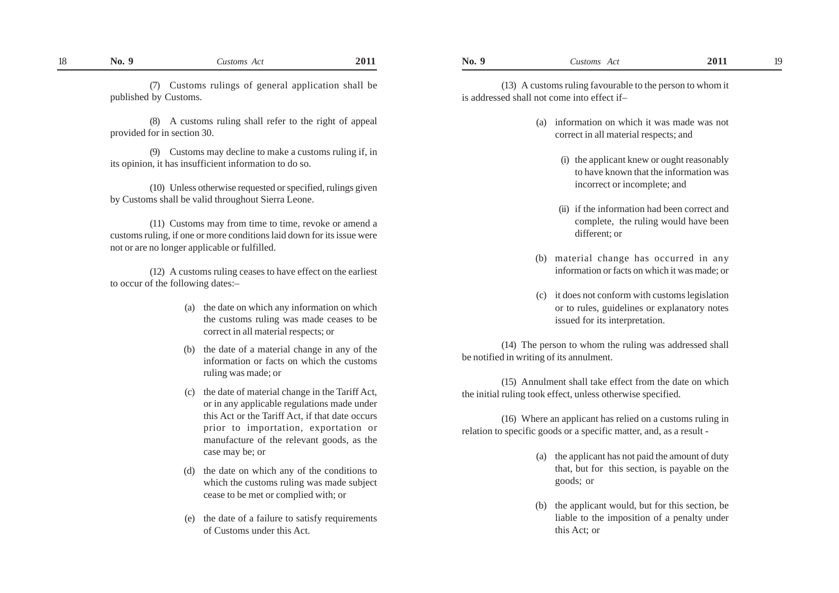(7) Customs rulings of general application shall be published by Customs.

(8) A customs ruling shall refer to the right of appeal provided for in section 30.

(9) Customs may decline to make a customs ruling if, in its opinion, it has insufficient information to do so.

(10) Unless otherwise requested or specified, rulings given by Customs shall be valid throughout Sierra Leone.

(11) Customs may from time to time, revoke or amend a customs ruling, if one or more conditions laid down for its issue were not or are no longer applicable or fulfilled.

(12) A customs ruling ceases to have effect on the earliest to occur of the following dates:–

- (a) the date on which any information on which the customs ruling was made ceases to be correct in all material respects; or
- (b) the date of a material change in any of the information or facts on which the customs ruling was made; or
- (c) the date of material change in the Tariff Act, or in any applicable regulations made under this Act or the Tariff Act, if that date occurs prior to importation, exportation or manufacture of the relevant goods, as the case may be; or
- (d) the date on which any of the conditions to which the customs ruling was made subject cease to be met or complied with; or
- (e) the date of a failure to satisfy requirements of Customs under this Act.

(13) A customs ruling favourable to the person to whom it is addressed shall not come into effect if–

- (a) information on which it was made was not correct in all material respects; and
	- (i) the applicant knew or ought reasonably to have known that the information was incorrect or incomplete; and
	- (ii) if the information had been correct and complete, the ruling would have been different; or
- (b) material change has occurred in any information or facts on which it was made; or
- (c) it does not conform with customs legislation or to rules, guidelines or explanatory notes issued for its interpretation.

(14) The person to whom the ruling was addressed shall be notified in writing of its annulment.

(15) Annulment shall take effect from the date on which the initial ruling took effect, unless otherwise specified.

(16) Where an applicant has relied on a customs ruling in relation to specific goods or a specific matter, and, as a result -

- (a) the applicant has not paid the amount of duty that, but for this section, is payable on the goods; or
- the applicant would, but for this section, be liable to the imposition of a penalty under this Act; or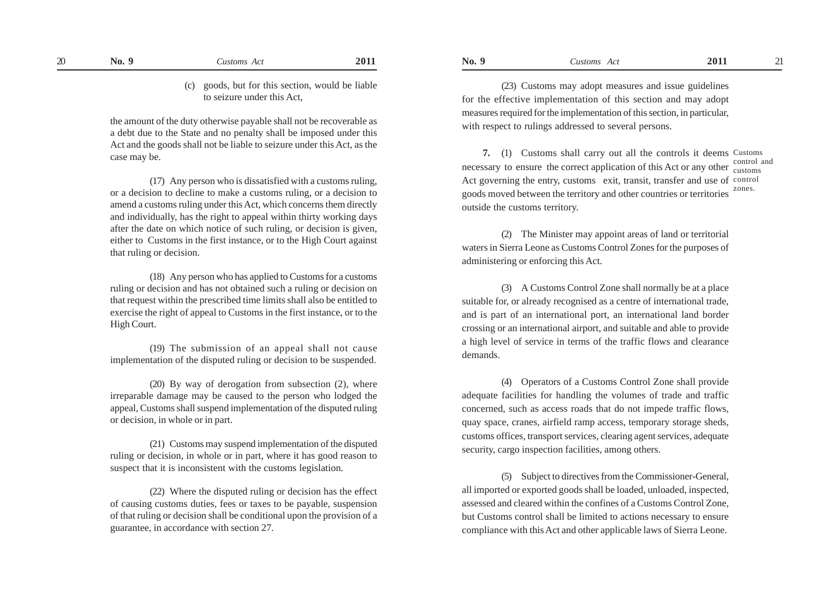(23) Customs may adopt measures and issue guidelines for the effective implementation of this section and may adopt measures required for the implementation of this section, in particular, with respect to rulings addressed to several persons.

 **7.** (1) Customs shall carry out all the controls it deems Customs necessary to ensure the correct application of this Act or any other  $\frac{\text{control and}}{\text{cuts}}$ Act governing the entry, customs exit, transit, transfer and use of control goods moved between the territory and other countries or territories outside the customs territory. customs zones.

(2) The Minister may appoint areas of land or territorial waters in Sierra Leone as Customs Control Zones for the purposes of administering or enforcing this Act.

(3) A Customs Control Zone shall normally be at a place suitable for, or already recognised as a centre of international trade, and is part of an international port, an international land border crossing or an international airport, and suitable and able to provide a high level of service in terms of the traffic flows and clearance demands.

(4) Operators of a Customs Control Zone shall provide adequate facilities for handling the volumes of trade and traffic concerned, such as access roads that do not impede traffic flows, quay space, cranes, airfield ramp access, temporary storage sheds, customs offices, transport services, clearing agent services, adequate security, cargo inspection facilities, among others.

(5) Subject to directives from the Commissioner-General, all imported or exported goods shall be loaded, unloaded, inspected, assessed and cleared within the confines of a Customs Control Zone, but Customs control shall be limited to actions necessary to ensure compliance with this Act and other applicable laws of Sierra Leone.

(c) goods, but for this section, would be liable to seizure under this Act,

the amount of the duty otherwise payable shall not be recoverable as a debt due to the State and no penalty shall be imposed under this Act and the goods shall not be liable to seizure under this Act, as the case may be.

(17) Any person who is dissatisfied with a customs ruling, or a decision to decline to make a customs ruling, or a decision to amend a customs ruling under this Act, which concerns them directly and individually, has the right to appeal within thirty working days after the date on which notice of such ruling, or decision is given, either to Customs in the first instance, or to the High Court against that ruling or decision.

(18) Any person who has applied to Customs for a customs ruling or decision and has not obtained such a ruling or decision on that request within the prescribed time limits shall also be entitled to exercise the right of appeal to Customs in the first instance, or to the High Court.

(19) The submission of an appeal shall not cause implementation of the disputed ruling or decision to be suspended.

(20) By way of derogation from subsection (2), where irreparable damage may be caused to the person who lodged the appeal, Customs shall suspend implementation of the disputed ruling or decision, in whole or in part.

(21) Customs may suspend implementation of the disputed ruling or decision, in whole or in part, where it has good reason to suspect that it is inconsistent with the customs legislation.

(22) Where the disputed ruling or decision has the effect of causing customs duties, fees or taxes to be payable, suspension of that ruling or decision shall be conditional upon the provision of a guarantee, in accordance with section 27.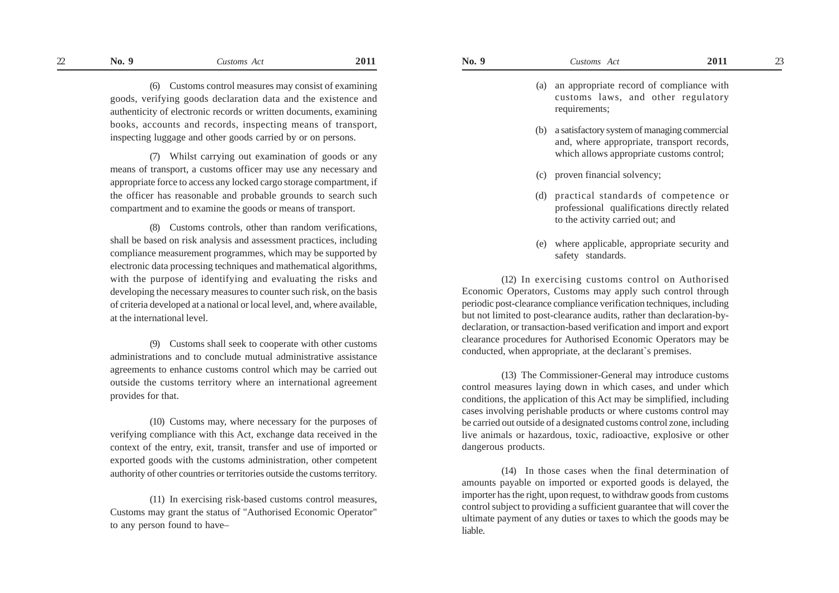- (a) an appropriate record of compliance with customs laws, and other regulatory requirements:
- (b) a satisfactory system of managing commercial and, where appropriate, transport records, which allows appropriate customs control:
- (c) proven financial solvency;
- (d) practical standards of competence or professional qualifications directly related to the activity carried out; and
- (e) where applicable, appropriate security and safety standards.

(12) In exercising customs control on Authorised Economic Operators, Customs may apply such control through periodic post-clearance compliance verification techniques, including but not limited to post-clearance audits, rather than declaration-bydeclaration, or transaction-based verification and import and export clearance procedures for Authorised Economic Operators may be conducted, when appropriate, at the declarant`s premises.

(13) The Commissioner-General may introduce customs control measures laying down in which cases, and under which conditions, the application of this Act may be simplified, including cases involving perishable products or where customs control may be carried out outside of a designated customs control zone, including live animals or hazardous, toxic, radioactive, explosive or other dangerous products.

(14) In those cases when the final determination of amounts payable on imported or exported goods is delayed, the importer has the right, upon request, to withdraw goods from customs control subject to providing a sufficient guarantee that will cover the ultimate payment of any duties or taxes to which the goods may be liable.

(6) Customs control measures may consist of examining goods, verifying goods declaration data and the existence and authenticity of electronic records or written documents, examining books, accounts and records, inspecting means of transport, inspecting luggage and other goods carried by or on persons.

(7) Whilst carrying out examination of goods or any means of transport, a customs officer may use any necessary and appropriate force to access any locked cargo storage compartment, if the officer has reasonable and probable grounds to search such compartment and to examine the goods or means of transport.

(8) Customs controls, other than random verifications, shall be based on risk analysis and assessment practices, including compliance measurement programmes, which may be supported by electronic data processing techniques and mathematical algorithms, with the purpose of identifying and evaluating the risks and developing the necessary measures to counter such risk, on the basis of criteria developed at a national or local level, and, where available, at the international level.

(9) Customs shall seek to cooperate with other customs administrations and to conclude mutual administrative assistance agreements to enhance customs control which may be carried out outside the customs territory where an international agreement provides for that.

(10) Customs may, where necessary for the purposes of verifying compliance with this Act, exchange data received in the context of the entry, exit, transit, transfer and use of imported or exported goods with the customs administration, other competent authority of other countries or territories outside the customs territory.

(11) In exercising risk-based customs control measures, Customs may grant the status of "Authorised Economic Operator" to any person found to have–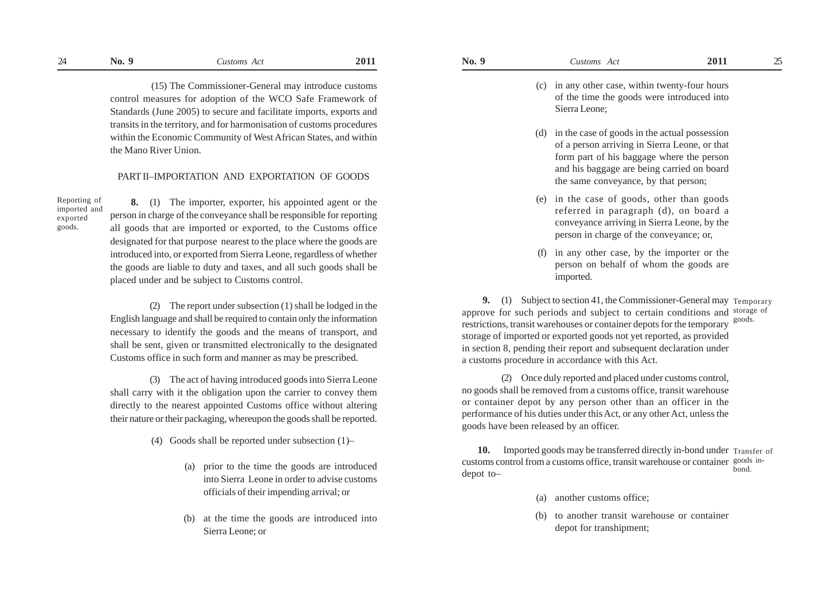(15) The Commissioner-General may introduce customs control measures for adoption of the WCO Safe Framework of Standards (June 2005) to secure and facilitate imports, exports and transits in the territory, and for harmonisation of customs procedures within the Economic Community of West African States, and within the Mano River Union.

## PART II–IMPORTATION AND EXPORTATION OF GOODS

Reporting of imported and exported goods.

 **8.** (1) The importer, exporter, his appointed agent or the person in charge of the conveyance shall be responsible for reporting all goods that are imported or exported, to the Customs office designated for that purpose nearest to the place where the goods are introduced into, or exported from Sierra Leone, regardless of whether the goods are liable to duty and taxes, and all such goods shall be placed under and be subject to Customs control.

(2) The report under subsection (1) shall be lodged in the English language and shall be required to contain only the information necessary to identify the goods and the means of transport, and shall be sent, given or transmitted electronically to the designated Customs office in such form and manner as may be prescribed.

(3) The act of having introduced goods into Sierra Leone shall carry with it the obligation upon the carrier to convey them directly to the nearest appointed Customs office without altering their nature or their packaging, whereupon the goods shall be reported.

(4) Goods shall be reported under subsection (1)–

- (a) prior to the time the goods are introduced into Sierra Leone in order to advise customs officials of their impending arrival; or
- (b) at the time the goods are introduced into Sierra Leone; or
- (c) in any other case, within twenty-four hours of the time the goods were introduced into Sierra Leone;
- (d) in the case of goods in the actual possession of a person arriving in Sierra Leone, or that form part of his baggage where the person and his baggage are being carried on board the same conveyance, by that person;
- (e) in the case of goods, other than goods referred in paragraph (d), on board a conveyance arriving in Sierra Leone, by the person in charge of the conveyance; or,
- (f) in any other case, by the importer or the person on behalf of whom the goods are imported.

**9.** (1) Subject to section 41, the Commissioner-General may Temporary approve for such periods and subject to certain conditions and storage of restrictions, transit warehouses or container depots for the temporary goods. storage of imported or exported goods not yet reported, as provided in section 8, pending their report and subsequent declaration under a customs procedure in accordance with this Act.

(2) Once duly reported and placed under customs control, no goods shall be removed from a customs office, transit warehouse or container depot by any person other than an officer in the performance of his duties under this Act, or any other Act, unless the goods have been released by an officer.

**10.** Imported goods may be transferred directly in-bond under Transfer of customs control from a customs office, transit warehouse or container goods indepot to– bond.

- (a) another customs office;
- (b) to another transit warehouse or container depot for transhipment;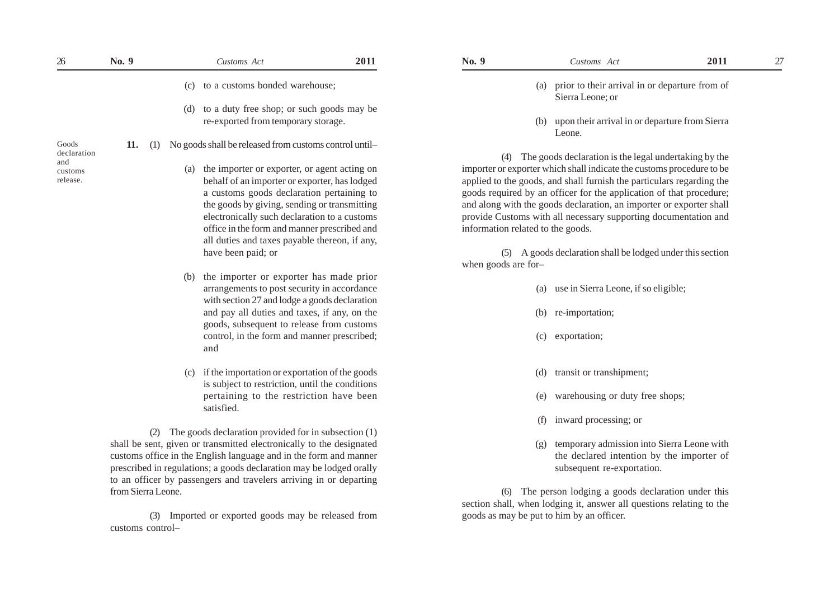| $26\,$             | No. 9              |     | Customs Act                                                          | 2011 | No. 9                             | Customs Act                                                            | 2011 | 27 |
|--------------------|--------------------|-----|----------------------------------------------------------------------|------|-----------------------------------|------------------------------------------------------------------------|------|----|
|                    |                    |     | (c) to a customs bonded warehouse;                                   |      |                                   | (a) prior to their arrival in or departure from of<br>Sierra Leone; or |      |    |
|                    |                    |     | (d) to a duty free shop; or such goods may be                        |      |                                   |                                                                        |      |    |
|                    |                    |     | re-exported from temporary storage.                                  |      |                                   | (b) upon their arrival in or departure from Sierra<br>Leone.           |      |    |
| Goods              | 11.<br>(1)         |     | No goods shall be released from customs control until-               |      |                                   |                                                                        |      |    |
| declaration<br>and |                    |     |                                                                      |      |                                   | (4) The goods declaration is the legal undertaking by the              |      |    |
| customs            |                    |     | (a) the importer or exporter, or agent acting on                     |      |                                   | importer or exporter which shall indicate the customs procedure to be  |      |    |
| release.           |                    |     | behalf of an importer or exporter, has lodged                        |      |                                   | applied to the goods, and shall furnish the particulars regarding the  |      |    |
|                    |                    |     | a customs goods declaration pertaining to                            |      |                                   | goods required by an officer for the application of that procedure;    |      |    |
|                    |                    |     | the goods by giving, sending or transmitting                         |      |                                   | and along with the goods declaration, an importer or exporter shall    |      |    |
|                    |                    |     | electronically such declaration to a customs                         |      |                                   | provide Customs with all necessary supporting documentation and        |      |    |
|                    |                    |     | office in the form and manner prescribed and                         |      | information related to the goods. |                                                                        |      |    |
|                    |                    |     | all duties and taxes payable thereon, if any,                        |      |                                   |                                                                        |      |    |
|                    |                    |     | have been paid; or                                                   |      |                                   | (5) A goods declaration shall be lodged under this section             |      |    |
|                    |                    |     |                                                                      |      | when goods are for-               |                                                                        |      |    |
|                    |                    |     | (b) the importer or exporter has made prior                          |      |                                   |                                                                        |      |    |
|                    |                    |     | arrangements to post security in accordance                          |      | (a)                               | use in Sierra Leone, if so eligible;                                   |      |    |
|                    |                    |     | with section 27 and lodge a goods declaration                        |      |                                   |                                                                        |      |    |
|                    |                    |     | and pay all duties and taxes, if any, on the                         |      |                                   | (b) re-importation;                                                    |      |    |
|                    |                    |     | goods, subsequent to release from customs                            |      |                                   |                                                                        |      |    |
|                    |                    |     | control, in the form and manner prescribed;                          |      |                                   | (c) exportation;                                                       |      |    |
|                    |                    |     | and                                                                  |      |                                   |                                                                        |      |    |
|                    |                    | (c) | if the importation or exportation of the goods                       |      | (d)                               | transit or transhipment;                                               |      |    |
|                    |                    |     | is subject to restriction, until the conditions                      |      |                                   |                                                                        |      |    |
|                    |                    |     | pertaining to the restriction have been                              |      | (e)                               | warehousing or duty free shops;                                        |      |    |
|                    |                    |     | satisfied.                                                           |      |                                   |                                                                        |      |    |
|                    |                    |     |                                                                      |      |                                   | (f) inward processing; or                                              |      |    |
|                    |                    |     | (2) The goods declaration provided for in subsection (1)             |      |                                   |                                                                        |      |    |
|                    |                    |     | shall be sent, given or transmitted electronically to the designated |      | (g)                               | temporary admission into Sierra Leone with                             |      |    |
|                    |                    |     | customs office in the English language and in the form and manner    |      |                                   | the declared intention by the importer of                              |      |    |
|                    |                    |     | prescribed in regulations; a goods declaration may be lodged orally  |      |                                   | subsequent re-exportation.                                             |      |    |
|                    |                    |     | to an officer by passengers and travelers arriving in or departing   |      |                                   |                                                                        |      |    |
|                    | from Sierra Leone. |     |                                                                      |      | (6)                               | The person lodging a goods declaration under this                      |      |    |
|                    |                    |     |                                                                      |      |                                   | section shall, when lodging it, answer all questions relating to the   |      |    |
|                    |                    |     | (3) Imported or exported goods may be released from                  |      |                                   | goods as may be put to him by an officer.                              |      |    |
|                    |                    |     |                                                                      |      |                                   |                                                                        |      |    |

customs control–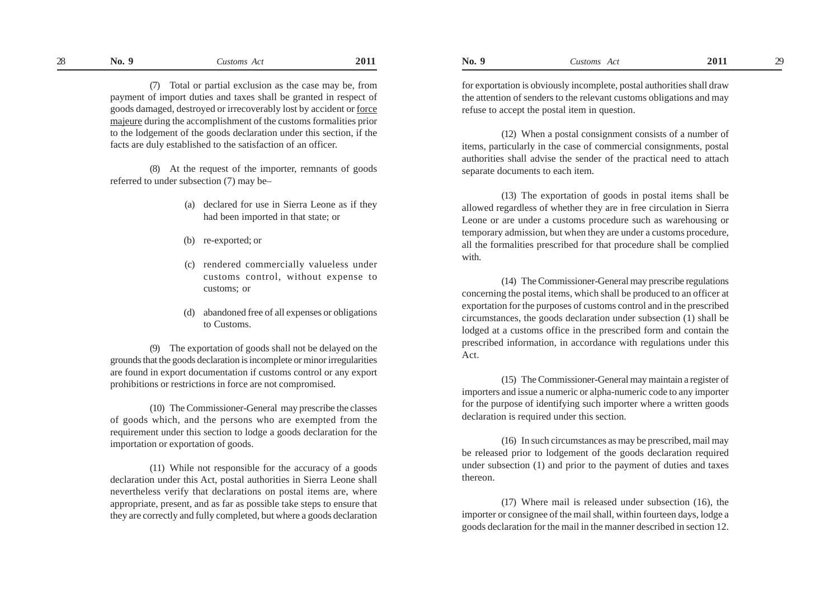(7) Total or partial exclusion as the case may be, from payment of import duties and taxes shall be granted in respect of goods damaged, destroyed or irrecoverably lost by accident or force majeure during the accomplishment of the customs formalities prior to the lodgement of the goods declaration under this section, if the facts are duly established to the satisfaction of an officer.

(8) At the request of the importer, remnants of goods referred to under subsection (7) may be–

- (a) declared for use in Sierra Leone as if they had been imported in that state; or
- (b) re-exported; or
- (c) rendered commercially valueless under customs control, without expense to customs; or
- (d) abandoned free of all expenses or obligations to Customs.

(9) The exportation of goods shall not be delayed on the grounds that the goods declaration is incomplete or minor irregularities are found in export documentation if customs control or any export prohibitions or restrictions in force are not compromised.

(10) The Commissioner-General may prescribe the classes of goods which, and the persons who are exempted from the requirement under this section to lodge a goods declaration for the importation or exportation of goods.

(11) While not responsible for the accuracy of a goods declaration under this Act, postal authorities in Sierra Leone shall nevertheless verify that declarations on postal items are, where appropriate, present, and as far as possible take steps to ensure that they are correctly and fully completed, but where a goods declaration for exportation is obviously incomplete, postal authorities shall draw the attention of senders to the relevant customs obligations and may refuse to accept the postal item in question.

(12) When a postal consignment consists of a number of items, particularly in the case of commercial consignments, postal authorities shall advise the sender of the practical need to attach separate documents to each item.

(13) The exportation of goods in postal items shall be allowed regardless of whether they are in free circulation in Sierra Leone or are under a customs procedure such as warehousing or temporary admission, but when they are under a customs procedure, all the formalities prescribed for that procedure shall be complied with.

(14) The Commissioner-General may prescribe regulations concerning the postal items, which shall be produced to an officer at exportation for the purposes of customs control and in the prescribed circumstances, the goods declaration under subsection (1) shall be lodged at a customs office in the prescribed form and contain the prescribed information, in accordance with regulations under this Act.

(15) The Commissioner-General may maintain a register of importers and issue a numeric or alpha-numeric code to any importer for the purpose of identifying such importer where a written goods declaration is required under this section.

(16) In such circumstances as may be prescribed, mail may be released prior to lodgement of the goods declaration required under subsection (1) and prior to the payment of duties and taxes thereon.

(17) Where mail is released under subsection (16), the importer or consignee of the mail shall, within fourteen days, lodge a goods declaration for the mail in the manner described in section 12.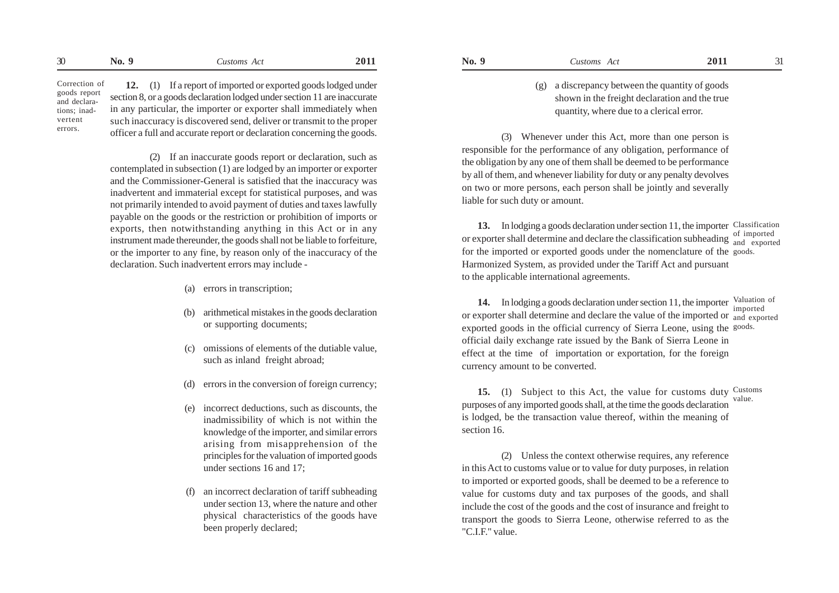Correction of goods report and declarations; inadvertent errors.

**12.** (1) If a report of imported or exported goods lodged under section 8, or a goods declaration lodged under section 11 are inaccurate in any particular, the importer or exporter shall immediately when such inaccuracy is discovered send, deliver or transmit to the proper officer a full and accurate report or declaration concerning the goods.

(2) If an inaccurate goods report or declaration, such as contemplated in subsection (1) are lodged by an importer or exporter and the Commissioner-General is satisfied that the inaccuracy was inadvertent and immaterial except for statistical purposes, and was not primarily intended to avoid payment of duties and taxes lawfully payable on the goods or the restriction or prohibition of imports or exports, then notwithstanding anything in this Act or in any instrument made thereunder, the goods shall not be liable to forfeiture, or the importer to any fine, by reason only of the inaccuracy of the declaration. Such inadvertent errors may include -

- (a) errors in transcription;
- (b) arithmetical mistakes in the goods declaration or supporting documents;
- (c) omissions of elements of the dutiable value, such as inland freight abroad;
- (d) errors in the conversion of foreign currency;
- (e) incorrect deductions, such as discounts, the inadmissibility of which is not within the knowledge of the importer, and similar errors arising from misapprehension of the principles for the valuation of imported goods under sections 16 and 17;
- (f) an incorrect declaration of tariff subheading under section 13, where the nature and other physical characteristics of the goods have been properly declared;

(g) a discrepancy between the quantity of goods shown in the freight declaration and the true quantity, where due to a clerical error.

(3) Whenever under this Act, more than one person is responsible for the performance of any obligation, performance of the obligation by any one of them shall be deemed to be performance by all of them, and whenever liability for duty or any penalty devolves on two or more persons, each person shall be jointly and severally liable for such duty or amount.

**13.** In lodging a goods declaration under section 11, the importer Classification or exporter shall determine and declare the classification subheading of imported for the imported or exported goods under the nomenclature of the goods. Harmonized System, as provided under the Tariff Act and pursuant to the applicable international agreements. and exported

14. In lodging a goods declaration under section 11, the importer Valuation of or exporter shall determine and declare the value of the imported or <sub>and exported</sub> exported goods in the official currency of Sierra Leone, using the goods. official daily exchange rate issued by the Bank of Sierra Leone in effect at the time of importation or exportation, for the foreign currency amount to be converted. imported

**15.** (1) Subject to this Act, the value for customs duty Customs purposes of any imported goods shall, at the time the goods declaration is lodged, be the transaction value thereof, within the meaning of section 16. value.

(2) Unless the context otherwise requires, any reference in this Act to customs value or to value for duty purposes, in relation to imported or exported goods, shall be deemed to be a reference to value for customs duty and tax purposes of the goods, and shall include the cost of the goods and the cost of insurance and freight to transport the goods to Sierra Leone, otherwise referred to as the "C.I.F." value.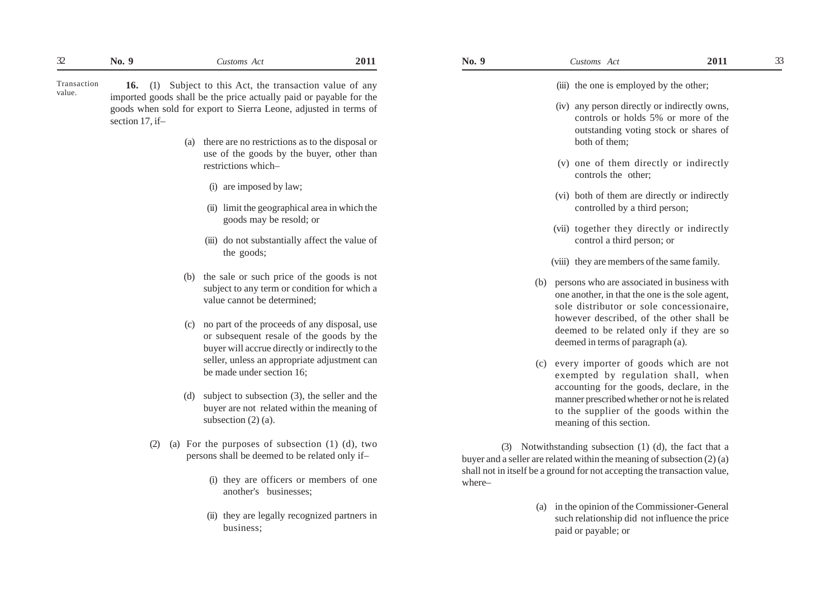**16.** (1) Subject to this Act, the transaction value of any imported goods shall be the price actually paid or payable for the goods when sold for export to Sierra Leone, adjusted in terms of section 17, if– Transaction value.

- (a) there are no restrictions as to the disposal or use of the goods by the buyer, other than restrictions which–
	- (i) are imposed by law;
	- (ii) limit the geographical area in which the goods may be resold; or
	- (iii) do not substantially affect the value of the goods;
- (b) the sale or such price of the goods is not subject to any term or condition for which a value cannot be determined;
- (c) no part of the proceeds of any disposal, use or subsequent resale of the goods by the buyer will accrue directly or indirectly to the seller, unless an appropriate adjustment can be made under section 16;
- (d) subject to subsection (3), the seller and the buyer are not related within the meaning of subsection  $(2)$   $(a)$ .
- (2) (a) For the purposes of subsection (1) (d), two persons shall be deemed to be related only if–
	- (i) they are officers or members of one another's businesses;
	- (ii) they are legally recognized partners in business;

(iii) the one is employed by the other:

- (iv) any person directly or indirectly owns, controls or holds 5% or more of the outstanding voting stock or shares of both of them;
- (v) one of them directly or indirectly controls the other;
- (vi) both of them are directly or indirectly controlled by a third person;
- (vii) together they directly or indirectly control a third person; or
- (viii) they are members of the same family.
- (b) persons who are associated in business with one another, in that the one is the sole agent, sole distributor or sole concessionaire, however described, of the other shall be deemed to be related only if they are so deemed in terms of paragraph (a).
- (c) every importer of goods which are not exempted by regulation shall, when accounting for the goods, declare, in the manner prescribed whether or not he is related to the supplier of the goods within the meaning of this section.

(3) Notwithstanding subsection (1) (d), the fact that a buyer and a seller are related within the meaning of subsection (2) (a) shall not in itself be a ground for not accepting the transaction value, where–

> (a) in the opinion of the Commissioner-General such relationship did not influence the price paid or payable; or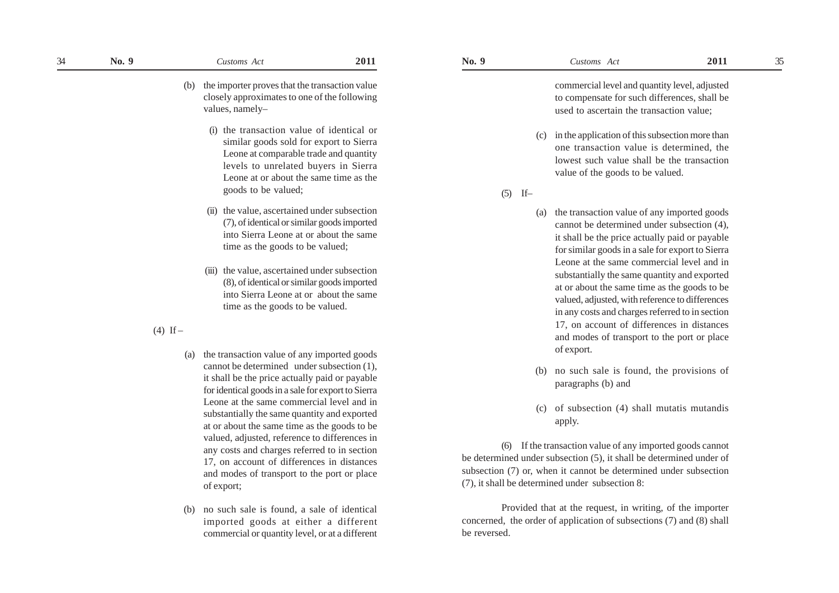(b) the importer proves that the transaction value closely approximates to one of the following values, namely–

- (i) the transaction value of identical or similar goods sold for export to Sierra Leone at comparable trade and quantity levels to unrelated buyers in Sierra Leone at or about the same time as the goods to be valued;
- (ii) the value, ascertained under subsection (7), of identical or similar goods imported into Sierra Leone at or about the same time as the goods to be valued;
- (iii) the value, ascertained under subsection (8), of identical or similar goods imported into Sierra Leone at or about the same time as the goods to be valued.

 $(4)$  If –

- (a) the transaction value of any imported goods cannot be determined under subsection (1), it shall be the price actually paid or payable for identical goods in a sale for export to Sierra Leone at the same commercial level and in substantially the same quantity and exported at or about the same time as the goods to be valued, adjusted, reference to differences in any costs and charges referred to in section 17, on account of differences in distances and modes of transport to the port or place of export;
- (b) no such sale is found, a sale of identical imported goods at either a different commercial or quantity level, or at a different

commercial level and quantity level, adjusted to compensate for such differences, shall be used to ascertain the transaction value;

- (c) in the application of this subsection more than one transaction value is determined, the lowest such value shall be the transaction value of the goods to be valued.
- $(5)$  If-
	- (a) the transaction value of any imported goods cannot be determined under subsection (4), it shall be the price actually paid or payable for similar goods in a sale for export to Sierra Leone at the same commercial level and in substantially the same quantity and exported at or about the same time as the goods to be valued, adjusted, with reference to differences in any costs and charges referred to in section 17, on account of differences in distances and modes of transport to the port or place of export.
	- (b) no such sale is found, the provisions of paragraphs (b) and
	- (c) of subsection (4) shall mutatis mutandis apply.

(6) If the transaction value of any imported goods cannot be determined under subsection (5), it shall be determined under of subsection (7) or, when it cannot be determined under subsection (7), it shall be determined under subsection 8:

Provided that at the request, in writing, of the importer concerned, the order of application of subsections (7) and (8) shall be reversed.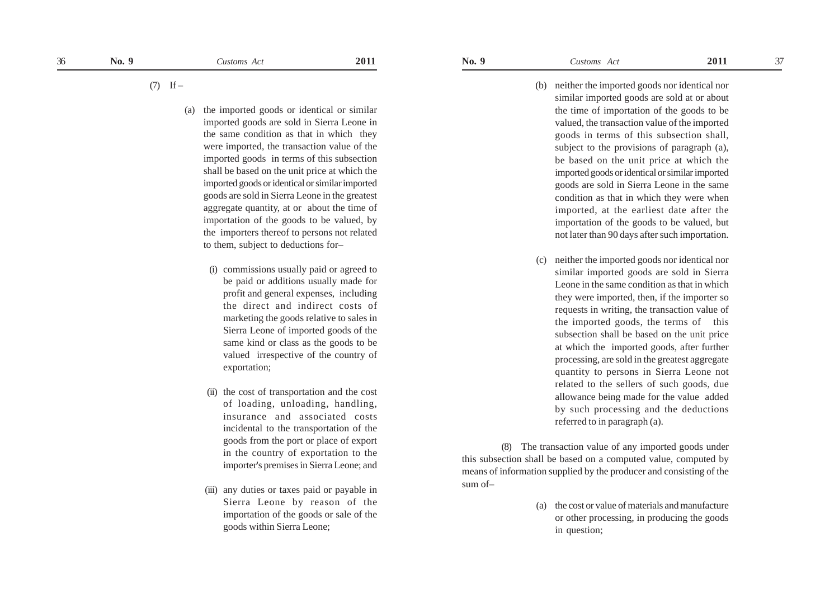- (b) neither the imported goods nor identical nor similar imported goods are sold at or about the time of importation of the goods to be valued, the transaction value of the imported goods in terms of this subsection shall, subject to the provisions of paragraph (a), be based on the unit price at which the imported goods or identical or similar imported goods are sold in Sierra Leone in the same condition as that in which they were when imported, at the earliest date after the importation of the goods to be valued, but not later than 90 days after such importation.
- (c) neither the imported goods nor identical nor similar imported goods are sold in Sierra Leone in the same condition as that in which they were imported, then, if the importer so requests in writing, the transaction value of the imported goods, the terms of this subsection shall be based on the unit price at which the imported goods, after further processing, are sold in the greatest aggregate quantity to persons in Sierra Leone not related to the sellers of such goods, due allowance being made for the value added by such processing and the deductions referred to in paragraph (a).

(8) The transaction value of any imported goods under this subsection shall be based on a computed value, computed by means of information supplied by the producer and consisting of the sum of–

> (a) the cost or value of materials and manufacture or other processing, in producing the goods in question;

 $(7)$  If –

- (a) the imported goods or identical or similar imported goods are sold in Sierra Leone in the same condition as that in which they were imported, the transaction value of the imported goods in terms of this subsection shall be based on the unit price at which the imported goods or identical or similar imported goods are sold in Sierra Leone in the greatest aggregate quantity, at or about the time of importation of the goods to be valued, by the importers thereof to persons not related to them, subject to deductions for–
	- (i) commissions usually paid or agreed to be paid or additions usually made for profit and general expenses, including the direct and indirect costs of marketing the goods relative to sales in Sierra Leone of imported goods of the same kind or class as the goods to be valued irrespective of the country of exportation;
	- (ii) the cost of transportation and the cost of loading, unloading, handling, insurance and associated costs incidental to the transportation of the goods from the port or place of export in the country of exportation to the importer's premises in Sierra Leone; and
	- (iii) any duties or taxes paid or payable in Sierra Leone by reason of the importation of the goods or sale of the goods within Sierra Leone;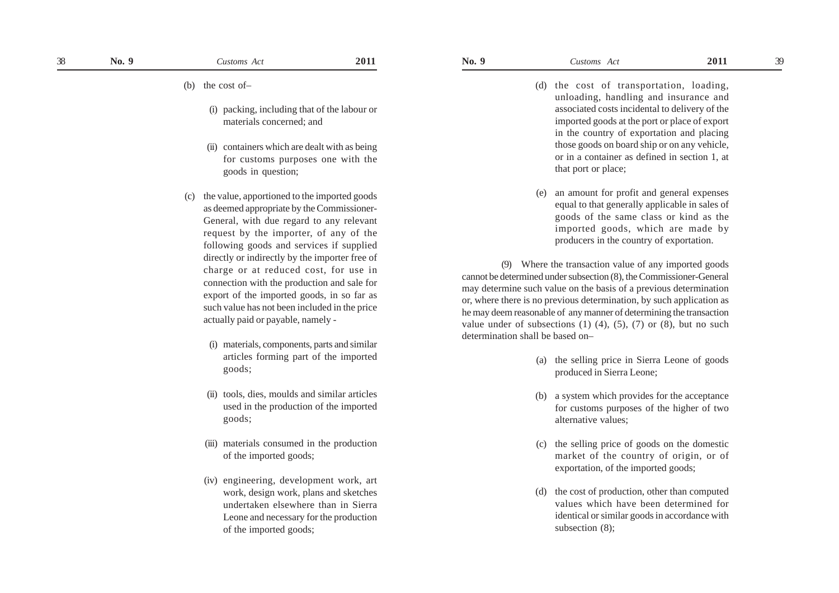- (d) the cost of transportation, loading, unloading, handling and insurance and associated costs incidental to delivery of the imported goods at the port or place of export in the country of exportation and placing those goods on board ship or on any vehicle, or in a container as defined in section 1, at
- (e) an amount for profit and general expenses equal to that generally applicable in sales of goods of the same class or kind as the imported goods, which are made by producers in the country of exportation.

(9) Where the transaction value of any imported goods cannot be determined under subsection (8), the Commissioner-General may determine such value on the basis of a previous determination or, where there is no previous determination, by such application as he may deem reasonable of any manner of determining the transaction value under of subsections  $(1)$   $(4)$ ,  $(5)$ ,  $(7)$  or  $(8)$ , but no such determination shall be based on–

that port or place;

- (a) the selling price in Sierra Leone of goods produced in Sierra Leone;
- (b) a system which provides for the acceptance for customs purposes of the higher of two alternative values;
- (c) the selling price of goods on the domestic market of the country of origin, or of exportation, of the imported goods;
- (d) the cost of production, other than computed values which have been determined for identical or similar goods in accordance with subsection (8);
- (i) packing, including that of the labour or materials concerned; and
- (ii) containers which are dealt with as being for customs purposes one with the goods in question;
- (c) the value, apportioned to the imported goods as deemed appropriate by the Commissioner-General, with due regard to any relevant request by the importer, of any of the following goods and services if supplied directly or indirectly by the importer free of charge or at reduced cost, for use in connection with the production and sale for export of the imported goods, in so far as such value has not been included in the price actually paid or payable, namely -
	- (i) materials, components, parts and similar articles forming part of the imported goods;
	- (ii) tools, dies, moulds and similar articles used in the production of the imported goods;
	- (iii) materials consumed in the production of the imported goods;
	- (iv) engineering, development work, art work, design work, plans and sketches undertaken elsewhere than in Sierra Leone and necessary for the production of the imported goods;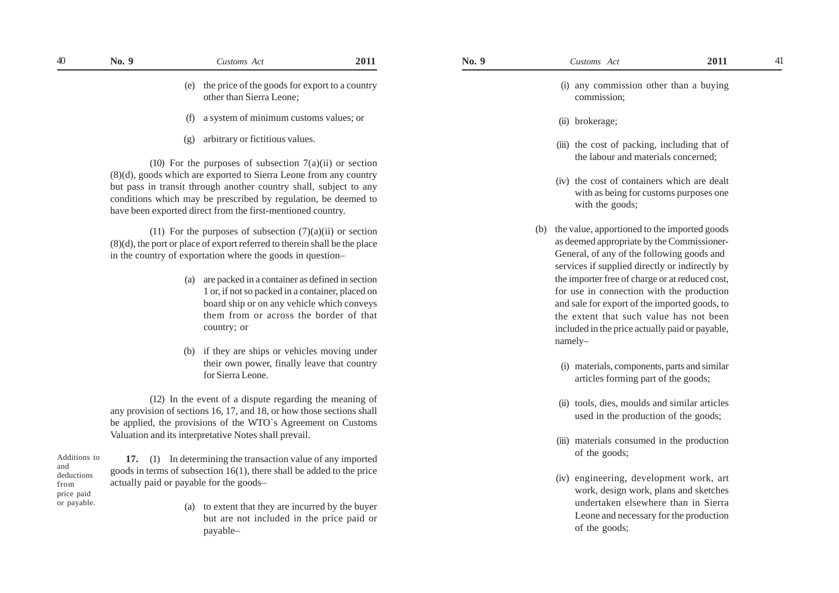| No. 9 | Customs Act                                                                    | 2011 | No. 9 | Customs Act                                           | 2011 |  |
|-------|--------------------------------------------------------------------------------|------|-------|-------------------------------------------------------|------|--|
|       | (e) the price of the goods for export to a country<br>other than Sierra Leone; |      |       | (i) any commission other than a buying<br>commission; |      |  |
|       | a system of minimum customs values; or<br>(f)                                  |      |       | $\int$ heakaraga                                      |      |  |

(g) arbitrary or fictitious values.

(10) For the purposes of subsection  $7(a)(ii)$  or section (8)(d), goods which are exported to Sierra Leone from any country but pass in transit through another country shall, subject to any conditions which may be prescribed by regulation, be deemed to have been exported direct from the first-mentioned country.

(11) For the purposes of subsection  $(7)(a)(ii)$  or section (8)(d), the port or place of export referred to therein shall be the place in the country of exportation where the goods in question–

- (a) are packed in a container as defined in section 1 or, if not so packed in a container, placed on board ship or on any vehicle which conveys them from or across the border of that country; or
- (b) if they are ships or vehicles moving under their own power, finally leave that country for Sierra Leone.

(12) In the event of a dispute regarding the meaning of any provision of sections 16, 17, and 18, or how those sections shall be applied, the provisions of the WTO`s Agreement on Customs Valuation and its interpretative Notes shall prevail.

**17.** (1) In determining the transaction value of any imported goods in terms of subsection 16(1), there shall be added to the price actually paid or payable for the goods– Additions to deductions price paid

and

from

or payable.

(a) to extent that they are incurred by the buyer but are not included in the price paid or payable–

- (i) any commission other than a buying
	- (ii) brokerage;

- (iii) the cost of packing, including that of the labour and materials concerned;
- (iv) the cost of containers which are dealt with as being for customs purposes one with the goods;
- (b) the value, apportioned to the imported goods as deemed appropriate by the Commissioner-General, of any of the following goods and services if supplied directly or indirectly by the importer free of charge or at reduced cost, for use in connection with the production and sale for export of the imported goods, to the extent that such value has not been included in the price actually paid or payable, namely–
	- (i) materials, components, parts and similar articles forming part of the goods;
	- (ii) tools, dies, moulds and similar articles used in the production of the goods;
	- (iii) materials consumed in the production of the goods;
	- (iv) engineering, development work, art work, design work, plans and sketches undertaken elsewhere than in Sierra Leone and necessary for the production of the goods;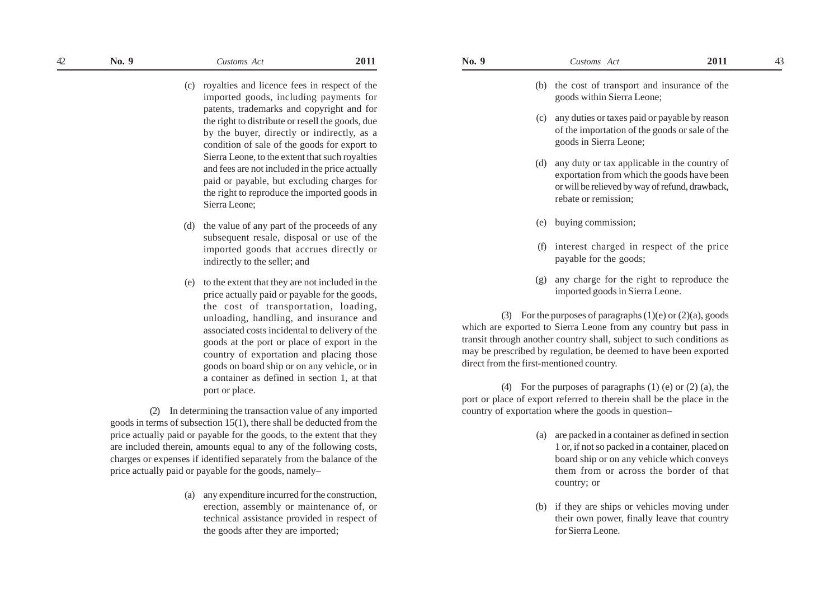(c) royalties and licence fees in respect of the imported goods, including payments for patents, trademarks and copyright and for the right to distribute or resell the goods, due by the buyer, directly or indirectly, as a condition of sale of the goods for export to Sierra Leone, to the extent that such royalties and fees are not included in the price actually paid or payable, but excluding charges for the right to reproduce the imported goods in Sierra Leone;

- (d) the value of any part of the proceeds of any subsequent resale, disposal or use of the imported goods that accrues directly or indirectly to the seller; and
- (e) to the extent that they are not included in the price actually paid or payable for the goods, the cost of transportation, loading, unloading, handling, and insurance and associated costs incidental to delivery of the goods at the port or place of export in the country of exportation and placing those goods on board ship or on any vehicle, or in a container as defined in section 1, at that port or place.

(2) In determining the transaction value of any imported goods in terms of subsection 15(1), there shall be deducted from the price actually paid or payable for the goods, to the extent that they are included therein, amounts equal to any of the following costs, charges or expenses if identified separately from the balance of the price actually paid or payable for the goods, namely–

> (a) any expenditure incurred for the construction, erection, assembly or maintenance of, or technical assistance provided in respect of the goods after they are imported;

- (b) the cost of transport and insurance of the goods within Sierra Leone;
- (c) any duties or taxes paid or payable by reason of the importation of the goods or sale of the goods in Sierra Leone;
- (d) any duty or tax applicable in the country of exportation from which the goods have been or will be relieved by way of refund, drawback, rebate or remission;
- (e) buying commission;
- (f) interest charged in respect of the price payable for the goods;
- (g) any charge for the right to reproduce the imported goods in Sierra Leone.

(3) For the purposes of paragraphs  $(1)(e)$  or  $(2)(a)$ , goods which are exported to Sierra Leone from any country but pass in transit through another country shall, subject to such conditions as may be prescribed by regulation, be deemed to have been exported direct from the first-mentioned country.

(4) For the purposes of paragraphs (1) (e) or (2) (a), the port or place of export referred to therein shall be the place in the country of exportation where the goods in question–

- (a) are packed in a container as defined in section 1 or, if not so packed in a container, placed on board ship or on any vehicle which conveys them from or across the border of that country; or
- (b) if they are ships or vehicles moving under their own power, finally leave that country for Sierra Leone.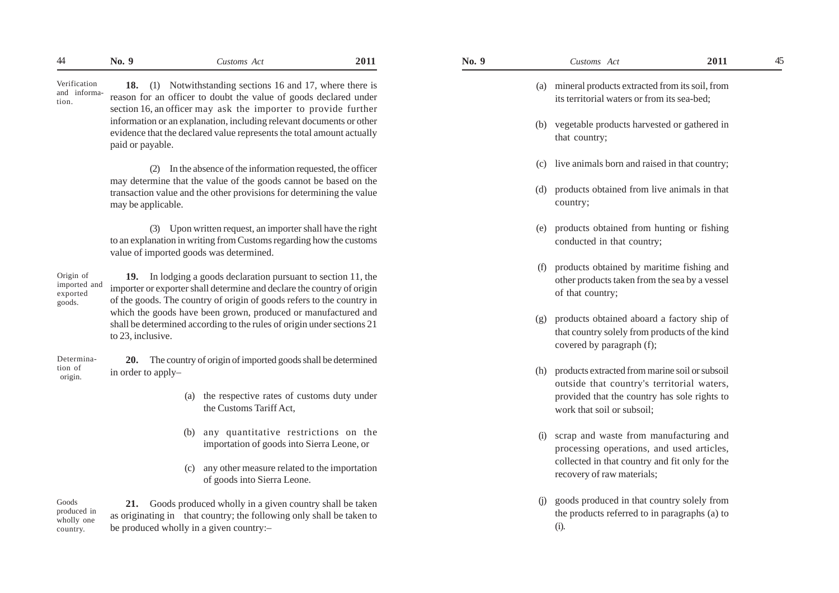Verification and information.

**18.** (1) Notwithstanding sections 16 and 17, where there is reason for an officer to doubt the value of goods declared under section 16, an officer may ask the importer to provide further information or an explanation, including relevant documents or other evidence that the declared value represents the total amount actually paid or payable.

(2) In the absence of the information requested, the officer may determine that the value of the goods cannot be based on the transaction value and the other provisions for determining the value may be applicable.

(3) Upon written request, an importer shall have the right to an explanation in writing from Customs regarding how the customs value of imported goods was determined.

Origin of imported and exported goods.

**19.** In lodging a goods declaration pursuant to section 11, the importer or exporter shall determine and declare the country of origin of the goods. The country of origin of goods refers to the country in which the goods have been grown, produced or manufactured and shall be determined according to the rules of origin under sections 21 to 23, inclusive.

**20.** The country of origin of imported goods shall be determined in order to apply– Determination of origin.

- (a) the respective rates of customs duty under the Customs Tariff Act,
- (b) any quantitative restrictions on the importation of goods into Sierra Leone, or
- (c) any other measure related to the importation of goods into Sierra Leone.

Goods produced in wholly one country.

**21.** Goods produced wholly in a given country shall be taken as originating in that country; the following only shall be taken to be produced wholly in a given country:–

| (a) | mineral products extracted from its soil, from<br>its territorial waters or from its sea-bed; |
|-----|-----------------------------------------------------------------------------------------------|
| (b) | vegetable products harvested or gathered in<br>that country;                                  |
|     | (c) live animals born and raised in that country;                                             |
| (d) | products obtained from live animals in that<br>country;                                       |

- (e) products obtained from hunting or fishing conducted in that country;
- (f) products obtained by maritime fishing and other products taken from the sea by a vessel of that country;
- (g) products obtained aboard a factory ship of that country solely from products of the kind covered by paragraph (f);
- (h) products extracted from marine soil or subsoil outside that country's territorial waters, provided that the country has sole rights to work that soil or subsoil;
- (i) scrap and waste from manufacturing and processing operations, and used articles, collected in that country and fit only for the recovery of raw materials;
- (j) goods produced in that country solely from the products referred to in paragraphs (a) to (i).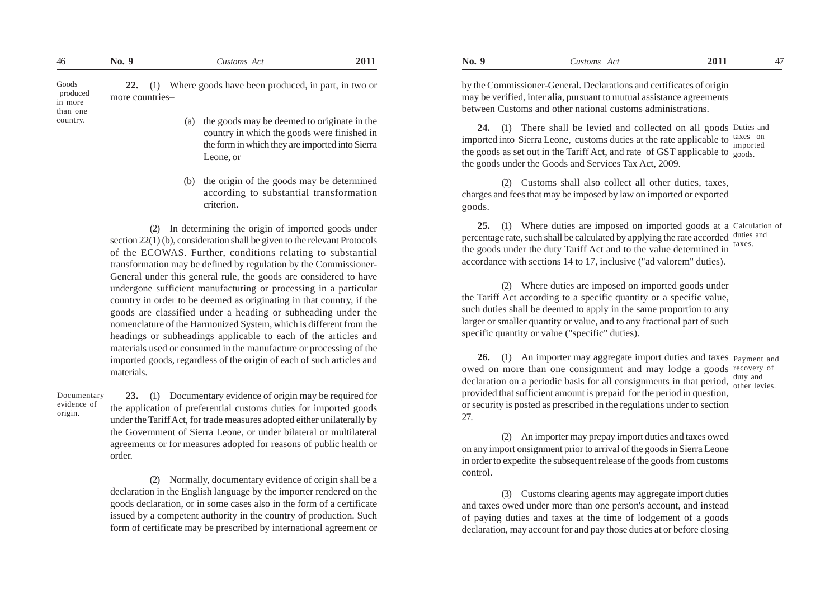| 46                                       | No. 9                        | Customs Act                                                                                    | 2011 | No. 9 | Customs Act                                                                                                                                                                                                                                                                                                                                                             | 2011 | 47 |
|------------------------------------------|------------------------------|------------------------------------------------------------------------------------------------|------|-------|-------------------------------------------------------------------------------------------------------------------------------------------------------------------------------------------------------------------------------------------------------------------------------------------------------------------------------------------------------------------------|------|----|
| Goods<br>produced<br>in more<br>than one | $22.$ (1)<br>more countries- | Where goods have been produced, in part, in two or                                             |      |       | by the Commissioner-General. Declarations and certificates of origin<br>may be verified, inter alia, pursuant to mutual assistance agreements<br>between Customs and other national customs administrations.                                                                                                                                                            |      |    |
| country.                                 |                              | (a) the goods may be deemed to originate in the<br>country in which the goods were finished in |      |       | 24. (1) There shall be levied and collected on all goods Duties and<br>$\mathbf{f}$ and $\mathbf{f}$ and $\mathbf{f}$ and $\mathbf{f}$ and $\mathbf{f}$ and $\mathbf{f}$ and $\mathbf{f}$ and $\mathbf{f}$ and $\mathbf{f}$ and $\mathbf{f}$ and $\mathbf{f}$ and $\mathbf{f}$ and $\mathbf{f}$ and $\mathbf{f}$ and $\mathbf{f}$ and $\mathbf{f}$ and $\mathbf{f}$ and |      |    |

**24.** (1) There shall be levied and collected on all goods Duties and imported into Sierra Leone, customs duties at the rate applicable to  $\frac{\text{taxes}}{\text{imocated}}$ the goods as set out in the Tariff Act, and rate of GST applicable to  $_{\rm goods.}$ the goods under the Goods and Services Tax Act, 2009. imported

(2) Customs shall also collect all other duties, taxes, charges and fees that may be imposed by law on imported or exported goods.

**25.** (1) Where duties are imposed on imported goods at a Calculation of percentage rate, such shall be calculated by applying the rate accorded duties and the goods under the duty Tariff Act and to the value determined in accordance with sections 14 to 17, inclusive ("ad valorem" duties). taxes.

(2) Where duties are imposed on imported goods under the Tariff Act according to a specific quantity or a specific value, such duties shall be deemed to apply in the same proportion to any larger or smaller quantity or value, and to any fractional part of such specific quantity or value ("specific" duties).

**26.** (1) An importer may aggregate import duties and taxes Payment and owed on more than one consignment and may lodge a goods recovery of declaration on a periodic basis for all consignments in that period,  $\frac{duty}{other}$  levies. provided that sufficient amount is prepaid for the period in question, or security is posted as prescribed in the regulations under to section 27.

(2) An importer may prepay import duties and taxes owed on any import onsignment prior to arrival of the goods in Sierra Leone in order to expedite the subsequent release of the goods from customs control.

(3) Customs clearing agents may aggregate import duties and taxes owed under more than one person's account, and instead of paying duties and taxes at the time of lodgement of a goods declaration, may account for and pay those duties at or before closing

**23.** (1) Documentary evidence of origin may be required for the application of preferential customs duties for imported goods under the Tariff Act, for trade measures adopted either unilaterally by the Government of Sierra Leone, or under bilateral or multilateral agreements or for measures adopted for reasons of public health or order.

the form in which they are imported into Sierra

the origin of the goods may be determined according to substantial transformation

(2) In determining the origin of imported goods under

section 22(1) (b), consideration shall be given to the relevant Protocols of the ECOWAS. Further, conditions relating to substantial

(2) Normally, documentary evidence of origin shall be a declaration in the English language by the importer rendered on the goods declaration, or in some cases also in the form of a certificate issued by a competent authority in the country of production. Such form of certificate may be prescribed by international agreement or

transformation may be defined by regulation by the Commissioner-General under this general rule, the goods are considered to have undergone sufficient manufacturing or processing in a particular country in order to be deemed as originating in that country, if the goods are classified under a heading or subheading under the nomenclature of the Harmonized System, which is different from the headings or subheadings applicable to each of the articles and materials used or consumed in the manufacture or processing of the imported goods, regardless of the origin of each of such articles and materials.

Leone, or

criterion.

Documentary evidence of origin.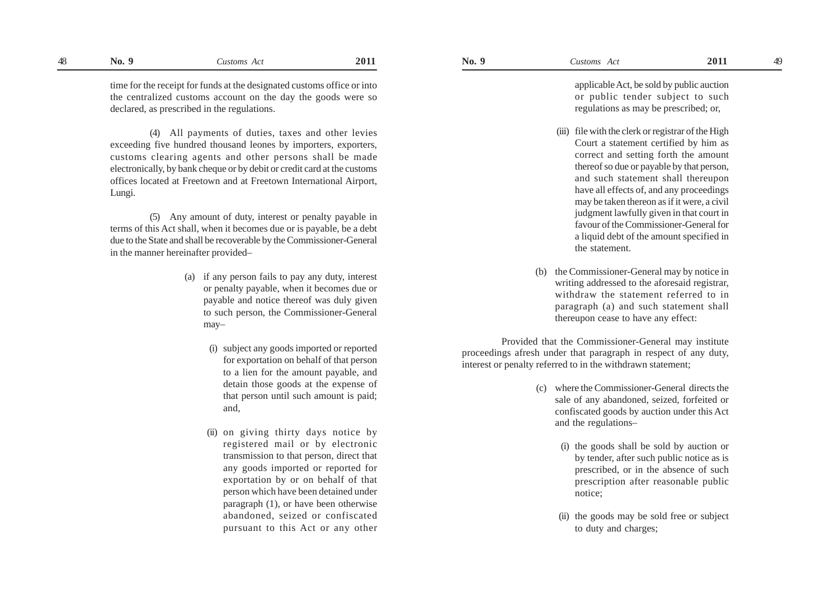time for the receipt for funds at the designated customs office or into the centralized customs account on the day the goods were so declared, as prescribed in the regulations.

(4) All payments of duties, taxes and other levies exceeding five hundred thousand leones by importers, exporters, customs clearing agents and other persons shall be made electronically, by bank cheque or by debit or credit card at the customs offices located at Freetown and at Freetown International Airport, Lungi.

(5) Any amount of duty, interest or penalty payable in terms of this Act shall, when it becomes due or is payable, be a debt due to the State and shall be recoverable by the Commissioner-General in the manner hereinafter provided–

- (a) if any person fails to pay any duty, interest or penalty payable, when it becomes due or payable and notice thereof was duly given to such person, the Commissioner-General may–
	- (i) subject any goods imported or reported for exportation on behalf of that person to a lien for the amount payable, and detain those goods at the expense of that person until such amount is paid; and,
	- (ii) on giving thirty days notice by registered mail or by electronic transmission to that person, direct that any goods imported or reported for exportation by or on behalf of that person which have been detained under paragraph (1), or have been otherwise abandoned, seized or confiscated pursuant to this Act or any other

applicable Act, be sold by public auction or public tender subject to such regulations as may be prescribed; or,

- (iii) file with the clerk or registrar of the High Court a statement certified by him as correct and setting forth the amount thereof so due or payable by that person, and such statement shall thereupon have all effects of, and any proceedings may be taken thereon as if it were, a civil judgment lawfully given in that court in favour of the Commissioner-General for a liquid debt of the amount specified in the statement.
- (b) the Commissioner-General may by notice in writing addressed to the aforesaid registrar, withdraw the statement referred to in paragraph (a) and such statement shall thereupon cease to have any effect:

Provided that the Commissioner-General may institute proceedings afresh under that paragraph in respect of any duty, interest or penalty referred to in the withdrawn statement;

- (c) where the Commissioner-General directs the sale of any abandoned, seized, forfeited or confiscated goods by auction under this Act and the regulations–
	- (i) the goods shall be sold by auction or by tender, after such public notice as is prescribed, or in the absence of such prescription after reasonable public notice;
	- (ii) the goods may be sold free or subject to duty and charges;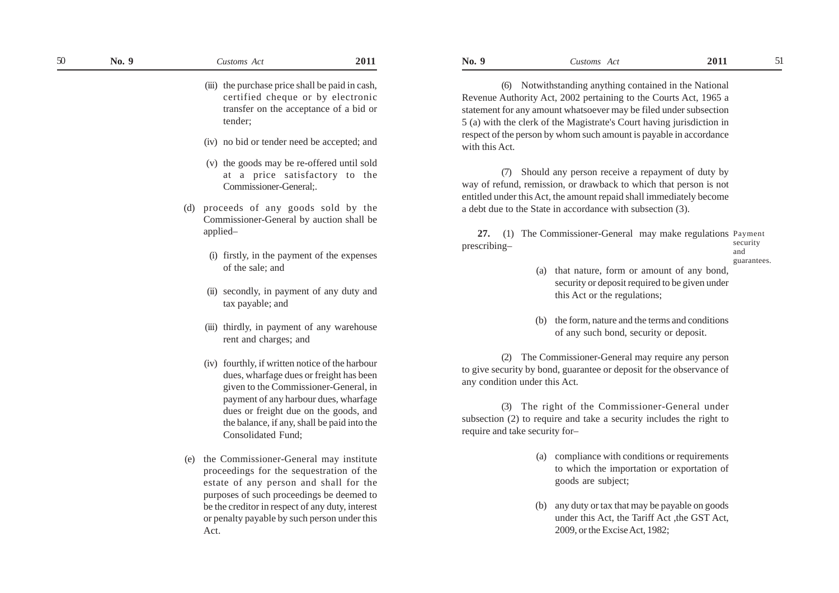(iii) the purchase price shall be paid in cash, certified cheque or by electronic transfer on the acceptance of a bid or tender;

- (iv) no bid or tender need be accepted; and
- (v) the goods may be re-offered until sold at a price satisfactory to the Commissioner-General;.
- (d) proceeds of any goods sold by the Commissioner-General by auction shall be applied–
	- (i) firstly, in the payment of the expenses of the sale; and
	- (ii) secondly, in payment of any duty and tax payable; and
	- (iii) thirdly, in payment of any warehouse rent and charges; and
	- (iv) fourthly, if written notice of the harbour dues, wharfage dues or freight has been given to the Commissioner-General, in payment of any harbour dues, wharfage dues or freight due on the goods, and the balance, if any, shall be paid into the Consolidated Fund;
- (e) the Commissioner-General may institute proceedings for the sequestration of the estate of any person and shall for the purposes of such proceedings be deemed to be the creditor in respect of any duty, interest or penalty payable by such person under this Act.

(6) Notwithstanding anything contained in the National Revenue Authority Act, 2002 pertaining to the Courts Act, 1965 a statement for any amount whatsoever may be filed under subsection 5 (a) with the clerk of the Magistrate's Court having jurisdiction in respect of the person by whom such amount is payable in accordance with this Act.

(7) Should any person receive a repayment of duty by way of refund, remission, or drawback to which that person is not entitled under this Act, the amount repaid shall immediately become a debt due to the State in accordance with subsection (3).

**27.** (1) The Commissioner-General may make regulations Payment prescribing– security and

- guarantees.
- (a) that nature, form or amount of any bond, security or deposit required to be given under this Act or the regulations;
- (b) the form, nature and the terms and conditions of any such bond, security or deposit.

(2) The Commissioner-General may require any person to give security by bond, guarantee or deposit for the observance of any condition under this Act.

(3) The right of the Commissioner-General under subsection (2) to require and take a security includes the right to require and take security for–

- (a) compliance with conditions or requirements to which the importation or exportation of goods are subject;
- (b) any duty or tax that may be payable on goods under this Act, the Tariff Act , the GST Act, 2009, or the Excise Act, 1982;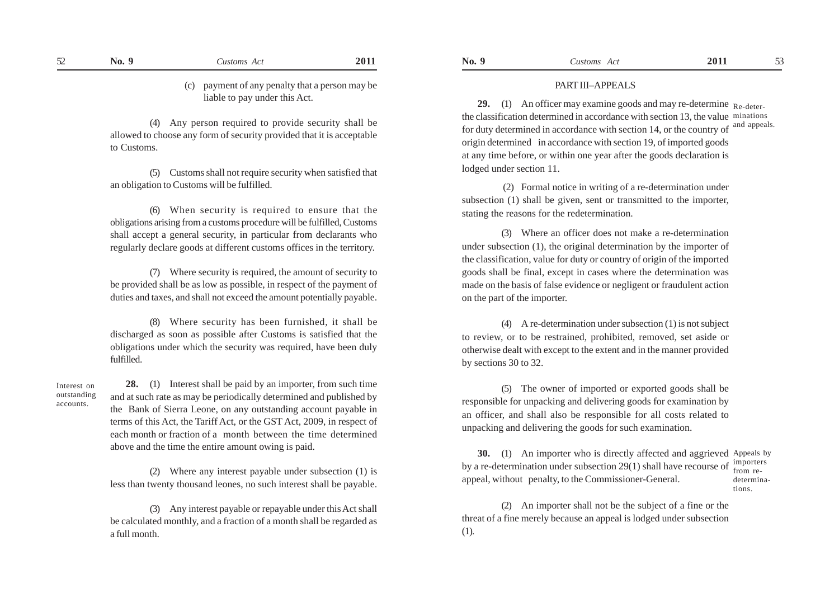(4) Any person required to provide security shall be allowed to choose any form of security provided that it is acceptable to Customs.

(5) Customs shall not require security when satisfied that an obligation to Customs will be fulfilled.

(6) When security is required to ensure that the obligations arising from a customs procedure will be fulfilled, Customs shall accept a general security, in particular from declarants who regularly declare goods at different customs offices in the territory.

(7) Where security is required, the amount of security to be provided shall be as low as possible, in respect of the payment of duties and taxes, and shall not exceed the amount potentially payable.

(8) Where security has been furnished, it shall be discharged as soon as possible after Customs is satisfied that the obligations under which the security was required, have been duly fulfilled.

Interest on outstanding accounts.

**28.** (1) Interest shall be paid by an importer, from such time and at such rate as may be periodically determined and published by the Bank of Sierra Leone, on any outstanding account payable in terms of this Act, the Tariff Act, or the GST Act, 2009, in respect of each month or fraction of a month between the time determined above and the time the entire amount owing is paid.

(2) Where any interest payable under subsection (1) is less than twenty thousand leones, no such interest shall be payable.

(3) Any interest payable or repayable under this Act shall be calculated monthly, and a fraction of a month shall be regarded as a full month.

**29.** (1) An officer may examine goods and may re-determine Re-deterthe classification determined in accordance with section 13, the value minations for duty determined in accordance with section 14, or the country of origin determined in accordance with section 19, of imported goods at any time before, or within one year after the goods declaration is lodged under section 11. and appeals.

 (2) Formal notice in writing of a re-determination under subsection (1) shall be given, sent or transmitted to the importer, stating the reasons for the redetermination.

(3) Where an officer does not make a re-determination under subsection (1), the original determination by the importer of the classification, value for duty or country of origin of the imported goods shall be final, except in cases where the determination was made on the basis of false evidence or negligent or fraudulent action on the part of the importer.

(4) A re-determination under subsection (1) is not subject to review, or to be restrained, prohibited, removed, set aside or otherwise dealt with except to the extent and in the manner provided by sections 30 to 32.

(5) The owner of imported or exported goods shall be responsible for unpacking and delivering goods for examination by an officer, and shall also be responsible for all costs related to unpacking and delivering the goods for such examination.

**30.** (1) An importer who is directly affected and aggrieved Appeals by by a re-determination under subsection 29(1) shall have recourse of  $\frac{1}{2}$  importers appeal, without penalty, to the Commissioner-General. determina-

tions.

(2) An importer shall not be the subject of a fine or the threat of a fine merely because an appeal is lodged under subsection (1).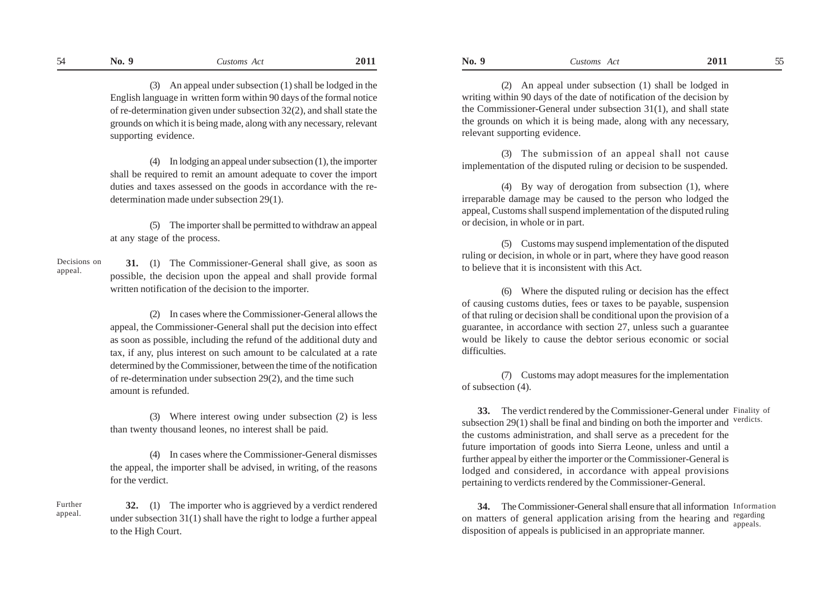(3) An appeal under subsection (1) shall be lodged in the English language in written form within 90 days of the formal notice of re-determination given under subsection 32(2), and shall state the grounds on which it is being made, along with any necessary, relevant supporting evidence.

(4) In lodging an appeal under subsection (1), the importer shall be required to remit an amount adequate to cover the import duties and taxes assessed on the goods in accordance with the redetermination made under subsection 29(1).

(5) The importer shall be permitted to withdraw an appeal at any stage of the process.

 **31.** (1) The Commissioner-General shall give, as soon as possible, the decision upon the appeal and shall provide formal written notification of the decision to the importer. Decisions on appeal.

> (2) In cases where the Commissioner-General allows the appeal, the Commissioner-General shall put the decision into effect as soon as possible, including the refund of the additional duty and tax, if any, plus interest on such amount to be calculated at a rate determined by the Commissioner, between the time of the notification of re-determination under subsection 29(2), and the time such amount is refunded.

> (3) Where interest owing under subsection (2) is less than twenty thousand leones, no interest shall be paid.

> (4) In cases where the Commissioner-General dismisses the appeal, the importer shall be advised, in writing, of the reasons for the verdict.

**32.** (1) The importer who is aggrieved by a verdict rendered under subsection 31(1) shall have the right to lodge a further appeal to the High Court. Further

appeal.

(2) An appeal under subsection (1) shall be lodged in writing within 90 days of the date of notification of the decision by the Commissioner-General under subsection 31(1), and shall state the grounds on which it is being made, along with any necessary, relevant supporting evidence.

(3) The submission of an appeal shall not cause implementation of the disputed ruling or decision to be suspended.

(4) By way of derogation from subsection (1), where irreparable damage may be caused to the person who lodged the appeal, Customs shall suspend implementation of the disputed ruling or decision, in whole or in part.

(5) Customs may suspend implementation of the disputed ruling or decision, in whole or in part, where they have good reason to believe that it is inconsistent with this Act.

(6) Where the disputed ruling or decision has the effect of causing customs duties, fees or taxes to be payable, suspension of that ruling or decision shall be conditional upon the provision of a guarantee, in accordance with section 27, unless such a guarantee would be likely to cause the debtor serious economic or social difficulties.

(7) Customs may adopt measures for the implementation of subsection (4).

**33.** The verdict rendered by the Commissioner-General under Finality of subsection 29(1) shall be final and binding on both the importer and the customs administration, and shall serve as a precedent for the future importation of goods into Sierra Leone, unless and until a further appeal by either the importer or the Commissioner-General is lodged and considered, in accordance with appeal provisions pertaining to verdicts rendered by the Commissioner-General. verdicts.

**34.** The Commissioner-General shall ensure that all information Information on matters of general application arising from the hearing and regarding disposition of appeals is publicised in an appropriate manner. appeals.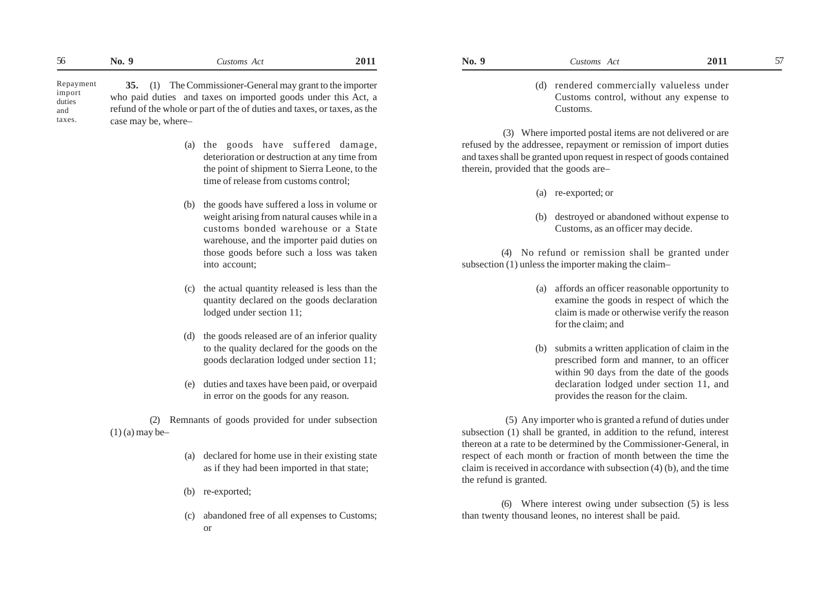**35.** (1) The Commissioner-General may grant to the importer who paid duties and taxes on imported goods under this Act, a refund of the whole or part of the of duties and taxes, or taxes, as the case may be, where– Repayment import duties and taxes.

- (a) the goods have suffered damage, deterioration or destruction at any time from the point of shipment to Sierra Leone, to the time of release from customs control;
- (b) the goods have suffered a loss in volume or weight arising from natural causes while in a customs bonded warehouse or a State warehouse, and the importer paid duties on those goods before such a loss was taken into account;
- (c) the actual quantity released is less than the quantity declared on the goods declaration lodged under section 11;
- (d) the goods released are of an inferior quality to the quality declared for the goods on the goods declaration lodged under section 11;
- (e) duties and taxes have been paid, or overpaid in error on the goods for any reason.

(2) Remnants of goods provided for under subsection  $(1)$  (a) may be-

- (a) declared for home use in their existing state as if they had been imported in that state;
- (b) re-exported;
- (c) abandoned free of all expenses to Customs; or
- - (d) rendered commercially valueless under Customs control, without any expense to

 (3) Where imported postal items are not delivered or are refused by the addressee, repayment or remission of import duties and taxes shall be granted upon request in respect of goods contained therein, provided that the goods are–

(a) re-exported; or

Customs.

destroyed or abandoned without expense to Customs, as an officer may decide.

(4) No refund or remission shall be granted under subsection (1) unless the importer making the claim–

- (a) affords an officer reasonable opportunity to examine the goods in respect of which the claim is made or otherwise verify the reason for the claim; and
- (b) submits a written application of claim in the prescribed form and manner, to an officer within 90 days from the date of the goods declaration lodged under section 11, and provides the reason for the claim.

 (5) Any importer who is granted a refund of duties under subsection (1) shall be granted, in addition to the refund, interest thereon at a rate to be determined by the Commissioner-General, in respect of each month or fraction of month between the time the claim is received in accordance with subsection (4) (b), and the time the refund is granted.

(6) Where interest owing under subsection (5) is less than twenty thousand leones, no interest shall be paid.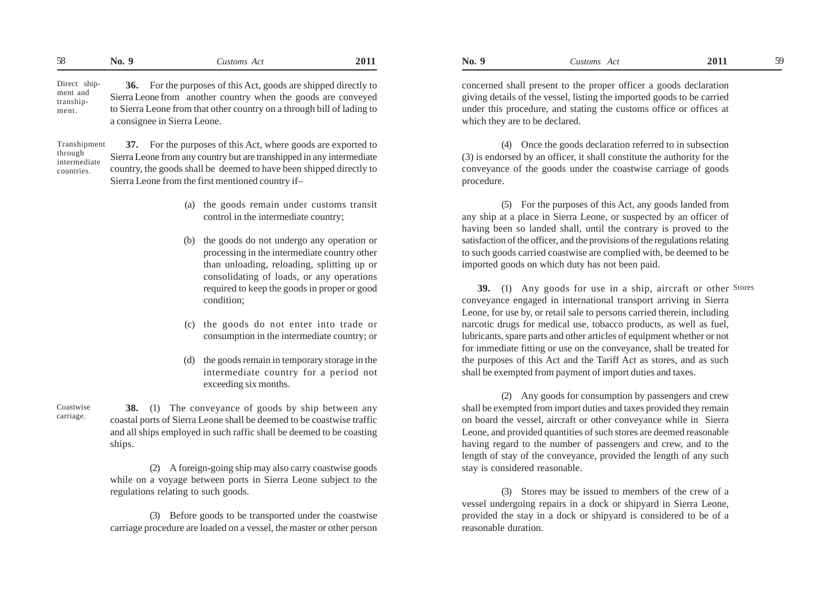| $\sim$<br>$\mathbf{X}$<br>◡ | NO. | ustoms<br>AC | 201. | N <sub>0</sub> . | ustoms<br>$\Delta$<br>Cusioms<br>$\pi$ . | 20<br>---- |  |
|-----------------------------|-----|--------------|------|------------------|------------------------------------------|------------|--|
|-----------------------------|-----|--------------|------|------------------|------------------------------------------|------------|--|

**36.** For the purposes of this Act, goods are shipped directly to Sierra Leone from another country when the goods are conveyed to Sierra Leone from that other country on a through bill of lading to a consignee in Sierra Leone. Direct shipment and transhipment.

Transhipment through intermediate countries.

**37.** For the purposes of this Act, where goods are exported to Sierra Leone from any country but are transhipped in any intermediate country, the goods shall be deemed to have been shipped directly to Sierra Leone from the first mentioned country if–

- (a) the goods remain under customs transit control in the intermediate country;
- (b) the goods do not undergo any operation or processing in the intermediate country other than unloading, reloading, splitting up or consolidating of loads, or any operations required to keep the goods in proper or good condition;
- (c) the goods do not enter into trade or consumption in the intermediate country; or
- (d) the goods remain in temporary storage in the intermediate country for a period not exceeding six months.

Coastwise carriage.

**38.** (1) The conveyance of goods by ship between any coastal ports of Sierra Leone shall be deemed to be coastwise traffic and all ships employed in such raffic shall be deemed to be coasting ships.

(2) A foreign-going ship may also carry coastwise goods while on a voyage between ports in Sierra Leone subject to the regulations relating to such goods.

(3) Before goods to be transported under the coastwise carriage procedure are loaded on a vessel, the master or other person concerned shall present to the proper officer a goods declaration giving details of the vessel, listing the imported goods to be carried under this procedure, and stating the customs office or offices at which they are to be declared.

(4) Once the goods declaration referred to in subsection (3) is endorsed by an officer, it shall constitute the authority for the conveyance of the goods under the coastwise carriage of goods procedure.

(5) For the purposes of this Act, any goods landed from any ship at a place in Sierra Leone, or suspected by an officer of having been so landed shall, until the contrary is proved to the satisfaction of the officer, and the provisions of the regulations relating to such goods carried coastwise are complied with, be deemed to be imported goods on which duty has not been paid.

**39.** (1) Any goods for use in a ship, aircraft or other Stores conveyance engaged in international transport arriving in Sierra Leone, for use by, or retail sale to persons carried therein, including narcotic drugs for medical use, tobacco products, as well as fuel, lubricants, spare parts and other articles of equipment whether or not for immediate fitting or use on the conveyance, shall be treated for the purposes of this Act and the Tariff Act as stores, and as such shall be exempted from payment of import duties and taxes.

(2) Any goods for consumption by passengers and crew shall be exempted from import duties and taxes provided they remain on board the vessel, aircraft or other conveyance while in Sierra Leone, and provided quantities of such stores are deemed reasonable having regard to the number of passengers and crew, and to the length of stay of the conveyance, provided the length of any such stay is considered reasonable.

(3) Stores may be issued to members of the crew of a vessel undergoing repairs in a dock or shipyard in Sierra Leone, provided the stay in a dock or shipyard is considered to be of a reasonable duration.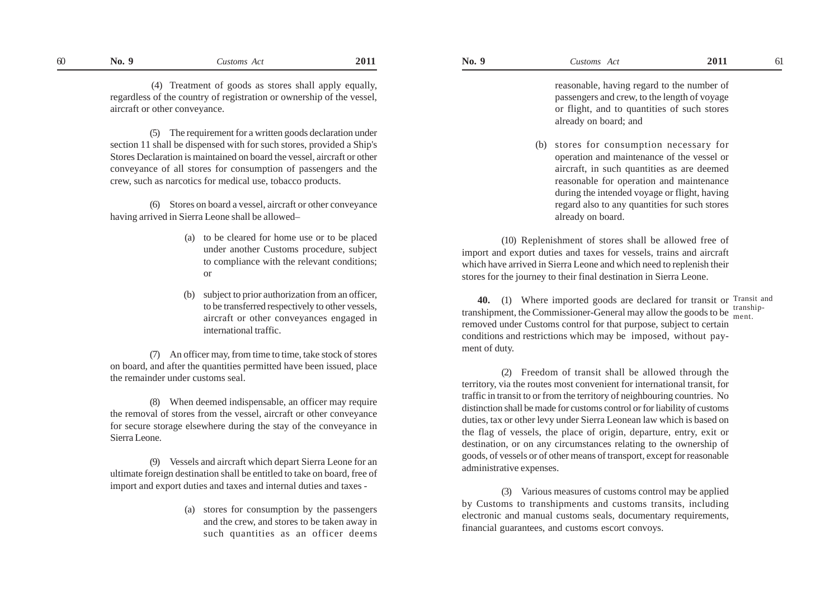(4) Treatment of goods as stores shall apply equally, regardless of the country of registration or ownership of the vessel, aircraft or other conveyance.

(5) The requirement for a written goods declaration under section 11 shall be dispensed with for such stores, provided a Ship's Stores Declaration is maintained on board the vessel, aircraft or other conveyance of all stores for consumption of passengers and the crew, such as narcotics for medical use, tobacco products.

(6) Stores on board a vessel, aircraft or other conveyance having arrived in Sierra Leone shall be allowed–

- (a) to be cleared for home use or to be placed under another Customs procedure, subject to compliance with the relevant conditions; or
- (b) subject to prior authorization from an officer, to be transferred respectively to other vessels, aircraft or other conveyances engaged in international traffic.

(7) An officer may, from time to time, take stock of stores on board, and after the quantities permitted have been issued, place the remainder under customs seal.

(8) When deemed indispensable, an officer may require the removal of stores from the vessel, aircraft or other conveyance for secure storage elsewhere during the stay of the conveyance in Sierra Leone.

(9) Vessels and aircraft which depart Sierra Leone for an ultimate foreign destination shall be entitled to take on board, free of import and export duties and taxes and internal duties and taxes -

> (a) stores for consumption by the passengers and the crew, and stores to be taken away in such quantities as an officer deems

reasonable, having regard to the number of passengers and crew, to the length of voyage or flight, and to quantities of such stores already on board; and

(b) stores for consumption necessary for operation and maintenance of the vessel or aircraft, in such quantities as are deemed reasonable for operation and maintenance during the intended voyage or flight, having regard also to any quantities for such stores already on board.

(10) Replenishment of stores shall be allowed free of import and export duties and taxes for vessels, trains and aircraft which have arrived in Sierra Leone and which need to replenish their stores for the journey to their final destination in Sierra Leone.

**40.** (1) Where imported goods are declared for transit or Transit and transhipment, the Commissioner-General may allow the goods to be  $\frac{\text{tranship}}{\text{ment}}$ . removed under Customs control for that purpose, subject to certain conditions and restrictions which may be imposed, without payment of duty.

(2) Freedom of transit shall be allowed through the territory, via the routes most convenient for international transit, for traffic in transit to or from the territory of neighbouring countries. No distinction shall be made for customs control or for liability of customs duties, tax or other levy under Sierra Leonean law which is based on the flag of vessels, the place of origin, departure, entry, exit or destination, or on any circumstances relating to the ownership of goods, of vessels or of other means of transport, except for reasonable administrative expenses.

(3) Various measures of customs control may be applied by Customs to transhipments and customs transits, including electronic and manual customs seals, documentary requirements, financial guarantees, and customs escort convoys.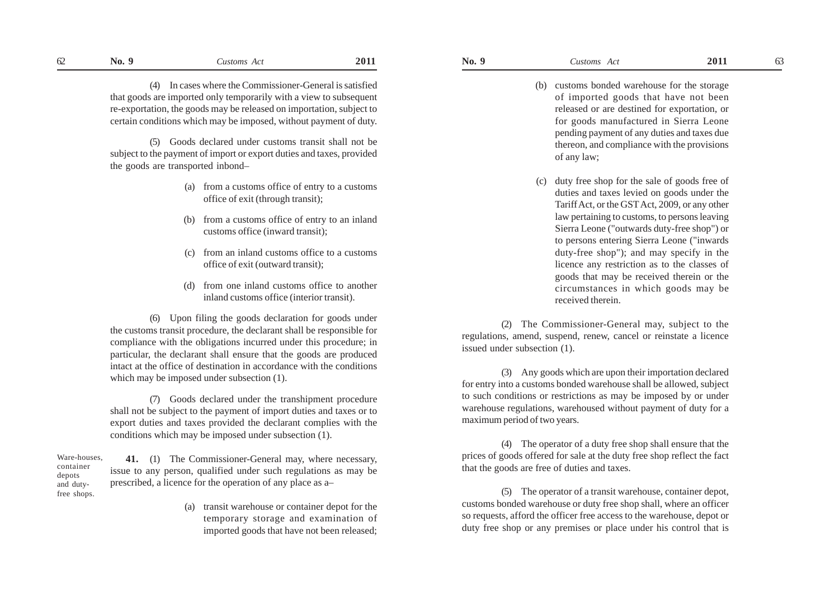(4) In cases where the Commissioner-General is satisfied that goods are imported only temporarily with a view to subsequent re-exportation, the goods may be released on importation, subject to certain conditions which may be imposed, without payment of duty.

(5) Goods declared under customs transit shall not be subject to the payment of import or export duties and taxes, provided the goods are transported inbond–

- (a) from a customs office of entry to a customs office of exit (through transit);
- (b) from a customs office of entry to an inland customs office (inward transit);
- (c) from an inland customs office to a customs office of exit (outward transit);
- (d) from one inland customs office to another inland customs office (interior transit).

(6) Upon filing the goods declaration for goods under the customs transit procedure, the declarant shall be responsible for compliance with the obligations incurred under this procedure; in particular, the declarant shall ensure that the goods are produced intact at the office of destination in accordance with the conditions which may be imposed under subsection (1).

(7) Goods declared under the transhipment procedure shall not be subject to the payment of import duties and taxes or to export duties and taxes provided the declarant complies with the conditions which may be imposed under subsection (1).

**41.** (1) The Commissioner-General may, where necessary, issue to any person, qualified under such regulations as may be prescribed, a licence for the operation of any place as a– Ware-houses, container depots and dutyfree shops.

> (a) transit warehouse or container depot for the temporary storage and examination of imported goods that have not been released;

- (b) customs bonded warehouse for the storage of imported goods that have not been released or are destined for exportation, or for goods manufactured in Sierra Leone
	- pending payment of any duties and taxes due thereon, and compliance with the provisions of any law;
- (c) duty free shop for the sale of goods free of duties and taxes levied on goods under the Tariff Act, or the GSTAct, 2009, or any other law pertaining to customs, to persons leaving Sierra Leone ("outwards duty-free shop") or to persons entering Sierra Leone ("inwards duty-free shop"); and may specify in the licence any restriction as to the classes of goods that may be received therein or the circumstances in which goods may be received therein.

(2) The Commissioner-General may, subject to the regulations, amend, suspend, renew, cancel or reinstate a licence issued under subsection (1).

(3) Any goods which are upon their importation declared for entry into a customs bonded warehouse shall be allowed, subject to such conditions or restrictions as may be imposed by or under warehouse regulations, warehoused without payment of duty for a maximum period of two years.

(4) The operator of a duty free shop shall ensure that the prices of goods offered for sale at the duty free shop reflect the fact that the goods are free of duties and taxes.

(5) The operator of a transit warehouse, container depot, customs bonded warehouse or duty free shop shall, where an officer so requests, afford the officer free access to the warehouse, depot or duty free shop or any premises or place under his control that is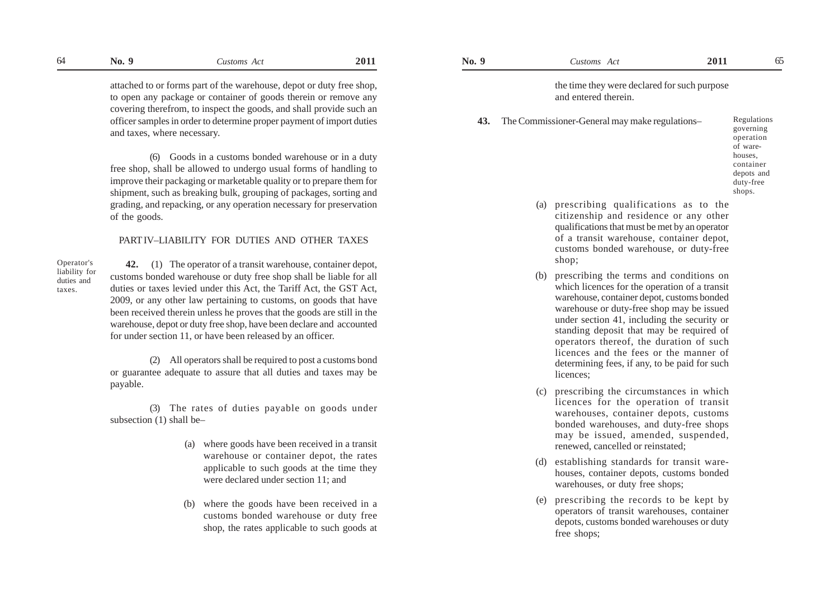attached to or forms part of the warehouse, depot or duty free shop, to open any package or container of goods therein or remove any covering therefrom, to inspect the goods, and shall provide such an officer samples in order to determine proper payment of import duties and taxes, where necessary.

(6) Goods in a customs bonded warehouse or in a duty free shop, shall be allowed to undergo usual forms of handling to improve their packaging or marketable quality or to prepare them for shipment, such as breaking bulk, grouping of packages, sorting and grading, and repacking, or any operation necessary for preservation of the goods.

## PART IV–LIABILITY FOR DUTIES AND OTHER TAXES

Operator's liability for duties and taxes.

**42.** (1) The operator of a transit warehouse, container depot, customs bonded warehouse or duty free shop shall be liable for all duties or taxes levied under this Act, the Tariff Act, the GST Act, 2009, or any other law pertaining to customs, on goods that have been received therein unless he proves that the goods are still in the warehouse, depot or duty free shop, have been declare and accounted for under section 11, or have been released by an officer.

(2) All operators shall be required to post a customs bond or guarantee adequate to assure that all duties and taxes may be payable.

(3) The rates of duties payable on goods under subsection (1) shall be–

- (a) where goods have been received in a transit warehouse or container depot, the rates applicable to such goods at the time they were declared under section 11; and
- (b) where the goods have been received in a customs bonded warehouse or duty free shop, the rates applicable to such goods at

the time they were declared for such purpose and entered therein.

**43.** The Commissioner-General may make regulations–

- Regulations governing operation of warehouses, container depots and duty-free shops.
- (a) prescribing qualifications as to the citizenship and residence or any other qualifications that must be met by an operator of a transit warehouse, container depot, customs bonded warehouse, or duty-free shop;
- (b) prescribing the terms and conditions on which licences for the operation of a transit warehouse, container depot, customs bonded warehouse or duty-free shop may be issued under section 41, including the security or standing deposit that may be required of operators thereof, the duration of such licences and the fees or the manner of determining fees, if any, to be paid for such licences;
- (c) prescribing the circumstances in which licences for the operation of transit warehouses, container depots, customs bonded warehouses, and duty-free shops may be issued, amended, suspended, renewed, cancelled or reinstated;
- (d) establishing standards for transit warehouses, container depots, customs bonded warehouses, or duty free shops;
- (e) prescribing the records to be kept by operators of transit warehouses, container depots, customs bonded warehouses or duty free shops;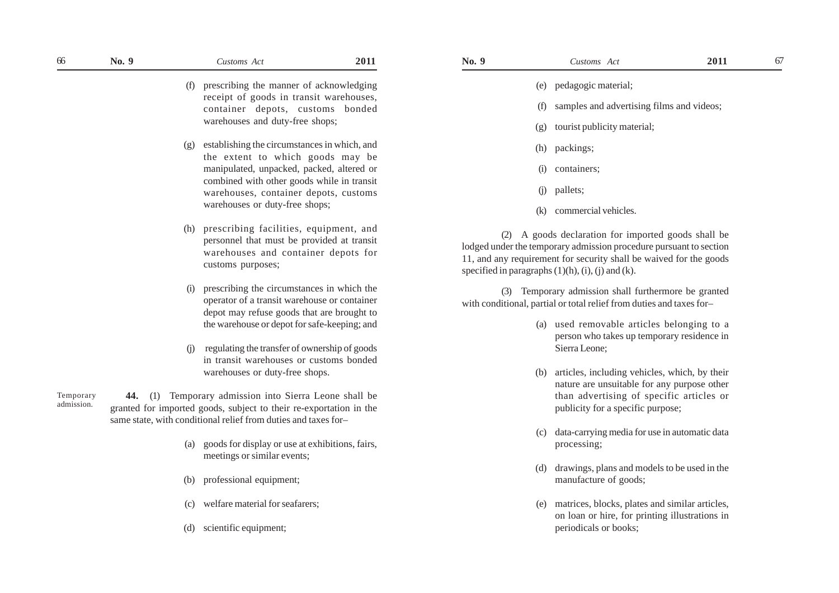- (f) prescribing the manner of acknowledging receipt of goods in transit warehouses, container depots, customs bonded warehouses and duty-free shops;
- (g) establishing the circumstances in which, and the extent to which goods may be manipulated, unpacked, packed, altered or combined with other goods while in transit warehouses, container depots, customs warehouses or duty-free shops;
- (h) prescribing facilities, equipment, and personnel that must be provided at transit warehouses and container depots for customs purposes;
- (i) prescribing the circumstances in which the operator of a transit warehouse or container depot may refuse goods that are brought to the warehouse or depot for safe-keeping; and
- (j) regulating the transfer of ownership of goods in transit warehouses or customs bonded warehouses or duty-free shops.

**44.** (1) Temporary admission into Sierra Leone shall be granted for imported goods, subject to their re-exportation in the same state, with conditional relief from duties and taxes for– Temporary admission.

- (a) goods for display or use at exhibitions, fairs, meetings or similar events;
- (b) professional equipment;
- (c) welfare material for seafarers;
- (d) scientific equipment;
- (e) pedagogic material;
- samples and advertising films and videos;
- (g) tourist publicity material;
- (h) packings;
- (i) containers;
- (j) pallets;
- (k) commercial vehicles.

(2) A goods declaration for imported goods shall be lodged under the temporary admission procedure pursuant to section 11, and any requirement for security shall be waived for the goods specified in paragraphs  $(1)(h)$ ,  $(i)$ ,  $(j)$  and  $(k)$ .

(3) Temporary admission shall furthermore be granted with conditional, partial or total relief from duties and taxes for–

- (a) used removable articles belonging to a person who takes up temporary residence in Sierra Leone;
- (b) articles, including vehicles, which, by their nature are unsuitable for any purpose other than advertising of specific articles or publicity for a specific purpose;
- (c) data-carrying media for use in automatic data processing;
- (d) drawings, plans and models to be used in the manufacture of goods;
- (e) matrices, blocks, plates and similar articles, on loan or hire, for printing illustrations in periodicals or books;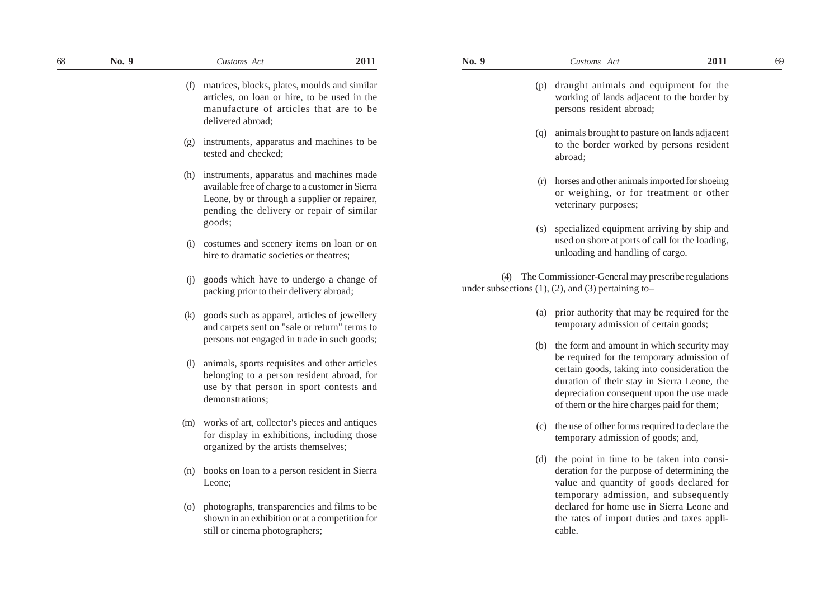- (p) draught animals and equipment for the working of lands adjacent to the border by persons resident abroad;
- (q) animals brought to pasture on lands adjacent to the border worked by persons resident abroad;
- (r) horses and other animals imported for shoeing or weighing, or for treatment or other veterinary purposes;
- (s) specialized equipment arriving by ship and used on shore at ports of call for the loading, unloading and handling of cargo.

(4) The Commissioner-General may prescribe regulations under subsections  $(1)$ ,  $(2)$ , and  $(3)$  pertaining to-

- (a) prior authority that may be required for the temporary admission of certain goods;
- (b) the form and amount in which security may be required for the temporary admission of certain goods, taking into consideration the duration of their stay in Sierra Leone, the depreciation consequent upon the use made of them or the hire charges paid for them;
- (c) the use of other forms required to declare the temporary admission of goods; and,
- (d) the point in time to be taken into consideration for the purpose of determining the value and quantity of goods declared for temporary admission, and subsequently declared for home use in Sierra Leone and the rates of import duties and taxes applicable.

(f) matrices, blocks, plates, moulds and similar articles, on loan or hire, to be used in the manufacture of articles that are to be delivered abroad; (g) instruments, apparatus and machines to be tested and checked;

(h) instruments, apparatus and machines made available free of charge to a customer in Sierra Leone, by or through a supplier or repairer, pending the delivery or repair of similar goods;

- (i) costumes and scenery items on loan or on hire to dramatic societies or theatres;
- (j) goods which have to undergo a change of packing prior to their delivery abroad;
- (k) goods such as apparel, articles of jewellery and carpets sent on "sale or return" terms to persons not engaged in trade in such goods;
- (l) animals, sports requisites and other articles belonging to a person resident abroad, for use by that person in sport contests and demonstrations;
- (m) works of art, collector's pieces and antiques for display in exhibitions, including those organized by the artists themselves;
- (n) books on loan to a person resident in Sierra Leone;
- (o) photographs, transparencies and films to be shown in an exhibition or at a competition for still or cinema photographers;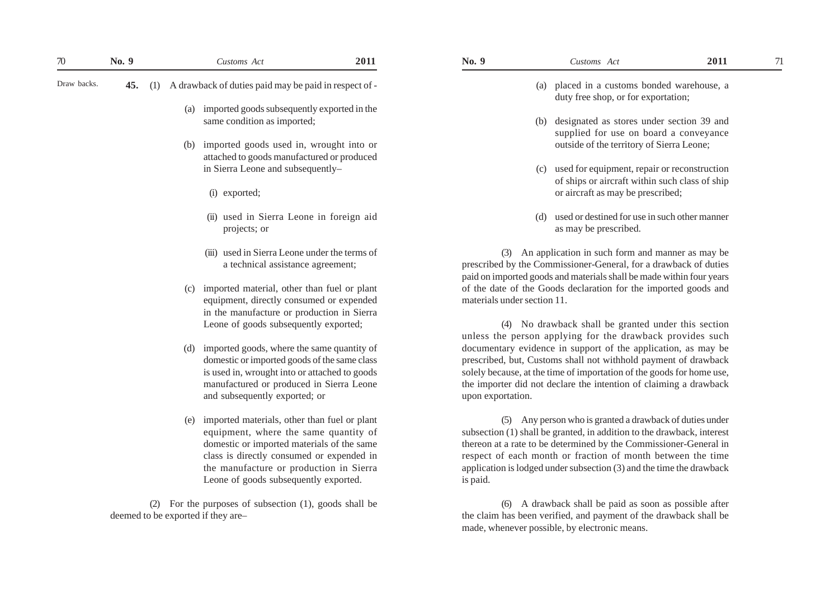| 70          | No. 9 |     |     | Customs Act                                                                                                                                                                                                                                                              | 2011 | No. 9                       | Customs Act                                                                                                                                                                                                                                                                                                                                    | 2011 | 71 |
|-------------|-------|-----|-----|--------------------------------------------------------------------------------------------------------------------------------------------------------------------------------------------------------------------------------------------------------------------------|------|-----------------------------|------------------------------------------------------------------------------------------------------------------------------------------------------------------------------------------------------------------------------------------------------------------------------------------------------------------------------------------------|------|----|
| Draw backs. | 45.   | (1) |     | A drawback of duties paid may be paid in respect of -                                                                                                                                                                                                                    |      |                             | placed in a customs bonded warehouse, a<br>(a)<br>duty free shop, or for exportation;                                                                                                                                                                                                                                                          |      |    |
|             |       |     | (a) | imported goods subsequently exported in the<br>same condition as imported;                                                                                                                                                                                               |      |                             | designated as stores under section 39 and<br>(b)                                                                                                                                                                                                                                                                                               |      |    |
|             |       |     |     |                                                                                                                                                                                                                                                                          |      |                             | supplied for use on board a conveyance                                                                                                                                                                                                                                                                                                         |      |    |
|             |       |     | (b) | imported goods used in, wrought into or                                                                                                                                                                                                                                  |      |                             | outside of the territory of Sierra Leone;                                                                                                                                                                                                                                                                                                      |      |    |
|             |       |     |     | attached to goods manufactured or produced<br>in Sierra Leone and subsequently-                                                                                                                                                                                          |      |                             | used for equipment, repair or reconstruction<br>(c)                                                                                                                                                                                                                                                                                            |      |    |
|             |       |     |     | (i) exported;                                                                                                                                                                                                                                                            |      |                             | of ships or aircraft within such class of ship<br>or aircraft as may be prescribed;                                                                                                                                                                                                                                                            |      |    |
|             |       |     |     | (ii) used in Sierra Leone in foreign aid<br>projects; or                                                                                                                                                                                                                 |      |                             | used or destined for use in such other manner<br>(d)<br>as may be prescribed.                                                                                                                                                                                                                                                                  |      |    |
|             |       |     |     | (iii) used in Sierra Leone under the terms of<br>a technical assistance agreement;                                                                                                                                                                                       |      |                             | (3) An application in such form and manner as may be<br>prescribed by the Commissioner-General, for a drawback of duties<br>paid on imported goods and materials shall be made within four years                                                                                                                                               |      |    |
|             |       |     |     | (c) imported material, other than fuel or plant<br>equipment, directly consumed or expended<br>in the manufacture or production in Sierra                                                                                                                                |      | materials under section 11. | of the date of the Goods declaration for the imported goods and                                                                                                                                                                                                                                                                                |      |    |
|             |       |     |     | Leone of goods subsequently exported;                                                                                                                                                                                                                                    |      |                             | (4) No drawback shall be granted under this section<br>unless the person applying for the drawback provides such                                                                                                                                                                                                                               |      |    |
|             |       |     | (d) | imported goods, where the same quantity of<br>domestic or imported goods of the same class<br>is used in, wrought into or attached to goods<br>manufactured or produced in Sierra Leone<br>and subsequently exported; or                                                 |      | upon exportation.           | documentary evidence in support of the application, as may be<br>prescribed, but, Customs shall not withhold payment of drawback<br>solely because, at the time of importation of the goods for home use,<br>the importer did not declare the intention of claiming a drawback                                                                 |      |    |
|             |       |     |     | (e) imported materials, other than fuel or plant<br>equipment, where the same quantity of<br>domestic or imported materials of the same<br>class is directly consumed or expended in<br>the manufacture or production in Sierra<br>Leone of goods subsequently exported. |      | is paid.                    | (5) Any person who is granted a drawback of duties under<br>subsection (1) shall be granted, in addition to the drawback, interest<br>thereon at a rate to be determined by the Commissioner-General in<br>respect of each month or fraction of month between the time<br>application is lodged under subsection (3) and the time the drawback |      |    |
|             |       |     |     | (2) For the purposes of subsection (1), goods shall be<br>deemed to be exported if they are-                                                                                                                                                                             |      |                             | (6) A drawback shall be paid as soon as possible after<br>the claim has been verified, and payment of the drawback shall be<br>made, whenever possible, by electronic means.                                                                                                                                                                   |      |    |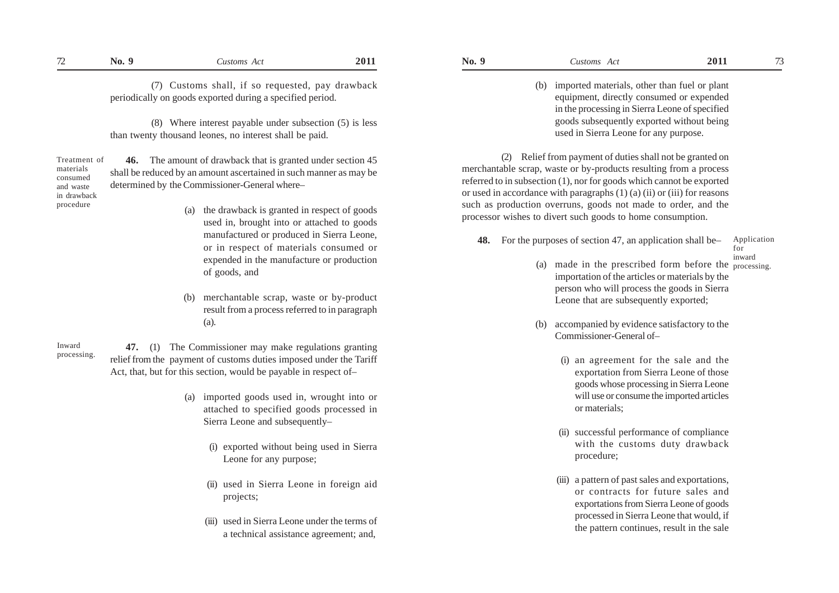(8) Where interest payable under subsection (5) is less than twenty thousand leones, no interest shall be paid.

**46.** The amount of drawback that is granted under section 45 shall be reduced by an amount ascertained in such manner as may be determined by the Commissioner-General where– Treatment of materials consumed and waste in drawback

- (a) the drawback is granted in respect of goods used in, brought into or attached to goods manufactured or produced in Sierra Leone, or in respect of materials consumed or expended in the manufacture or production of goods, and
- (b) merchantable scrap, waste or by-product result from a process referred to in paragraph (a).

Inward processing.

procedure

**47.** (1) The Commissioner may make regulations granting relief from the payment of customs duties imposed under the Tariff Act, that, but for this section, would be payable in respect of–

- (a) imported goods used in, wrought into or attached to specified goods processed in Sierra Leone and subsequently–
	- (i) exported without being used in Sierra Leone for any purpose;
	- (ii) used in Sierra Leone in foreign aid projects;
	- (iii) used in Sierra Leone under the terms of a technical assistance agreement; and,
- **No. 9** *Customs Act* **2011 No. 9** *Customs Act* **2011**  $72$  No. 9 Customs Act 2011 No. 9 Customs Act 2011 73
	- (b) imported materials, other than fuel or plant equipment, directly consumed or expended in the processing in Sierra Leone of specified goods subsequently exported without being used in Sierra Leone for any purpose.

(2) Relief from payment of duties shall not be granted on merchantable scrap, waste or by-products resulting from a process referred to in subsection (1), nor for goods which cannot be exported or used in accordance with paragraphs (1) (a) (ii) or (iii) for reasons such as production overruns, goods not made to order, and the processor wishes to divert such goods to home consumption.

- **48.** For the purposes of section 47, an application shall be– Application for inward
	- (a) made in the prescribed form before the processing. importation of the articles or materials by the person who will process the goods in Sierra Leone that are subsequently exported;
	- (b) accompanied by evidence satisfactory to the Commissioner-General of–
		- (i) an agreement for the sale and the exportation from Sierra Leone of those goods whose processing in Sierra Leone will use or consume the imported articles or materials;
		- (ii) successful performance of compliance with the customs duty drawback procedure;
		- (iii) a pattern of past sales and exportations, or contracts for future sales and exportations from Sierra Leone of goods processed in Sierra Leone that would, if the pattern continues, result in the sale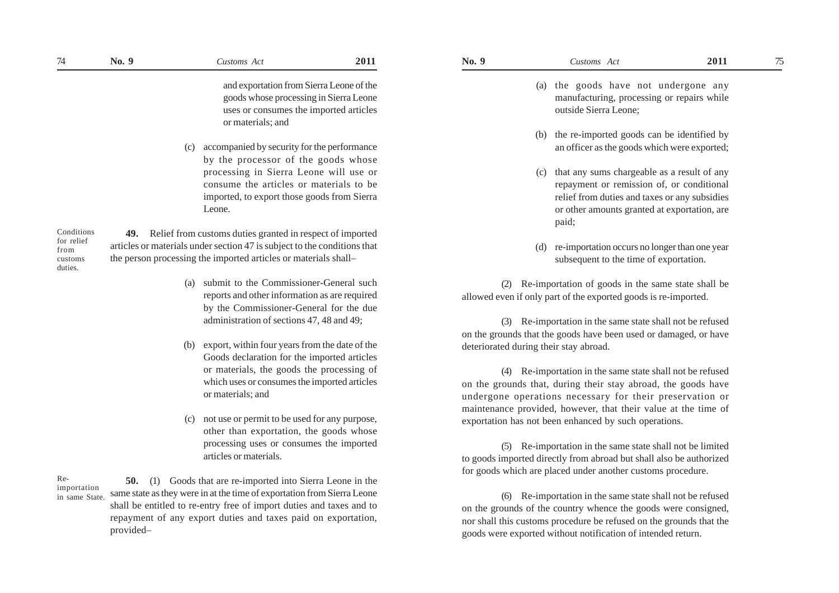- 
- (a) the goods have not undergone any manufacturing, processing or repairs while outside Sierra Leone;
- (b) the re-imported goods can be identified by an officer as the goods which were exported;
- (c) that any sums chargeable as a result of any repayment or remission of, or conditional relief from duties and taxes or any subsidies or other amounts granted at exportation, are paid;
- (d) re-importation occurs no longer than one year subsequent to the time of exportation.

(2) Re-importation of goods in the same state shall be allowed even if only part of the exported goods is re-imported.

(3) Re-importation in the same state shall not be refused on the grounds that the goods have been used or damaged, or have deteriorated during their stay abroad.

(4) Re-importation in the same state shall not be refused on the grounds that, during their stay abroad, the goods have undergone operations necessary for their preservation or maintenance provided, however, that their value at the time of exportation has not been enhanced by such operations.

(5) Re-importation in the same state shall not be limited to goods imported directly from abroad but shall also be authorized for goods which are placed under another customs procedure.

(6) Re-importation in the same state shall not be refused on the grounds of the country whence the goods were consigned, nor shall this customs procedure be refused on the grounds that the goods were exported without notification of intended return.

and exportation from Sierra Leone of the goods whose processing in Sierra Leone uses or consumes the imported articles or materials; and

(c) accompanied by security for the performance by the processor of the goods whose processing in Sierra Leone will use or consume the articles or materials to be imported, to export those goods from Sierra Leone.

Conditions for relief from customs duties.

**49.** Relief from customs duties granted in respect of imported articles or materials under section 47 is subject to the conditions that the person processing the imported articles or materials shall–

- (a) submit to the Commissioner-General such reports and other information as are required by the Commissioner-General for the due administration of sections 47, 48 and 49;
- (b) export, within four years from the date of the Goods declaration for the imported articles or materials, the goods the processing of which uses or consumes the imported articles or materials; and
- (c) not use or permit to be used for any purpose, other than exportation, the goods whose processing uses or consumes the imported articles or materials.

Reimportation in same State.

**50.** (1) Goods that are re-imported into Sierra Leone in the same state as they were in at the time of exportation from Sierra Leone shall be entitled to re-entry free of import duties and taxes and to repayment of any export duties and taxes paid on exportation, provided–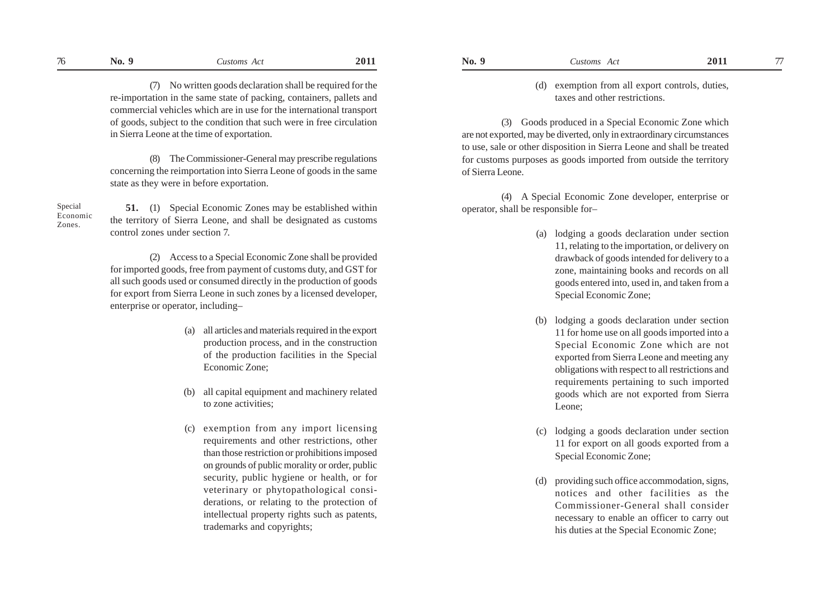(7) No written goods declaration shall be required for the re-importation in the same state of packing, containers, pallets and commercial vehicles which are in use for the international transport of goods, subject to the condition that such were in free circulation in Sierra Leone at the time of exportation.

(8) The Commissioner-General may prescribe regulations concerning the reimportation into Sierra Leone of goods in the same state as they were in before exportation.

Special Economic Zones.

**51.** (1) Special Economic Zones may be established within the territory of Sierra Leone, and shall be designated as customs control zones under section 7.

(2) Access to a Special Economic Zone shall be provided for imported goods, free from payment of customs duty, and GST for all such goods used or consumed directly in the production of goods for export from Sierra Leone in such zones by a licensed developer, enterprise or operator, including–

- (a) all articles and materials required in the export production process, and in the construction of the production facilities in the Special Economic Zone;
- (b) all capital equipment and machinery related to zone activities;
- (c) exemption from any import licensing requirements and other restrictions, other than those restriction or prohibitions imposed on grounds of public morality or order, public security, public hygiene or health, or for veterinary or phytopathological considerations, or relating to the protection of intellectual property rights such as patents, trademarks and copyrights;

## (d) exemption from all export controls, duties, taxes and other restrictions.

(3) Goods produced in a Special Economic Zone which are not exported, may be diverted, only in extraordinary circumstances to use, sale or other disposition in Sierra Leone and shall be treated for customs purposes as goods imported from outside the territory of Sierra Leone.

(4) A Special Economic Zone developer, enterprise or operator, shall be responsible for–

- (a) lodging a goods declaration under section 11, relating to the importation, or delivery on drawback of goods intended for delivery to a zone, maintaining books and records on all goods entered into, used in, and taken from a Special Economic Zone;
- (b) lodging a goods declaration under section 11 for home use on all goods imported into a Special Economic Zone which are not exported from Sierra Leone and meeting any obligations with respect to all restrictions and requirements pertaining to such imported goods which are not exported from Sierra Leone;
- (c) lodging a goods declaration under section 11 for export on all goods exported from a Special Economic Zone;
- (d) providing such office accommodation, signs, notices and other facilities as the Commissioner-General shall consider necessary to enable an officer to carry out his duties at the Special Economic Zone;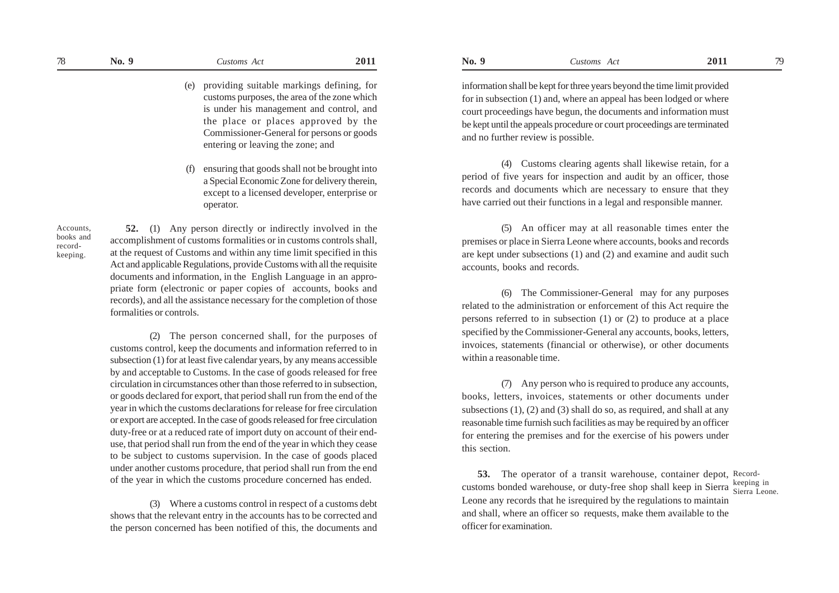- (e) providing suitable markings defining, for customs purposes, the area of the zone which is under his management and control, and the place or places approved by the Commissioner-General for persons or goods entering or leaving the zone; and
- (f) ensuring that goods shall not be brought into a Special Economic Zone for delivery therein, except to a licensed developer, enterprise or operator.

Accounts, books and recordkeeping.

**52.** (1) Any person directly or indirectly involved in the accomplishment of customs formalities or in customs controls shall, at the request of Customs and within any time limit specified in this Act and applicable Regulations, provide Customs with all the requisite documents and information, in the English Language in an appropriate form (electronic or paper copies of accounts, books and records), and all the assistance necessary for the completion of those formalities or controls.

(2) The person concerned shall, for the purposes of customs control, keep the documents and information referred to in subsection (1) for at least five calendar years, by any means accessible by and acceptable to Customs. In the case of goods released for free circulation in circumstances other than those referred to in subsection, or goods declared for export, that period shall run from the end of the year in which the customs declarations for release for free circulation or export are accepted. In the case of goods released for free circulation duty-free or at a reduced rate of import duty on account of their enduse, that period shall run from the end of the year in which they cease to be subject to customs supervision. In the case of goods placed under another customs procedure, that period shall run from the end of the year in which the customs procedure concerned has ended.

(3) Where a customs control in respect of a customs debt shows that the relevant entry in the accounts has to be corrected and the person concerned has been notified of this, the documents and

information shall be kept for three years beyond the time limit provided for in subsection (1) and, where an appeal has been lodged or where court proceedings have begun, the documents and information must be kept until the appeals procedure or court proceedings are terminated and no further review is possible.

(4) Customs clearing agents shall likewise retain, for a period of five years for inspection and audit by an officer, those records and documents which are necessary to ensure that they have carried out their functions in a legal and responsible manner.

(5) An officer may at all reasonable times enter the premises or place in Sierra Leone where accounts, books and records are kept under subsections (1) and (2) and examine and audit such accounts, books and records.

(6) The Commissioner-General may for any purposes related to the administration or enforcement of this Act require the persons referred to in subsection (1) or (2) to produce at a place specified by the Commissioner-General any accounts, books, letters, invoices, statements (financial or otherwise), or other documents within a reasonable time.

(7) Any person who is required to produce any accounts, books, letters, invoices, statements or other documents under subsections (1), (2) and (3) shall do so, as required, and shall at any reasonable time furnish such facilities as may be required by an officer for entering the premises and for the exercise of his powers under this section.

**53.** The operator of a transit warehouse, container depot, Recordcustoms bonded warehouse, or duty-free shop shall keep in Sierra Sierra Leone. Leone any records that he isrequired by the regulations to maintain and shall, where an officer so requests, make them available to the officer for examination.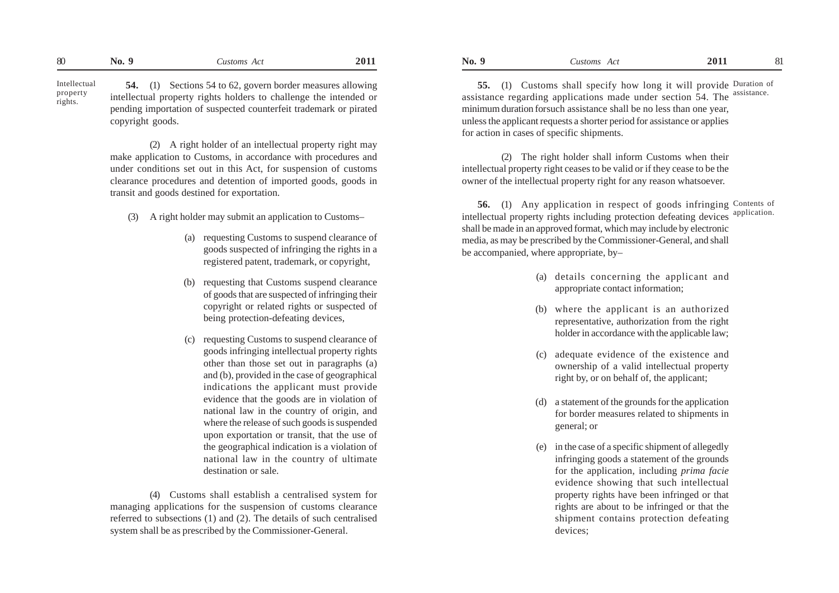**54.** (1) Sections 54 to 62, govern border measures allowing intellectual property rights holders to challenge the intended or pending importation of suspected counterfeit trademark or pirated copyright goods. Intellectual property rights.

> (2) A right holder of an intellectual property right may make application to Customs, in accordance with procedures and under conditions set out in this Act, for suspension of customs clearance procedures and detention of imported goods, goods in transit and goods destined for exportation.

- (3) A right holder may submit an application to Customs–
	- (a) requesting Customs to suspend clearance of goods suspected of infringing the rights in a registered patent, trademark, or copyright,
	- (b) requesting that Customs suspend clearance of goods that are suspected of infringing their copyright or related rights or suspected of being protection-defeating devices,
	- (c) requesting Customs to suspend clearance of goods infringing intellectual property rights other than those set out in paragraphs (a) and (b), provided in the case of geographical indications the applicant must provide evidence that the goods are in violation of national law in the country of origin, and where the release of such goods is suspended upon exportation or transit, that the use of the geographical indication is a violation of national law in the country of ultimate destination or sale.

(4) Customs shall establish a centralised system for managing applications for the suspension of customs clearance referred to subsections (1) and (2). The details of such centralised system shall be as prescribed by the Commissioner-General.

**55.** (1) Customs shall specify how long it will provide Duration of assistance regarding applications made under section 54. The assistance. minimum duration forsuch assistance shall be no less than one year, unless the applicant requests a shorter period for assistance or applies for action in cases of specific shipments.

(2) The right holder shall inform Customs when their intellectual property right ceases to be valid or if they cease to be the owner of the intellectual property right for any reason whatsoever.

**56.** (1) Any application in respect of goods infringing Contents of intellectual property rights including protection defeating devices shall be made in an approved format, which may include by electronic media, as may be prescribed by the Commissioner-General, and shall be accompanied, where appropriate, by– application.

- (a) details concerning the applicant and appropriate contact information;
- (b) where the applicant is an authorized representative, authorization from the right holder in accordance with the applicable law;
- (c) adequate evidence of the existence and ownership of a valid intellectual property right by, or on behalf of, the applicant;
- (d) a statement of the grounds for the application for border measures related to shipments in general; or
- (e) in the case of a specific shipment of allegedly infringing goods a statement of the grounds for the application, including *prima facie* evidence showing that such intellectual property rights have been infringed or that rights are about to be infringed or that the shipment contains protection defeating devices;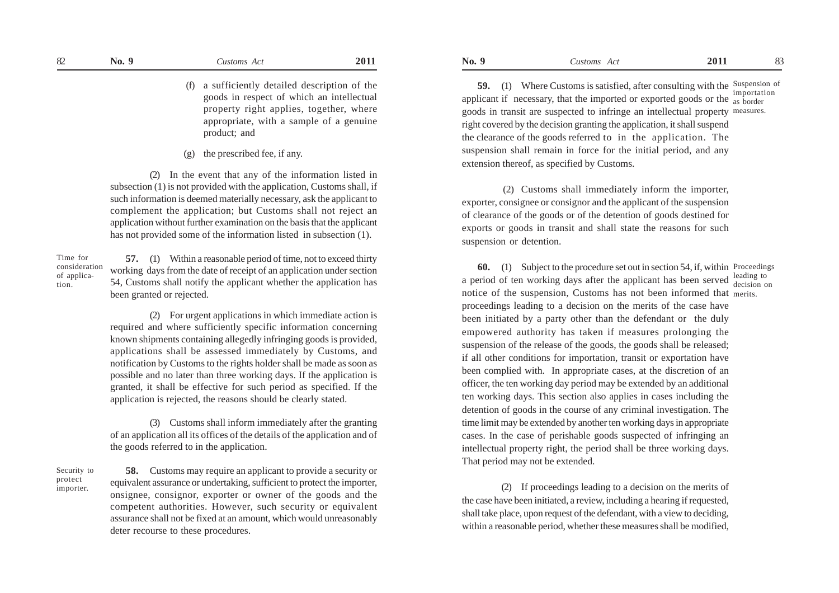(f) a sufficiently detailed description of the goods in respect of which an intellectual property right applies, together, where appropriate, with a sample of a genuine product; and

(g) the prescribed fee, if any.

(2) In the event that any of the information listed in subsection (1) is not provided with the application, Customs shall, if such information is deemed materially necessary, ask the applicant to complement the application; but Customs shall not reject an application without further examination on the basis that the applicant has not provided some of the information listed in subsection (1).

Time for consideration of application.

**57.** (1) Within a reasonable period of time, not to exceed thirty working days from the date of receipt of an application under section 54, Customs shall notify the applicant whether the application has been granted or rejected.

(2) For urgent applications in which immediate action is required and where sufficiently specific information concerning known shipments containing allegedly infringing goods is provided, applications shall be assessed immediately by Customs, and notification by Customs to the rights holder shall be made as soon as possible and no later than three working days. If the application is granted, it shall be effective for such period as specified. If the application is rejected, the reasons should be clearly stated.

(3) Customs shall inform immediately after the granting of an application all its offices of the details of the application and of the goods referred to in the application.

Security to protect importer.

**58.** Customs may require an applicant to provide a security or equivalent assurance or undertaking, sufficient to protect the importer, onsignee, consignor, exporter or owner of the goods and the competent authorities. However, such security or equivalent assurance shall not be fixed at an amount, which would unreasonably deter recourse to these procedures.

**59.** (1) Where Customs is satisfied, after consulting with the Suspension of applicant if necessary, that the imported or exported goods or the  $\frac{1}{\text{as border}}$ goods in transit are suspected to infringe an intellectual property measures. right covered by the decision granting the application, it shall suspend the clearance of the goods referred to in the application. The suspension shall remain in force for the initial period, and any extension thereof, as specified by Customs.

 (2) Customs shall immediately inform the importer, exporter, consignee or consignor and the applicant of the suspension of clearance of the goods or of the detention of goods destined for exports or goods in transit and shall state the reasons for such suspension or detention.

**60.** (1) Subject to the procedure set out in section 54, if, within Proceedings a period of ten working days after the applicant has been served  $\frac{\text{leading to}}{\text{decision on}}$ notice of the suspension, Customs has not been informed that merits. proceedings leading to a decision on the merits of the case have been initiated by a party other than the defendant or the duly empowered authority has taken if measures prolonging the suspension of the release of the goods, the goods shall be released; if all other conditions for importation, transit or exportation have been complied with. In appropriate cases, at the discretion of an officer, the ten working day period may be extended by an additional ten working days. This section also applies in cases including the detention of goods in the course of any criminal investigation. The time limit may be extended by another ten working days in appropriate cases. In the case of perishable goods suspected of infringing an intellectual property right, the period shall be three working days. That period may not be extended.

(2) If proceedings leading to a decision on the merits of the case have been initiated, a review, including a hearing if requested, shall take place, upon request of the defendant, with a view to deciding, within a reasonable period, whether these measures shall be modified,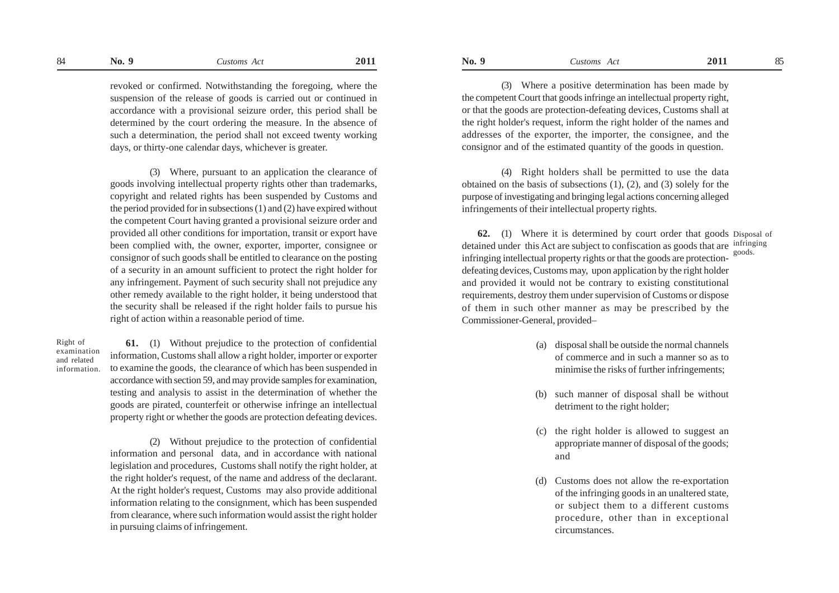#### **No. 9** *Customs Act* **2011 No. 9** *Customs Act* **2011** 84 No. 9 Customs Act 2011 No. 9 Customs Act 2011 85

revoked or confirmed. Notwithstanding the foregoing, where the suspension of the release of goods is carried out or continued in accordance with a provisional seizure order, this period shall be determined by the court ordering the measure. In the absence of such a determination, the period shall not exceed twenty working days, or thirty-one calendar days, whichever is greater.

(3) Where, pursuant to an application the clearance of goods involving intellectual property rights other than trademarks, copyright and related rights has been suspended by Customs and the period provided for in subsections (1) and (2) have expired without the competent Court having granted a provisional seizure order and provided all other conditions for importation, transit or export have been complied with, the owner, exporter, importer, consignee or consignor of such goods shall be entitled to clearance on the posting of a security in an amount sufficient to protect the right holder for any infringement. Payment of such security shall not prejudice any other remedy available to the right holder, it being understood that the security shall be released if the right holder fails to pursue his right of action within a reasonable period of time.

Right of examination and related information.

**61.** (1) Without prejudice to the protection of confidential information, Customs shall allow a right holder, importer or exporter to examine the goods, the clearance of which has been suspended in accordance with section 59, and may provide samples for examination, testing and analysis to assist in the determination of whether the goods are pirated, counterfeit or otherwise infringe an intellectual property right or whether the goods are protection defeating devices.

(2) Without prejudice to the protection of confidential information and personal data, and in accordance with national legislation and procedures, Customs shall notify the right holder, at the right holder's request, of the name and address of the declarant. At the right holder's request, Customs may also provide additional information relating to the consignment, which has been suspended from clearance, where such information would assist the right holder in pursuing claims of infringement.

(3) Where a positive determination has been made by the competent Court that goods infringe an intellectual property right, or that the goods are protection-defeating devices, Customs shall at the right holder's request, inform the right holder of the names and addresses of the exporter, the importer, the consignee, and the consignor and of the estimated quantity of the goods in question.

(4) Right holders shall be permitted to use the data obtained on the basis of subsections (1), (2), and (3) solely for the purpose of investigating and bringing legal actions concerning alleged infringements of their intellectual property rights.

**62.** (1) Where it is determined by court order that goods Disposal of detained under this Act are subject to confiscation as goods that are infringing infringing intellectual property rights or that the goods are protectiondefeating devices, Customs may, upon application by the right holder and provided it would not be contrary to existing constitutional requirements, destroy them under supervision of Customs or dispose of them in such other manner as may be prescribed by the Commissioner-General, provided– goods.

- (a) disposal shall be outside the normal channels of commerce and in such a manner so as to minimise the risks of further infringements;
- (b) such manner of disposal shall be without detriment to the right holder;
- (c) the right holder is allowed to suggest an appropriate manner of disposal of the goods; and
- (d) Customs does not allow the re-exportation of the infringing goods in an unaltered state, or subject them to a different customs procedure, other than in exceptional circumstances.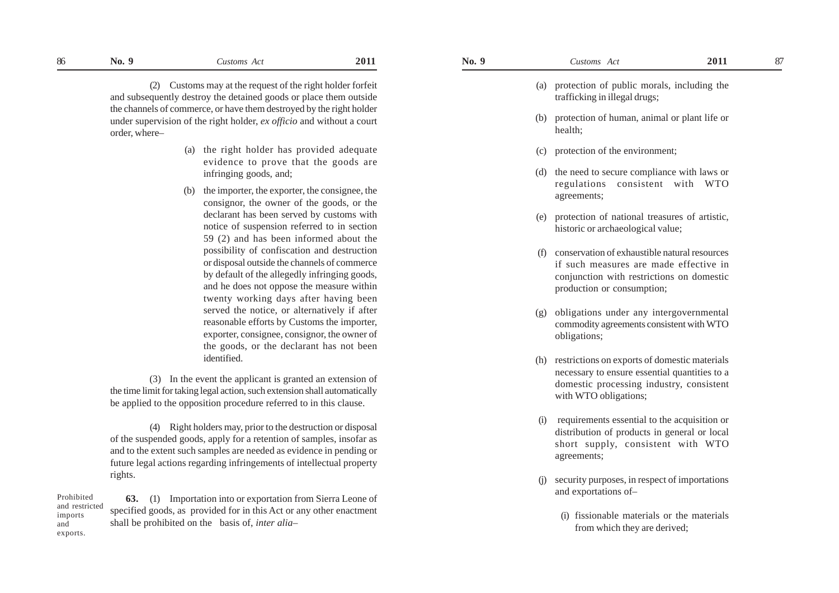and

(2) Customs may at the request of the right holder forfeit and subsequently destroy the detained goods or place them outside the channels of commerce, or have them destroyed by the right holder under supervision of the right holder, *ex officio* and without a court order, where–

- (a) the right holder has provided adequate evidence to prove that the goods are infringing goods, and;
- (b) the importer, the exporter, the consignee, the consignor, the owner of the goods, or the declarant has been served by customs with notice of suspension referred to in section 59 (2) and has been informed about the possibility of confiscation and destruction or disposal outside the channels of commerce by default of the allegedly infringing goods, and he does not oppose the measure within twenty working days after having been served the notice, or alternatively if after reasonable efforts by Customs the importer, exporter, consignee, consignor, the owner of the goods, or the declarant has not been identified.

 (3) In the event the applicant is granted an extension of the time limit for taking legal action, such extension shall automatically be applied to the opposition procedure referred to in this clause.

(4) Right holders may, prior to the destruction or disposal of the suspended goods, apply for a retention of samples, insofar as and to the extent such samples are needed as evidence in pending or future legal actions regarding infringements of intellectual property rights.

**63.** (1) Importation into or exportation from Sierra Leone of specified goods, as provided for in this Act or any other enactment shall be prohibited on the basis of, *inter alia–* Prohibited and restricted imports exports.

- (a) protection of public morals, including the trafficking in illegal drugs;
- (b) protection of human, animal or plant life or health;
- (c) protection of the environment;
- the need to secure compliance with laws or regulations consistent with WTO agreements;
- (e) protection of national treasures of artistic, historic or archaeological value;
- (f) conservation of exhaustible natural resources if such measures are made effective in conjunction with restrictions on domestic production or consumption;
- (g) obligations under any intergovernmental commodity agreements consistent with WTO obligations;
- (h) restrictions on exports of domestic materials necessary to ensure essential quantities to a domestic processing industry, consistent with WTO obligations;
- (i) requirements essential to the acquisition or distribution of products in general or local short supply, consistent with WT O agreements;
- security purposes, in respect of importations and exportations of–
	- (i) fissionable materials or the materials from which they are derived;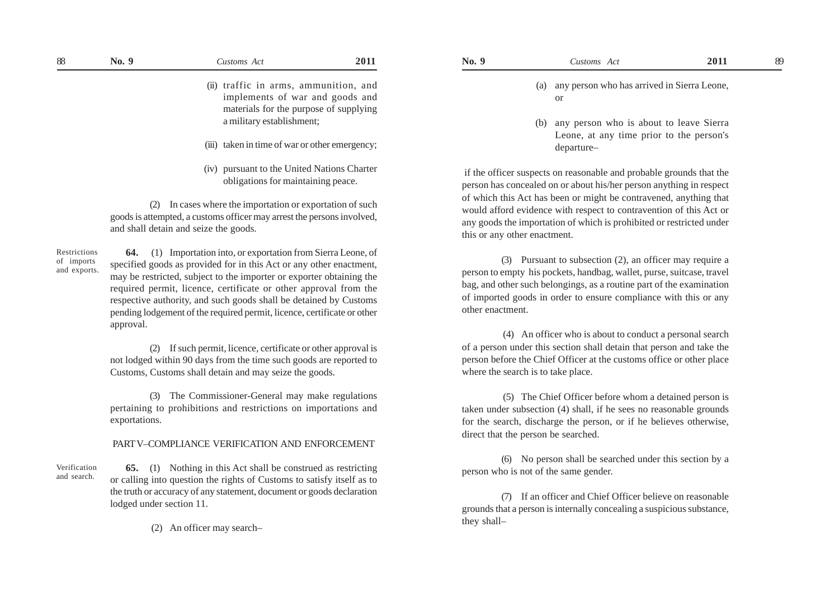- (ii) traffic in arms, ammunition, and implements of war and goods and materials for the purpose of supplying a military establishment;
- (iii) taken in time of war or other emergency;
- (iv) pursuant to the United Nations Charter obligations for maintaining peace.

(2) In cases where the importation or exportation of such goods is attempted, a customs officer may arrest the persons involved, and shall detain and seize the goods.

Restrictions of imports and exports.

Verification and search.

**64.** (1) Importation into, or exportation from Sierra Leone, of specified goods as provided for in this Act or any other enactment, may be restricted, subject to the importer or exporter obtaining the required permit, licence, certificate or other approval from the respective authority, and such goods shall be detained by Customs pending lodgement of the required permit, licence, certificate or other approval.

(2) If such permit, licence, certificate or other approval is not lodged within 90 days from the time such goods are reported to Customs, Customs shall detain and may seize the goods.

(3) The Commissioner-General may make regulations pertaining to prohibitions and restrictions on importations and exportations.

## PART V–COMPLIANCE VERIFICATION AND ENFORCEMENT

**65.** (1) Nothing in this Act shall be construed as restricting or calling into question the rights of Customs to satisfy itself as to the truth or accuracy of any statement, document or goods declaration lodged under section 11.

(2) An officer may search–

- (a) any person who has arrived in Sierra Leone, or
- (b) any person who is about to leave Sierra Leone, at any time prior to the person's departure–

 if the officer suspects on reasonable and probable grounds that the person has concealed on or about his/her person anything in respect of which this Act has been or might be contravened, anything that would afford evidence with respect to contravention of this Act or any goods the importation of which is prohibited or restricted under this or any other enactment.

(3) Pursuant to subsection (2), an officer may require a person to empty his pockets, handbag, wallet, purse, suitcase, travel bag, and other such belongings, as a routine part of the examination of imported goods in order to ensure compliance with this or any other enactment.

 (4) An officer who is about to conduct a personal search of a person under this section shall detain that person and take the person before the Chief Officer at the customs office or other place where the search is to take place.

 (5) The Chief Officer before whom a detained person is taken under subsection (4) shall, if he sees no reasonable grounds for the search, discharge the person, or if he believes otherwise, direct that the person be searched.

(6) No person shall be searched under this section by a person who is not of the same gender.

(7) If an officer and Chief Officer believe on reasonable grounds that a person is internally concealing a suspicious substance, they shall–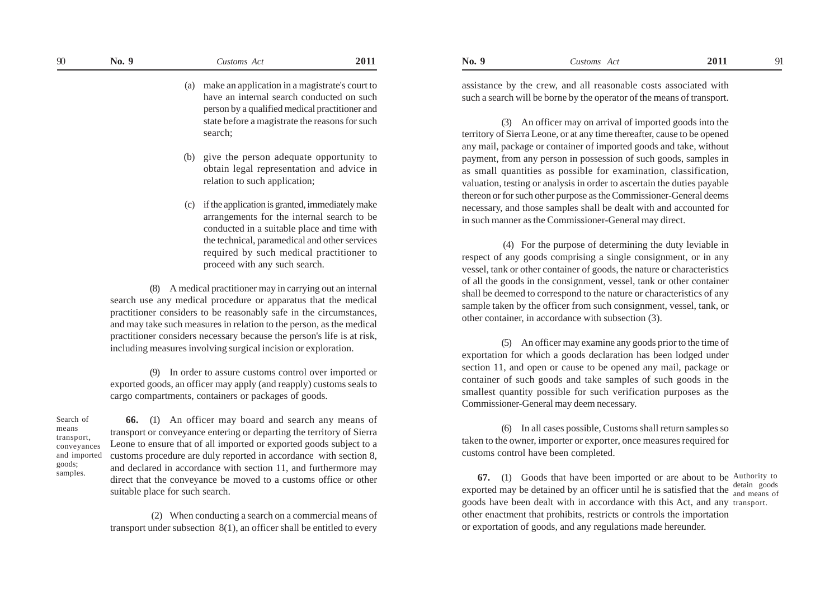(a) make an application in a magistrate's court to have an internal search conducted on such person by a qualified medical practitioner and state before a magistrate the reasons for such search;

- (b) give the person adequate opportunity to obtain legal representation and advice in relation to such application;
- (c) if the application is granted, immediately make arrangements for the internal search to be conducted in a suitable place and time with the technical, paramedical and other services required by such medical practitioner to proceed with any such search.

(8) A medical practitioner may in carrying out an internal search use any medical procedure or apparatus that the medical practitioner considers to be reasonably safe in the circumstances, and may take such measures in relation to the person, as the medical practitioner considers necessary because the person's life is at risk, including measures involving surgical incision or exploration.

(9) In order to assure customs control over imported or exported goods, an officer may apply (and reapply) customs seals to cargo compartments, containers or packages of goods.

Search of means transport, conveyances and imported goods; samples.

**66.** (1) An officer may board and search any means of transport or conveyance entering or departing the territory of Sierra Leone to ensure that of all imported or exported goods subject to a customs procedure are duly reported in accordance with section 8, and declared in accordance with section 11, and furthermore may direct that the conveyance be moved to a customs office or other suitable place for such search.

 (2) When conducting a search on a commercial means of transport under subsection 8(1), an officer shall be entitled to every

assistance by the crew, and all reasonable costs associated with such a search will be borne by the operator of the means of transport.

(3) An officer may on arrival of imported goods into the territory of Sierra Leone, or at any time thereafter, cause to be opened any mail, package or container of imported goods and take, without payment, from any person in possession of such goods, samples in as small quantities as possible for examination, classification, valuation, testing or analysis in order to ascertain the duties payable thereon or for such other purpose as the Commissioner-General deems necessary, and those samples shall be dealt with and accounted for in such manner as the Commissioner-General may direct.

 (4) For the purpose of determining the duty leviable in respect of any goods comprising a single consignment, or in any vessel, tank or other container of goods, the nature or characteristics of all the goods in the consignment, vessel, tank or other container shall be deemed to correspond to the nature or characteristics of any sample taken by the officer from such consignment, vessel, tank, or other container, in accordance with subsection (3).

(5) An officer may examine any goods prior to the time of exportation for which a goods declaration has been lodged under section 11, and open or cause to be opened any mail, package or container of such goods and take samples of such goods in the smallest quantity possible for such verification purposes as the Commissioner-General may deem necessary.

(6) In all cases possible, Customs shall return samples so taken to the owner, importer or exporter, once measures required for customs control have been completed.

**67.** (1) Goods that have been imported or are about to be Authority to exported may be detained by an officer until he is satisfied that the  $\frac{\text{detail}}{\text{and means of}}$ goods have been dealt with in accordance with this Act, and any transport. other enactment that prohibits, restricts or controls the importation or exportation of goods, and any regulations made hereunder.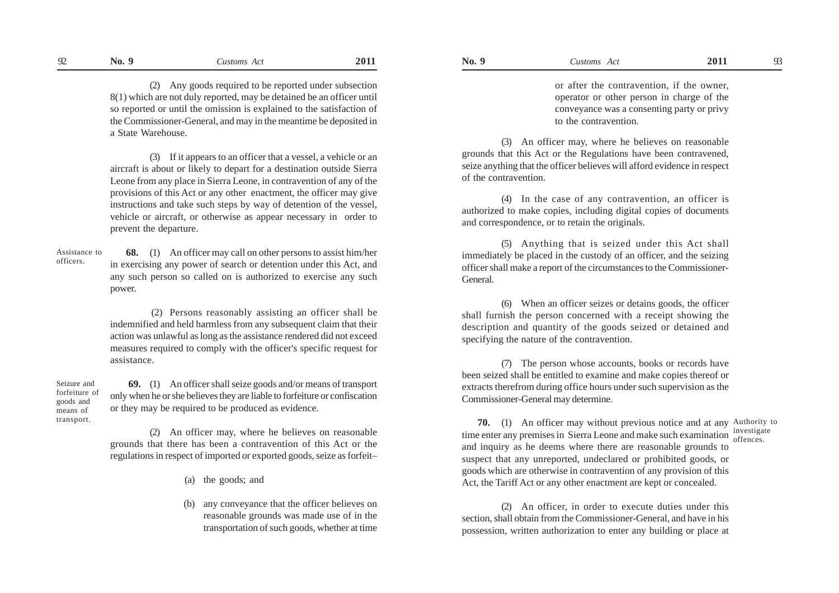(2) Any goods required to be reported under subsection 8(1) which are not duly reported, may be detained be an officer until so reported or until the omission is explained to the satisfaction of the Commissioner-General, and may in the meantime be deposited in a State Warehouse.

(3) If it appears to an officer that a vessel, a vehicle or an aircraft is about or likely to depart for a destination outside Sierra Leone from any place in Sierra Leone, in contravention of any of the provisions of this Act or any other enactment, the officer may give instructions and take such steps by way of detention of the vessel, vehicle or aircraft, or otherwise as appear necessary in order to prevent the departure.

 **68.** (1) An officer may call on other persons to assist him/her in exercising any power of search or detention under this Act, and any such person so called on is authorized to exercise any such power. Assistance to officers.

> (2) Persons reasonably assisting an officer shall be indemnified and held harmless from any subsequent claim that their action was unlawful as long as the assistance rendered did not exceed measures required to comply with the officer's specific request for assistance.

Seizure and forfeiture of goods and means of

 **69.** (1) An officer shall seize goods and/or means of transport only when he or she believes they are liable to forfeiture or confiscation or they may be required to be produced as evidence.

(2) An officer may, where he believes on reasonable grounds that there has been a contravention of this Act or the regulations in respect of imported or exported goods, seize as forfeit–

(a) the goods; and

(b) any conveyance that the officer believes on reasonable grounds was made use of in the transportation of such goods, whether at time

or after the contravention, if the owner, operator or other person in charge of the conveyance was a consenting party or privy to the contravention.

(3) An officer may, where he believes on reasonable grounds that this Act or the Regulations have been contravened, seize anything that the officer believes will afford evidence in respect of the contravention.

(4) In the case of any contravention, an officer is authorized to make copies, including digital copies of documents and correspondence, or to retain the originals.

(5) Anything that is seized under this Act shall immediately be placed in the custody of an officer, and the seizing officer shall make a report of the circumstances to the Commissioner-General.

(6) When an officer seizes or detains goods, the officer shall furnish the person concerned with a receipt showing the description and quantity of the goods seized or detained and specifying the nature of the contravention.

(7) The person whose accounts, books or records have been seized shall be entitled to examine and make copies thereof or extracts therefrom during office hours under such supervision as the Commissioner-General may determine.

transport. **70.** (1) An officer may without previous notice and at any Authority to time enter any premises in Sierra Leone and make such examination investigate and inquiry as he deems where there are reasonable grounds to suspect that any unreported, undeclared or prohibited goods, or goods which are otherwise in contravention of any provision of this Act, the Tariff Act or any other enactment are kept or concealed.

> (2) An officer, in order to execute duties under this section, shall obtain from the Commissioner-General, and have in his possession, written authorization to enter any building or place at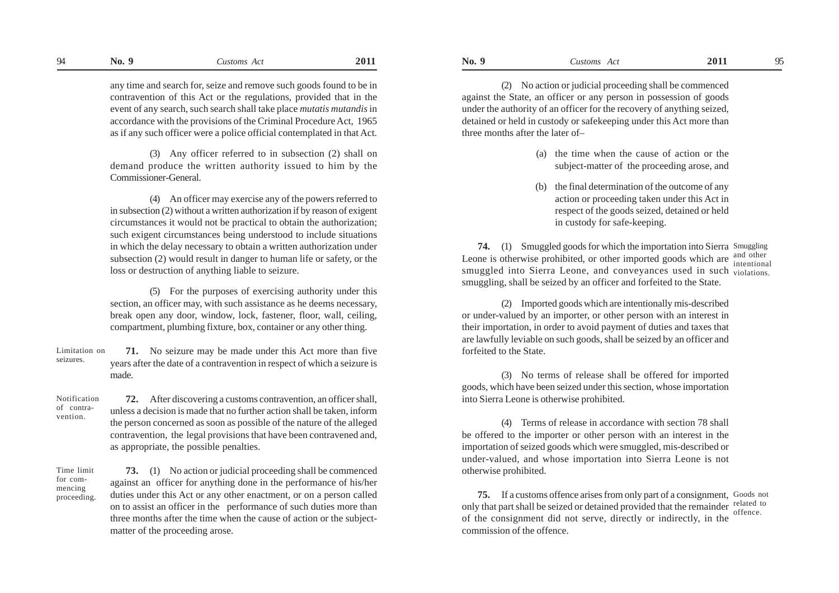any time and search for, seize and remove such goods found to be in contravention of this Act or the regulations, provided that in the event of any search, such search shall take place *mutatis mutandis* in accordance with the provisions of the Criminal Procedure Act, 1965 as if any such officer were a police official contemplated in that Act.

(3) Any officer referred to in subsection (2) shall on demand produce the written authority issued to him by the Commissioner-General.

(4) An officer may exercise any of the powers referred to in subsection (2) without a written authorization if by reason of exigent circumstances it would not be practical to obtain the authorization; such exigent circumstances being understood to include situations in which the delay necessary to obtain a written authorization under subsection (2) would result in danger to human life or safety, or the loss or destruction of anything liable to seizure.

(5) For the purposes of exercising authority under this section, an officer may, with such assistance as he deems necessary, break open any door, window, lock, fastener, floor, wall, ceiling, compartment, plumbing fixture, box, container or any other thing.

**71.** No seizure may be made under this Act more than five years after the date of a contravention in respect of which a seizure is made. Limitation on seizures.

Notification of contravention.

**72.** After discovering a customs contravention, an officer shall, unless a decision is made that no further action shall be taken, inform the person concerned as soon as possible of the nature of the alleged contravention, the legal provisions that have been contravened and, as appropriate, the possible penalties.

Time limit for commencing proceeding.

**73.** (1) No action or judicial proceeding shall be commenced against an officer for anything done in the performance of his/her duties under this Act or any other enactment, or on a person called on to assist an officer in the performance of such duties more than three months after the time when the cause of action or the subjectmatter of the proceeding arose.

(2) No action or judicial proceeding shall be commenced against the State, an officer or any person in possession of goods under the authority of an officer for the recovery of anything seized, detained or held in custody or safekeeping under this Act more than three months after the later of–

- (a) the time when the cause of action or the subject-matter of the proceeding arose, and
- the final determination of the outcome of any action or proceeding taken under this Act in respect of the goods seized, detained or held in custody for safe-keeping.

**74.** (1) Smuggled goods for which the importation into Sierra Smuggling Leone is otherwise prohibited, or other imported goods which are and other smuggled into Sierra Leone, and conveyances used in such <sub>violations.</sub> smuggling, shall be seized by an officer and forfeited to the State. intentional

(2) Imported goods which are intentionally mis-described or under-valued by an importer, or other person with an interest in their importation, in order to avoid payment of duties and taxes that are lawfully leviable on such goods, shall be seized by an officer and forfeited to the State.

(3) No terms of release shall be offered for imported goods, which have been seized under this section, whose importation into Sierra Leone is otherwise prohibited.

(4) Terms of release in accordance with section 78 shall be offered to the importer or other person with an interest in the importation of seized goods which were smuggled, mis-described or under-valued, and whose importation into Sierra Leone is not otherwise prohibited.

**75.** If a customs offence arises from only part of a consignment, Goods not only that part shall be seized or detained provided that the remainder  $\frac{\text{related to}}{\text{effence}}$ of the consignment did not serve, directly or indirectly, in the commission of the offence. offence.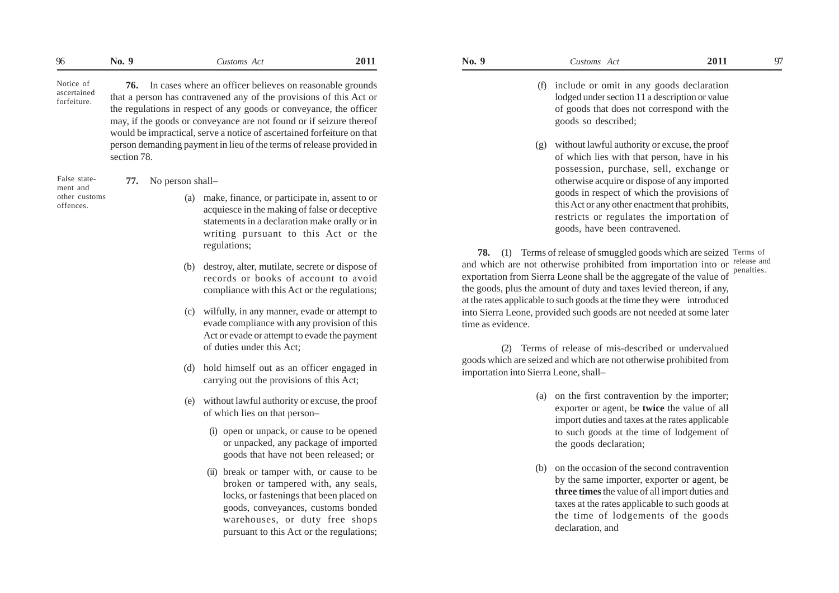**76.** In cases where an officer believes on reasonable grounds that a person has contravened any of the provisions of this Act or the regulations in respect of any goods or conveyance, the officer may, if the goods or conveyance are not found or if seizure thereof would be impractical, serve a notice of ascertained forfeiture on that person demanding payment in lieu of the terms of release provided in section 78.

False statement and other customs offences.

Notice of ascertained forfeiture.

## **77.** No person shall–

- (a) make, finance, or participate in, assent to or acquiesce in the making of false or deceptive statements in a declaration make orally or in writing pursuant to this Act or the regulations;
- (b) destroy, alter, mutilate, secrete or dispose of records or books of account to avoid compliance with this Act or the regulations;
- (c) wilfully, in any manner, evade or attempt to evade compliance with any provision of this Act or evade or attempt to evade the payment of duties under this Act;
- (d) hold himself out as an officer engaged in carrying out the provisions of this Act;
- (e) without lawful authority or excuse, the proof of which lies on that person–
	- (i) open or unpack, or cause to be opened or unpacked, any package of imported goods that have not been released; or
	- (ii) break or tamper with, or cause to be broken or tampered with, any seals, locks, or fastenings that been placed on goods, conveyances, customs bonded warehouses, or duty free shops pursuant to this Act or the regulations;

- (f) include or omit in any goods declaration lodged under section 11 a description or value of goods that does not correspond with the goods so described;
- (g) without lawful authority or excuse, the proof of which lies with that person, have in his possession, purchase, sell, exchange or otherwise acquire or dispose of any imported goods in respect of which the provisions of this Act or any other enactment that prohibits, restricts or regulates the importation of goods, have been contravened.

**78.** (1) Terms of release of smuggled goods which are seized Terms of and which are not otherwise prohibited from importation into or release and exportation from Sierra Leone shall be the aggregate of the value of the goods, plus the amount of duty and taxes levied thereon, if any, at the rates applicable to such goods at the time they were introduced into Sierra Leone, provided such goods are not needed at some later time as evidence. penalties.

(2) Terms of release of mis-described or undervalued goods which are seized and which are not otherwise prohibited from importation into Sierra Leone, shall–

- (a) on the first contravention by the importer; exporter or agent, be **twice** the value of all import duties and taxes at the rates applicable to such goods at the time of lodgement of the goods declaration;
- (b) on the occasion of the second contravention by the same importer, exporter or agent, be **three times** the value of all import duties and taxes at the rates applicable to such goods at the time of lodgements of the goods declaration, and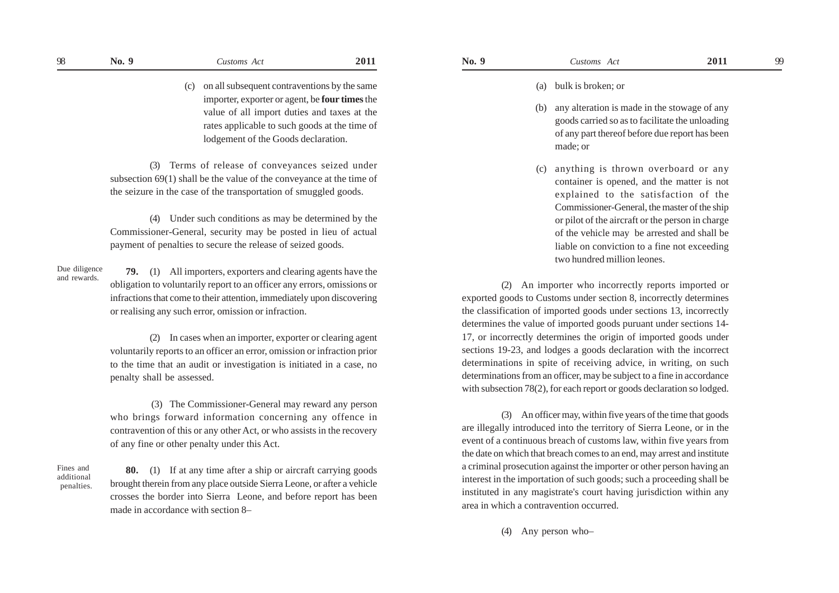## (a) bulk is broken; or

- (b) any alteration is made in the stowage of any goods carried so as to facilitate the unloading of any part thereof before due report has been made; or
- (c) anything is thrown overboard or any container is opened, and the matter is not explained to the satisfaction of the Commissioner-General, the master of the ship or pilot of the aircraft or the person in charge of the vehicle may be arrested and shall be liable on conviction to a fine not exceeding two hundred million leones.

(2) An importer who incorrectly reports imported or exported goods to Customs under section 8, incorrectly determines the classification of imported goods under sections 13, incorrectly determines the value of imported goods puruant under sections 14- 17, or incorrectly determines the origin of imported goods under sections 19-23, and lodges a goods declaration with the incorrect determinations in spite of receiving advice, in writing, on such determinations from an officer, may be subject to a fine in accordance with subsection 78(2), for each report or goods declaration so lodged.

(3) An officer may, within five years of the time that goods are illegally introduced into the territory of Sierra Leone, or in the event of a continuous breach of customs law, within five years from the date on which that breach comes to an end, may arrest and institute a criminal prosecution against the importer or other person having an interest in the importation of such goods; such a proceeding shall be instituted in any magistrate's court having jurisdiction within any area in which a contravention occurred.

(4) Any person who–

(c) on all subsequent contraventions by the same importer, exporter or agent, be **four times** the value of all import duties and taxes at the rates applicable to such goods at the time of lodgement of the Goods declaration.

(3) Terms of release of conveyances seized under subsection 69(1) shall be the value of the conveyance at the time of the seizure in the case of the transportation of smuggled goods.

(4) Under such conditions as may be determined by the Commissioner-General, security may be posted in lieu of actual payment of penalties to secure the release of seized goods.

Due diligence and rewards.

**79.** (1) All importers, exporters and clearing agents have the obligation to voluntarily report to an officer any errors, omissions or infractions that come to their attention, immediately upon discovering or realising any such error, omission or infraction.

(2) In cases when an importer, exporter or clearing agent voluntarily reports to an officer an error, omission or infraction prior to the time that an audit or investigation is initiated in a case, no penalty shall be assessed.

 (3) The Commissioner-General may reward any person who brings forward information concerning any offence in contravention of this or any other Act, or who assists in the recovery of any fine or other penalty under this Act.

Fines and additional penalties.

**80.** (1) If at any time after a ship or aircraft carrying goods brought therein from any place outside Sierra Leone, or after a vehicle crosses the border into Sierra Leone, and before report has been made in accordance with section 8–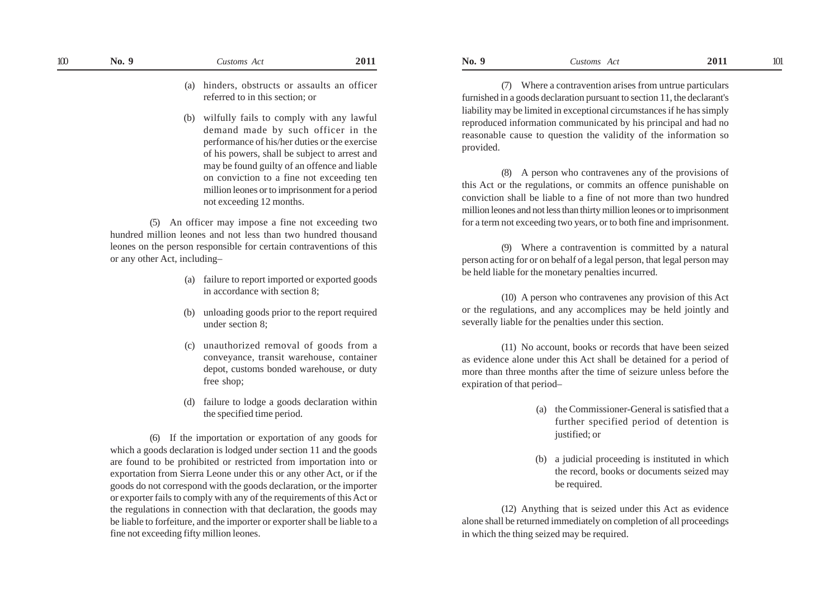(b) wilfully fails to comply with any lawful demand made by such officer in the performance of his/her duties or the exercise of his powers, shall be subject to arrest and may be found guilty of an offence and liable on conviction to a fine not exceeding ten million leones or to imprisonment for a period not exceeding 12 months.

(5) An officer may impose a fine not exceeding two hundred million leones and not less than two hundred thousand leones on the person responsible for certain contraventions of this or any other Act, including–

- (a) failure to report imported or exported goods in accordance with section 8;
- (b) unloading goods prior to the report required under section 8;
- (c) unauthorized removal of goods from a conveyance, transit warehouse, container depot, customs bonded warehouse, or duty free shop;
- (d) failure to lodge a goods declaration within the specified time period.

(6) If the importation or exportation of any goods for which a goods declaration is lodged under section 11 and the goods are found to be prohibited or restricted from importation into or exportation from Sierra Leone under this or any other Act, or if the goods do not correspond with the goods declaration, or the importer or exporter fails to comply with any of the requirements of this Act or the regulations in connection with that declaration, the goods may be liable to forfeiture, and the importer or exporter shall be liable to a fine not exceeding fifty million leones.

**No. 9** *Customs Act* **2011 No. 9** *Customs Act* **2011**  $100$  **No. 9 Customs Act 2011 No. 9 Customs Act 2011 No. 9 Customs Act 2011 101** 

> (7) Where a contravention arises from untrue particulars furnished in a goods declaration pursuant to section 11, the declarant's liability may be limited in exceptional circumstances if he has simply reproduced information communicated by his principal and had no reasonable cause to question the validity of the information so provided.

> (8) A person who contravenes any of the provisions of this Act or the regulations, or commits an offence punishable on conviction shall be liable to a fine of not more than two hundred million leones and not less than thirty million leones or to imprisonment for a term not exceeding two years, or to both fine and imprisonment.

> (9) Where a contravention is committed by a natural person acting for or on behalf of a legal person, that legal person may be held liable for the monetary penalties incurred.

> (10) A person who contravenes any provision of this Act or the regulations, and any accomplices may be held jointly and severally liable for the penalties under this section.

> (11) No account, books or records that have been seized as evidence alone under this Act shall be detained for a period of more than three months after the time of seizure unless before the expiration of that period–

- (a) the Commissioner-General is satisfied that a further specified period of detention is justified; or
- (b) a judicial proceeding is instituted in which the record, books or documents seized may be required.

(12) Anything that is seized under this Act as evidence alone shall be returned immediately on completion of all proceedings in which the thing seized may be required.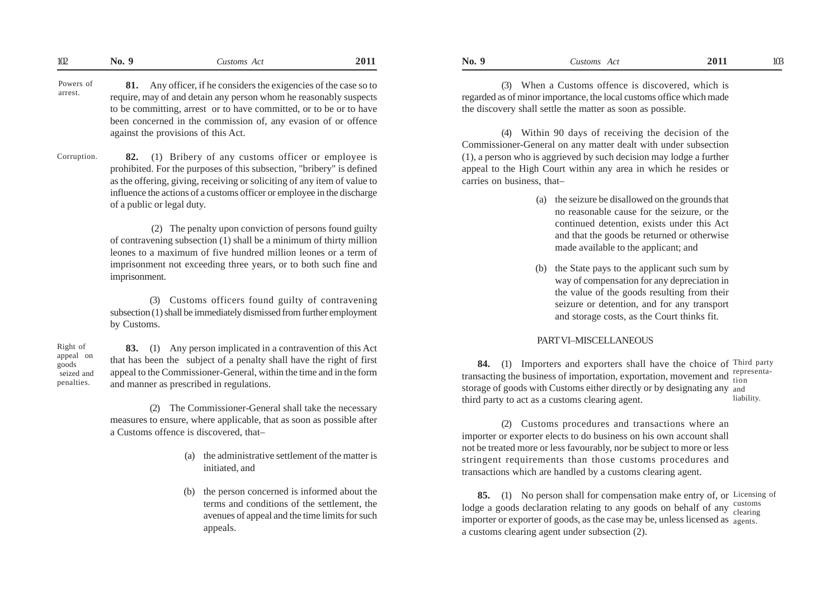| 102<br>2011<br>201<br>$\mathbf{a}$<br>u<br>N <sub>0</sub><br>Lustoms<br>NO.<br>Act<br>ustoms<br>- 7.10 | 17 Y<br>w |
|--------------------------------------------------------------------------------------------------------|-----------|
|--------------------------------------------------------------------------------------------------------|-----------|

- **81.** Any officer, if he considers the exigencies of the case so to require, may of and detain any person whom he reasonably suspects to be committing, arrest or to have committed, or to be or to have been concerned in the commission of, any evasion of or offence against the provisions of this Act. Powers of arrest.
- **82.** (1) Bribery of any customs officer or employee is prohibited. For the purposes of this subsection, "bribery" is defined as the offering, giving, receiving or soliciting of any item of value to influence the actions of a customs officer or employee in the discharge of a public or legal duty. Corruption.

 (2) The penalty upon conviction of persons found guilty of contravening subsection (1) shall be a minimum of thirty million leones to a maximum of five hundred million leones or a term of imprisonment not exceeding three years, or to both such fine and imprisonment.

(3) Customs officers found guilty of contravening subsection (1) shall be immediately dismissed from further employment by Customs.

Right of appeal on goods seized and penalties.

**83.** (1) Any person implicated in a contravention of this Act that has been the subject of a penalty shall have the right of first appeal to the Commissioner-General, within the time and in the form and manner as prescribed in regulations.

(2) The Commissioner-General shall take the necessary measures to ensure, where applicable, that as soon as possible after a Customs offence is discovered, that–

- (a) the administrative settlement of the matter is initiated, and
- (b) the person concerned is informed about the terms and conditions of the settlement, the avenues of appeal and the time limits for such appeals.

(3) When a Customs offence is discovered, which is regarded as of minor importance, the local customs office which made the discovery shall settle the matter as soon as possible.

(4) Within 90 days of receiving the decision of the Commissioner-General on any matter dealt with under subsection (1), a person who is aggrieved by such decision may lodge a further appeal to the High Court within any area in which he resides or carries on business, that–

- (a) the seizure be disallowed on the grounds that no reasonable cause for the seizure, or the continued detention, exists under this Act and that the goods be returned or otherwise made available to the applicant; and
- (b) the State pays to the applicant such sum by way of compensation for any depreciation in the value of the goods resulting from their seizure or detention, and for any transport and storage costs, as the Court thinks fit.

## PART VI–MISCELLANEOUS

**84.** (1) Importers and exporters shall have the choice of Third party transacting the business of importation, exportation, movement and representastorage of goods with Customs either directly or by designating any and third party to act as a customs clearing agent. liability.

(2) Customs procedures and transactions where an importer or exporter elects to do business on his own account shall not be treated more or less favourably, nor be subject to more or less stringent requirements than those customs procedures and transactions which are handled by a customs clearing agent.

**85.** (1) No person shall for compensation make entry of, or Licensing of lodge a goods declaration relating to any goods on behalf of any  $\frac{\text{cutsoms}}{\text{clearing}}$ importer or exporter of goods, as the case may be, unless licensed as  $\,$   $_{\rm agents.}$ a customs clearing agent under subsection (2). clearing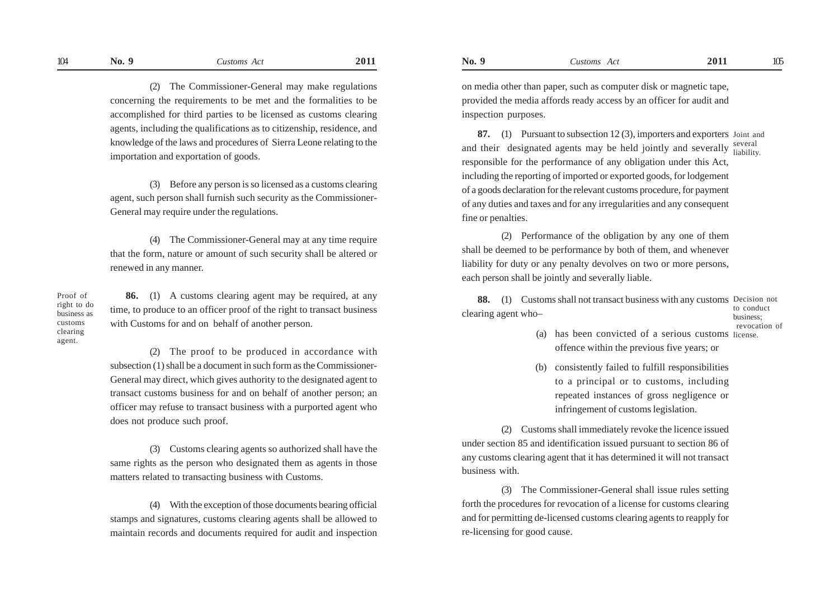(2) The Commissioner-General may make regulations concerning the requirements to be met and the formalities to be accomplished for third parties to be licensed as customs clearing agents, including the qualifications as to citizenship, residence, and knowledge of the laws and procedures of Sierra Leone relating to the importation and exportation of goods.

(3) Before any person is so licensed as a customs clearing agent, such person shall furnish such security as the Commissioner-General may require under the regulations.

(4) The Commissioner-General may at any time require that the form, nature or amount of such security shall be altered or renewed in any manner.

Proof of right to do business as customs clearing agent.

**86.** (1) A customs clearing agent may be required, at any time, to produce to an officer proof of the right to transact business with Customs for and on behalf of another person.

(2) The proof to be produced in accordance with subsection (1) shall be a document in such form as the Commissioner-General may direct, which gives authority to the designated agent to transact customs business for and on behalf of another person; an officer may refuse to transact business with a purported agent who does not produce such proof.

(3) Customs clearing agents so authorized shall have the same rights as the person who designated them as agents in those matters related to transacting business with Customs.

(4) With the exception of those documents bearing official stamps and signatures, customs clearing agents shall be allowed to maintain records and documents required for audit and inspection on media other than paper, such as computer disk or magnetic tape, provided the media affords ready access by an officer for audit and inspection purposes.

**87.** (1) Pursuant to subsection 12 (3), importers and exporters Joint and and their designated agents may be held jointly and severally  $\frac{\text{several}}{\text{liability}}$ responsible for the performance of any obligation under this Act, including the reporting of imported or exported goods, for lodgement of a goods declaration for the relevant customs procedure, for payment of any duties and taxes and for any irregularities and any consequent fine or penalties. liability.

(2) Performance of the obligation by any one of them shall be deemed to be performance by both of them, and whenever liability for duty or any penalty devolves on two or more persons, each person shall be jointly and severally liable.

**88.** (1) Customs shall not transact business with any customs Decision not clearing agent who– to conduct business;

revocation of

- (a) has been convicted of a serious customs license. offence within the previous five years; or
- (b) consistently failed to fulfill responsibilities to a principal or to customs, including repeated instances of gross negligence or infringement of customs legislation.

(2) Customs shall immediately revoke the licence issued under section 85 and identification issued pursuant to section 86 of any customs clearing agent that it has determined it will not transact business with.

(3) The Commissioner-General shall issue rules setting forth the procedures for revocation of a license for customs clearing and for permitting de-licensed customs clearing agents to reapply for re-licensing for good cause.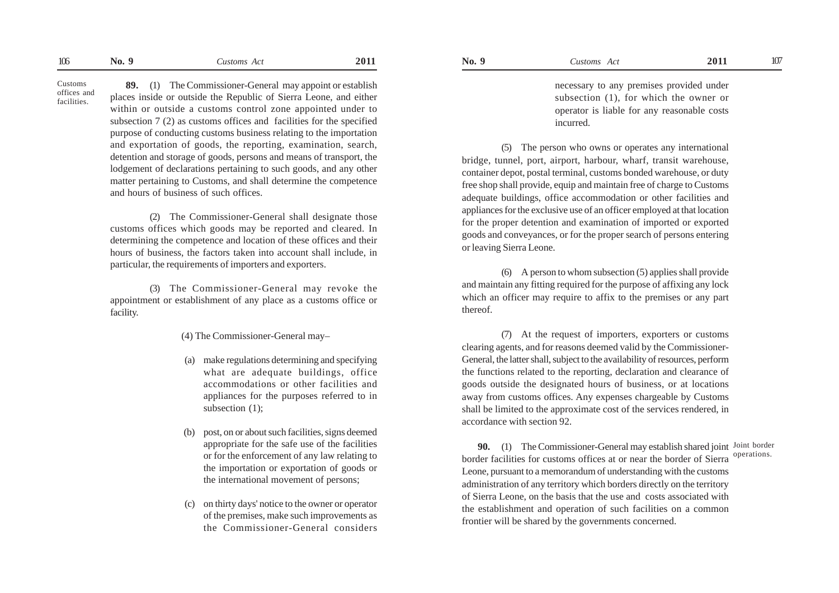Customs offices and facilities.

**89.** (1) The Commissioner-General may appoint or establish places inside or outside the Republic of Sierra Leone, and either within or outside a customs control zone appointed under to subsection 7 (2) as customs offices and facilities for the specified purpose of conducting customs business relating to the importation and exportation of goods, the reporting, examination, search, detention and storage of goods, persons and means of transport, the lodgement of declarations pertaining to such goods, and any other matter pertaining to Customs, and shall determine the competence and hours of business of such offices.

(2) The Commissioner-General shall designate those customs offices which goods may be reported and cleared. In determining the competence and location of these offices and their hours of business, the factors taken into account shall include, in particular, the requirements of importers and exporters.

(3) The Commissioner-General may revoke the appointment or establishment of any place as a customs office or facility.

(4) The Commissioner-General may–

- (a) make regulations determining and specifying what are adequate buildings, office accommodations or other facilities and appliances for the purposes referred to in subsection (1);
- (b) post, on or about such facilities, signs deemed appropriate for the safe use of the facilities or for the enforcement of any law relating to the importation or exportation of goods or the international movement of persons;
- (c) on thirty days' notice to the owner or operator of the premises, make such improvements as the Commissioner-General considers

necessary to any premises provided under subsection (1), for which the owner or operator is liable for any reasonable costs incurred.

(5) The person who owns or operates any international bridge, tunnel, port, airport, harbour, wharf, transit warehouse, container depot, postal terminal, customs bonded warehouse, or duty free shop shall provide, equip and maintain free of charge to Customs adequate buildings, office accommodation or other facilities and appliances for the exclusive use of an officer employed at that location for the proper detention and examination of imported or exported goods and conveyances, or for the proper search of persons entering or leaving Sierra Leone.

(6) A person to whom subsection (5) applies shall provide and maintain any fitting required for the purpose of affixing any lock which an officer may require to affix to the premises or any part thereof.

(7) At the request of importers, exporters or customs clearing agents, and for reasons deemed valid by the Commissioner-General, the latter shall, subject to the availability of resources, perform the functions related to the reporting, declaration and clearance of goods outside the designated hours of business, or at locations away from customs offices. Any expenses chargeable by Customs shall be limited to the approximate cost of the services rendered, in accordance with section 92.

**90.** (1) The Commissioner-General may establish shared joint Joint border border facilities for customs offices at or near the border of Sierra Leone, pursuant to a memorandum of understanding with the customs administration of any territory which borders directly on the territory of Sierra Leone, on the basis that the use and costs associated with the establishment and operation of such facilities on a common frontier will be shared by the governments concerned. operations.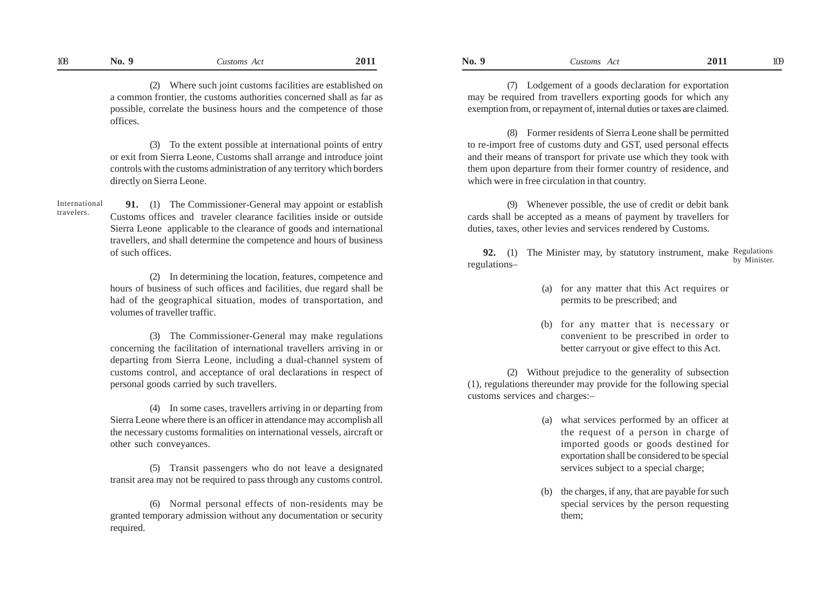(2) Where such joint customs facilities are established on a common frontier, the customs authorities concerned shall as far as possible, correlate the business hours and the competence of those offices.

(3) To the extent possible at international points of entry or exit from Sierra Leone, Customs shall arrange and introduce joint controls with the customs administration of any territory which borders directly on Sierra Leone.

**91.** (1) The Commissioner-General may appoint or establish Customs offices and traveler clearance facilities inside or outside Sierra Leone applicable to the clearance of goods and international travellers, and shall determine the competence and hours of business of such offices. International travelers.

> (2) In determining the location, features, competence and hours of business of such offices and facilities, due regard shall be had of the geographical situation, modes of transportation, and volumes of traveller traffic.

> (3) The Commissioner-General may make regulations concerning the facilitation of international travellers arriving in or departing from Sierra Leone, including a dual-channel system of customs control, and acceptance of oral declarations in respect of personal goods carried by such travellers.

> (4) In some cases, travellers arriving in or departing from Sierra Leone where there is an officer in attendance may accomplish all the necessary customs formalities on international vessels, aircraft or other such conveyances.

> (5) Transit passengers who do not leave a designated transit area may not be required to pass through any customs control.

> (6) Normal personal effects of non-residents may be granted temporary admission without any documentation or security required.

(7) Lodgement of a goods declaration for exportation may be required from travellers exporting goods for which any exemption from, or repayment of, internal duties or taxes are claimed.

(8) Former residents of Sierra Leone shall be permitted to re-import free of customs duty and GST, used personal effects and their means of transport for private use which they took with them upon departure from their former country of residence, and which were in free circulation in that country.

(9) Whenever possible, the use of credit or debit bank cards shall be accepted as a means of payment by travellers for duties, taxes, other levies and services rendered by Customs.

**92.** (1) The Minister may, by statutory instrument, make Regulations regulations– by Minister.

- (a) for any matter that this Act requires or permits to be prescribed; and
- (b) for any matter that is necessary or convenient to be prescribed in order to better carryout or give effect to this Act.

(2) Without prejudice to the generality of subsection (1), regulations thereunder may provide for the following special customs services and charges:–

- (a) what services performed by an officer at the request of a person in charge of imported goods or goods destined for exportation shall be considered to be special services subject to a special charge;
- (b) the charges, if any, that are payable for such special services by the person requesting them;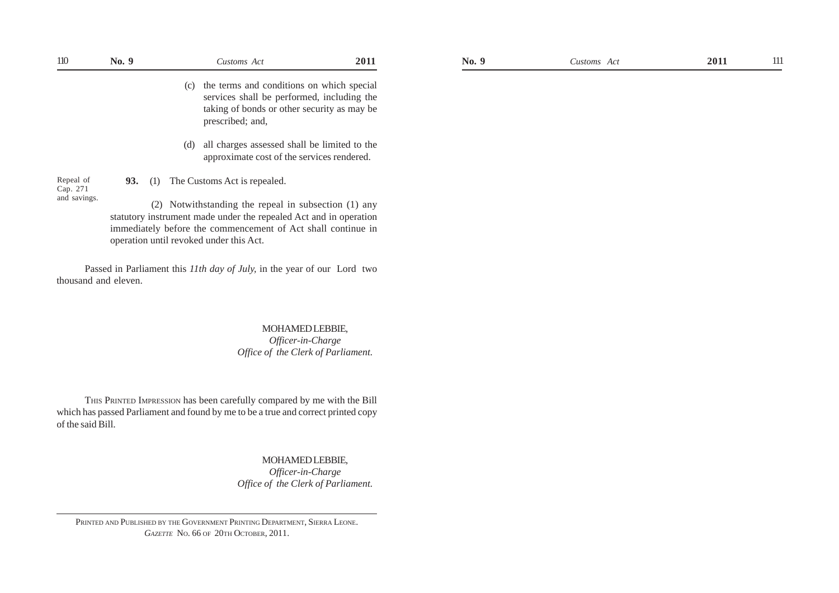| ПO                       | No. 9 |     | Customs Act                                                                                                                                                                                                                          | 2011 |
|--------------------------|-------|-----|--------------------------------------------------------------------------------------------------------------------------------------------------------------------------------------------------------------------------------------|------|
|                          |       |     | (c) the terms and conditions on which special<br>services shall be performed, including the<br>taking of bonds or other security as may be<br>prescribed; and,                                                                       |      |
|                          |       | (d) | all charges assessed shall be limited to the<br>approximate cost of the services rendered.                                                                                                                                           |      |
| Repeal of                | 93.   |     | (1) The Customs Act is repealed.                                                                                                                                                                                                     |      |
| Cap. 271<br>and savings. |       |     | (2) Notwithstanding the repeal in subsection (1) any<br>statutory instrument made under the repealed Act and in operation<br>immediately before the commencement of Act shall continue in<br>operation until revoked under this Act. |      |

# MOHAMED LEBBIE, *Officer-in-Charge Office of the Clerk of Parliament.*

THIS PRINTED IMPRESSION has been carefully compared by me with the Bill which has passed Parliament and found by me to be a true and correct printed copy of the said Bill.

# MOHAMED LEBBIE,

*Officer-in-Charge Office of the Clerk of Parliament.*

PRINTED AND PUBLISHED BY THE GOVERNMENT PRINTING DEPARTMENT, SIERRA LEONE. *GAZETTE* NO. 66 OF 20TH OCTOBER, 2011.